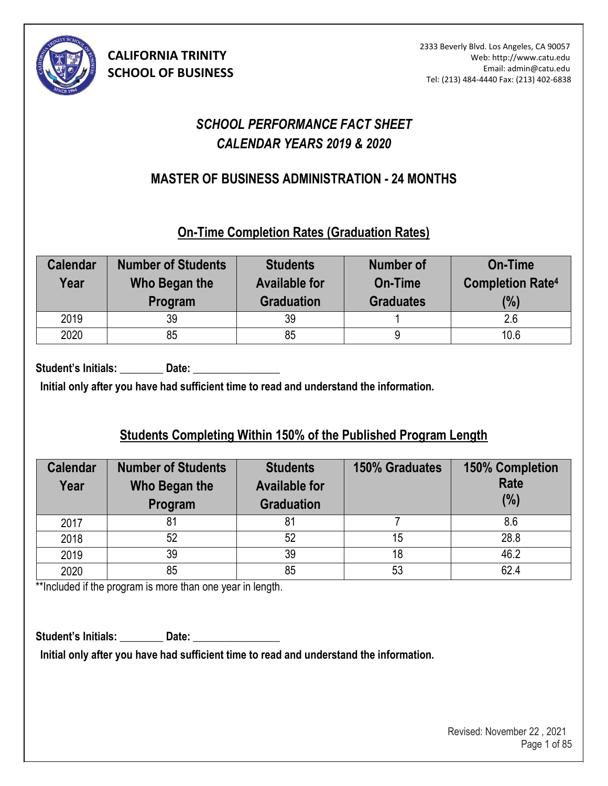

# *SCHOOL PERFORMANCE FACT SHEET CALENDAR YEARS 2019 & 2020*

## **MASTER OF BUSINESS ADMINISTRATION - 24 MONTHS (1)**

### **On-Time Completion Rates (Graduation Rates)**

| <b>Calendar</b><br>Year | <b>Number of Students</b><br>Who Began the<br>Program | <b>Students</b><br><b>Available for</b><br><b>Graduation</b> | <b>Number of</b><br>On-Time<br><b>Graduates</b> | <b>On-Time</b><br><b>Completion Rate4</b><br>(%) |
|-------------------------|-------------------------------------------------------|--------------------------------------------------------------|-------------------------------------------------|--------------------------------------------------|
| 2019                    | 39                                                    | 39                                                           |                                                 | 2.6                                              |
| 2020                    | 85                                                    | 85                                                           |                                                 | 10.6                                             |

Student's Initials: **Date: Date: Date: Date: Date: Date: Date: Date: Date: Date: Date: Date: Date: Date: Date: Date: Date: Date: Date: Date: Date: Date: Date: Date: Date: D** 

**Initial only after you have had sufficient time to read and understand the information.** 

# **Students Completing Within 150% of the Published Program Length**

| <b>Calendar</b><br>Year | <b>Number of Students</b><br>Who Began the<br>Program | <b>Students</b><br><b>Available for</b><br><b>Graduation</b> | <b>150% Graduates</b> | <b>150% Completion</b><br><b>Rate</b><br>(% ) |
|-------------------------|-------------------------------------------------------|--------------------------------------------------------------|-----------------------|-----------------------------------------------|
| 2017                    | 81                                                    |                                                              |                       | 8.6                                           |
| 2018                    | 52                                                    | 52                                                           | 15                    | 28.8                                          |
| 2019                    | 39                                                    | 39                                                           | 18                    | 46.2                                          |
| 2020                    | 85                                                    | 85                                                           | 53                    | 62.4                                          |

\*\*Included if the program is more than one year in length.

Student's Initials: **Date: Date: Date: Date: Date: Date: Date: Date: Date: Date: Date: Date: Date: Date: Date: Date: Date: Date: Date: Date: Date: Date: Date: Date: Date: D** 

**Initial only after you have had sufficient time to read and understand the information.**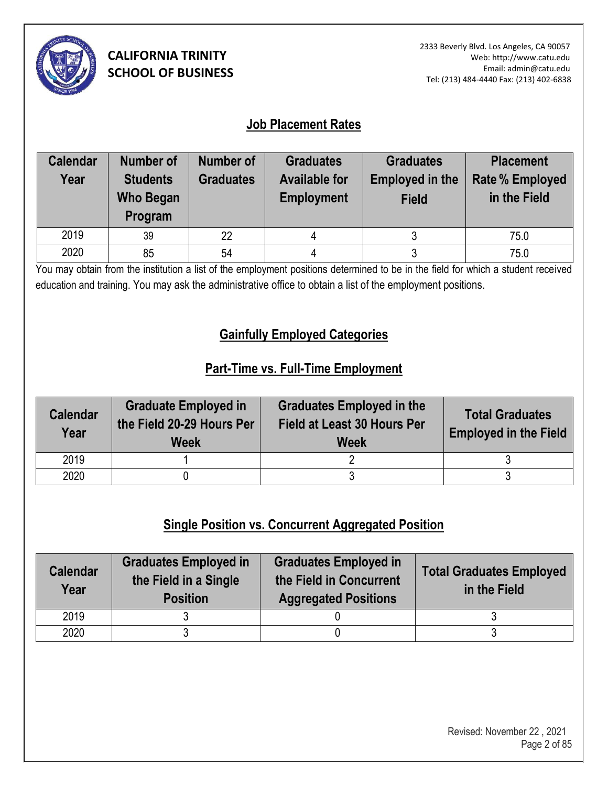

### **Job Placement Rates**

| <b>Calendar</b> | <b>Number of</b> | Number of        | <b>Graduates</b>     | <b>Graduates</b>       | <b>Placement</b>       |
|-----------------|------------------|------------------|----------------------|------------------------|------------------------|
| Year            | <b>Students</b>  | <b>Graduates</b> | <b>Available for</b> | <b>Employed in the</b> | <b>Rate % Employed</b> |
|                 | <b>Who Began</b> |                  | <b>Employment</b>    | <b>Field</b>           | in the Field           |
|                 | Program          |                  |                      |                        |                        |
| 2019            | 39               | 22               |                      |                        | 75.0                   |
| 2020            | 85               | 54               |                      |                        | 75.0                   |

You may obtain from the institution a list of the employment positions determined to be in the field for which a student received education and training. You may ask the administrative office to obtain a list of the employment positions.

## **Gainfully Employed Categories**

## **Part-Time vs. Full-Time Employment**

| <b>Calendar</b><br>Year | <b>Graduate Employed in</b><br>the Field 20-29 Hours Per<br><b>Week</b> | <b>Graduates Employed in the</b><br>Field at Least 30 Hours Per<br><b>Week</b> | <b>Total Graduates</b><br><b>Employed in the Field</b> |
|-------------------------|-------------------------------------------------------------------------|--------------------------------------------------------------------------------|--------------------------------------------------------|
| 2019                    |                                                                         |                                                                                |                                                        |
| 2020                    |                                                                         |                                                                                |                                                        |

# **Single Position vs. Concurrent Aggregated Position**

| <b>Calendar</b><br>Year | <b>Graduates Employed in</b><br>the Field in a Single<br><b>Position</b> | <b>Graduates Employed in</b><br>the Field in Concurrent<br><b>Aggregated Positions</b> | <b>Total Graduates Employed</b><br>in the Field |
|-------------------------|--------------------------------------------------------------------------|----------------------------------------------------------------------------------------|-------------------------------------------------|
| 2019                    |                                                                          |                                                                                        |                                                 |
| 2020                    |                                                                          |                                                                                        |                                                 |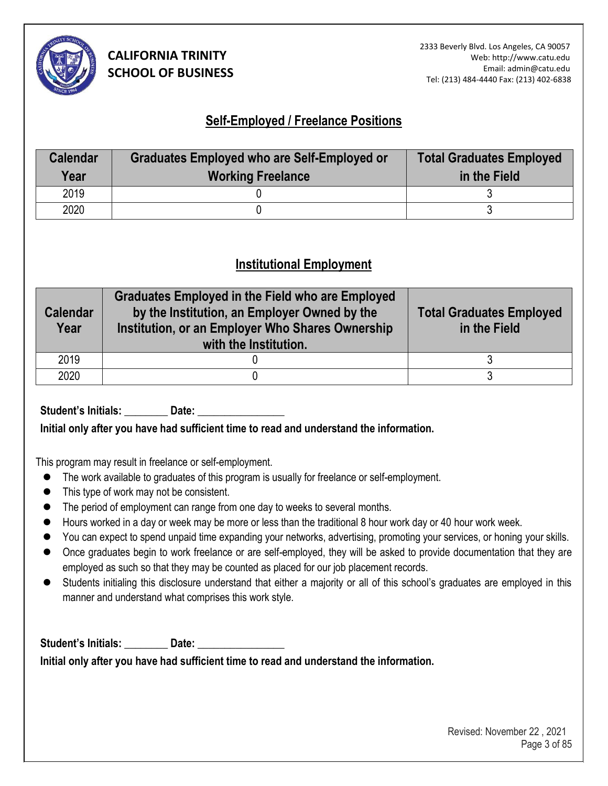

### **Self-Employed / Freelance Positions**

| <b>Calendar</b><br>Year | <b>Graduates Employed who are Self-Employed or</b><br><b>Working Freelance</b> | <b>Total Graduates Employed</b><br>in the Field |
|-------------------------|--------------------------------------------------------------------------------|-------------------------------------------------|
| 2019                    |                                                                                |                                                 |
| 2020                    |                                                                                |                                                 |

### **Institutional Employment**

| <b>Calendar</b><br>Year | <b>Graduates Employed in the Field who are Employed</b><br>by the Institution, an Employer Owned by the<br>Institution, or an Employer Who Shares Ownership<br>with the Institution. | <b>Total Graduates Employed</b><br>in the Field |
|-------------------------|--------------------------------------------------------------------------------------------------------------------------------------------------------------------------------------|-------------------------------------------------|
| 2019                    |                                                                                                                                                                                      |                                                 |
| 2020                    |                                                                                                                                                                                      |                                                 |

Student's Initials: **Date:** Date:

**Initial only after you have had sufficient time to read and understand the information.** 

This program may result in freelance or self-employment.

- ⚫ The work available to graduates of this program is usually for freelance or self-employment.
- This type of work may not be consistent.
- The period of employment can range from one day to weeks to several months.
- Hours worked in a day or week may be more or less than the traditional 8 hour work day or 40 hour work week.
- You can expect to spend unpaid time expanding your networks, advertising, promoting your services, or honing your skills.
- Once graduates begin to work freelance or are self-employed, they will be asked to provide documentation that they are employed as such so that they may be counted as placed for our job placement records.
- ⚫ Students initialing this disclosure understand that either a majority or all of this school's graduates are employed in this manner and understand what comprises this work style.

Student's Initials: **Noting that Date:** 2021

**Initial only after you have had sufficient time to read and understand the information.**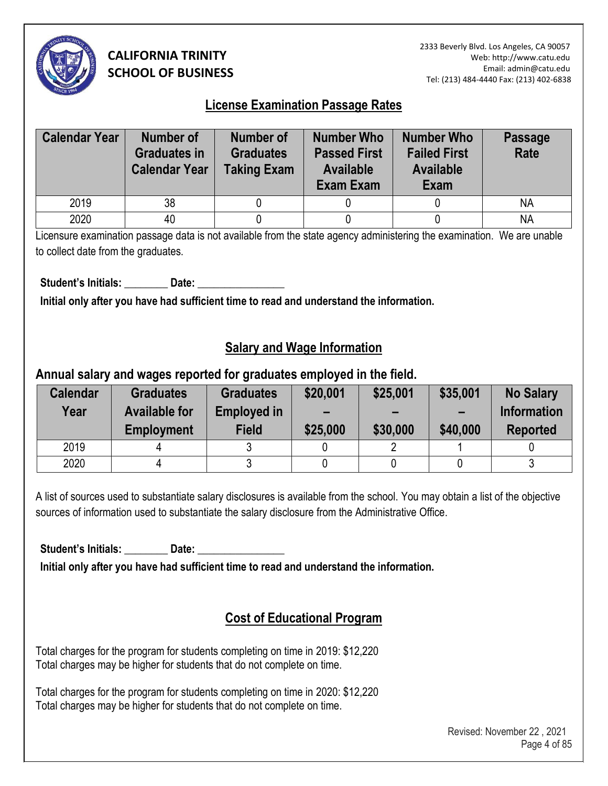

2333 Beverly Blvd. Los Angeles, CA 90057 Web: http://www.catu.edu Email: admin@catu.edu Tel: (213) 484-4440 Fax: (213) 402-6838

### **License Examination Passage Rates**

| <b>Calendar Year</b> | Number of<br><b>Graduates in</b><br><b>Calendar Year</b> | Number of<br><b>Graduates</b><br><b>Taking Exam</b> | <b>Number Who</b><br><b>Passed First</b><br><b>Available</b><br><b>Exam Exam</b> | <b>Number Who</b><br><b>Failed First</b><br><b>Available</b><br>Exam | <b>Passage</b><br>Rate |
|----------------------|----------------------------------------------------------|-----------------------------------------------------|----------------------------------------------------------------------------------|----------------------------------------------------------------------|------------------------|
| 2019                 | 38                                                       |                                                     |                                                                                  |                                                                      | <b>NA</b>              |
|                      |                                                          |                                                     |                                                                                  |                                                                      |                        |

Licensure examination passage data is not available from the state agency administering the examination. We are unable to collect date from the graduates.

Student's Initials: Date:

**Initial only after you have had sufficient time to read and understand the information.** 

### **Salary and Wage Information**

### **Annual salary and wages reported for graduates employed in the field.**

| <b>Calendar</b><br>Year | <b>Graduates</b><br><b>Available for</b><br><b>Employment</b> | <b>Graduates</b><br><b>Employed in</b><br><b>Field</b> | \$20,001<br>$\overline{\phantom{0}}$<br>\$25,000 | \$25,001<br>-<br>\$30,000 | \$35,001<br>$\sim$<br>\$40,000 | <b>No Salary</b><br><b>Information</b><br><b>Reported</b> |
|-------------------------|---------------------------------------------------------------|--------------------------------------------------------|--------------------------------------------------|---------------------------|--------------------------------|-----------------------------------------------------------|
| 2019                    |                                                               |                                                        |                                                  |                           |                                |                                                           |
| 2020                    |                                                               |                                                        |                                                  |                           |                                |                                                           |

A list of sources used to substantiate salary disclosures is available from the school. You may obtain a list of the objective sources of information used to substantiate the salary disclosure from the Administrative Office.

Student's Initials: **Date: Date:** 

**Initial only after you have had sufficient time to read and understand the information.** 

# **Cost of Educational Program**

Total charges for the program for students completing on time in 2019: \$12,220 Total charges may be higher for students that do not complete on time.

Total charges for the program for students completing on time in 2020: \$12,220 Total charges may be higher for students that do not complete on time.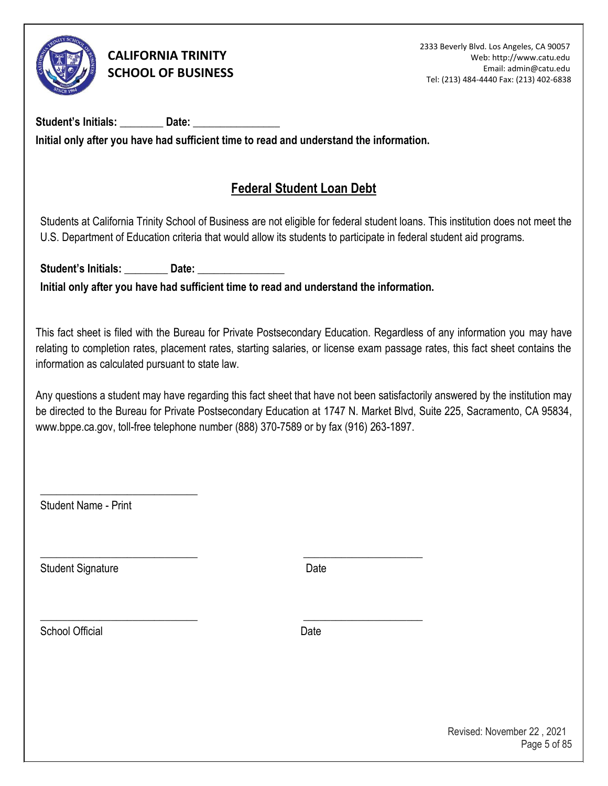

Student's Initials: **Date: Initial only after you have had sufficient time to read and understand the information.** 

# **Federal Student Loan Debt**

Students at California Trinity School of Business are not eligible for federal student loans. This institution does not meet the U.S. Department of Education criteria that would allow its students to participate in federal student aid programs.

**Student's Initials: \_\_\_\_\_\_\_\_ Date: \_\_\_\_\_\_\_\_\_\_\_\_\_\_\_\_ Initial only after you have had sufficient time to read and understand the information.** 

\_\_\_\_\_\_\_\_\_\_\_\_\_\_\_\_\_\_\_\_\_\_\_\_\_\_\_\_\_ \_\_\_\_\_\_\_\_\_\_\_\_\_\_\_\_\_\_\_\_\_\_

\_\_\_\_\_\_\_\_\_\_\_\_\_\_\_\_\_\_\_\_\_\_\_\_\_\_\_\_\_ \_\_\_\_\_\_\_\_\_\_\_\_\_\_\_\_\_\_\_\_\_\_

This fact sheet is filed with the Bureau for Private Postsecondary Education. Regardless of any information you may have relating to completion rates, placement rates, starting salaries, or license exam passage rates, this fact sheet contains the information as calculated pursuant to state law.

Any questions a student may have regarding this fact sheet that have not been satisfactorily answered by the institution may be directed to the Bureau for Private Postsecondary Education at 1747 N. Market Blvd, Suite 225, Sacramento, CA 9583[4,](http://www.bppe.ca.gov/)  [www.bppe.ca.gov, toll-free telephone number \(888\) 370-7589 or by fax \(916\) 263-1897.](http://www.bppe.ca.gov/) 

Student Name - Print

\_\_\_\_\_\_\_\_\_\_\_\_\_\_\_\_\_\_\_\_\_\_\_\_\_\_\_\_\_

Student Signature Date Date

School Official **Date**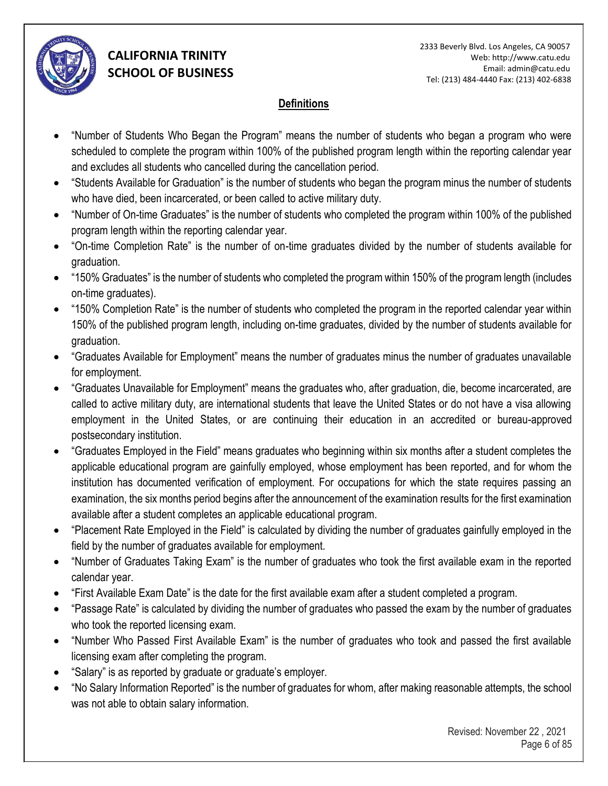

### **Definitions**

- "Number of Students Who Began the Program" means the number of students who began a program who were scheduled to complete the program within 100% of the published program length within the reporting calendar year and excludes all students who cancelled during the cancellation period.
- "Students Available for Graduation" is the number of students who began the program minus the number of students who have died, been incarcerated, or been called to active military duty.
- "Number of On-time Graduates" is the number of students who completed the program within 100% of the published program length within the reporting calendar year.
- "On-time Completion Rate" is the number of on-time graduates divided by the number of students available for graduation.
- "150% Graduates" is the number of students who completed the program within 150% of the program length (includes on-time graduates).
- "150% Completion Rate" is the number of students who completed the program in the reported calendar year within 150% of the published program length, including on-time graduates, divided by the number of students available for graduation.
- "Graduates Available for Employment" means the number of graduates minus the number of graduates unavailable for employment.
- "Graduates Unavailable for Employment" means the graduates who, after graduation, die, become incarcerated, are called to active military duty, are international students that leave the United States or do not have a visa allowing employment in the United States, or are continuing their education in an accredited or bureau-approved postsecondary institution.
- "Graduates Employed in the Field" means graduates who beginning within six months after a student completes the applicable educational program are gainfully employed, whose employment has been reported, and for whom the institution has documented verification of employment. For occupations for which the state requires passing an examination, the six months period begins after the announcement of the examination results for the first examination available after a student completes an applicable educational program.
- "Placement Rate Employed in the Field" is calculated by dividing the number of graduates gainfully employed in the field by the number of graduates available for employment.
- "Number of Graduates Taking Exam" is the number of graduates who took the first available exam in the reported calendar year.
- "First Available Exam Date" is the date for the first available exam after a student completed a program.
- "Passage Rate" is calculated by dividing the number of graduates who passed the exam by the number of graduates who took the reported licensing exam.
- "Number Who Passed First Available Exam" is the number of graduates who took and passed the first available licensing exam after completing the program.
- "Salary" is as reported by graduate or graduate's employer.
- "No Salary Information Reported" is the number of graduates for whom, after making reasonable attempts, the school was not able to obtain salary information.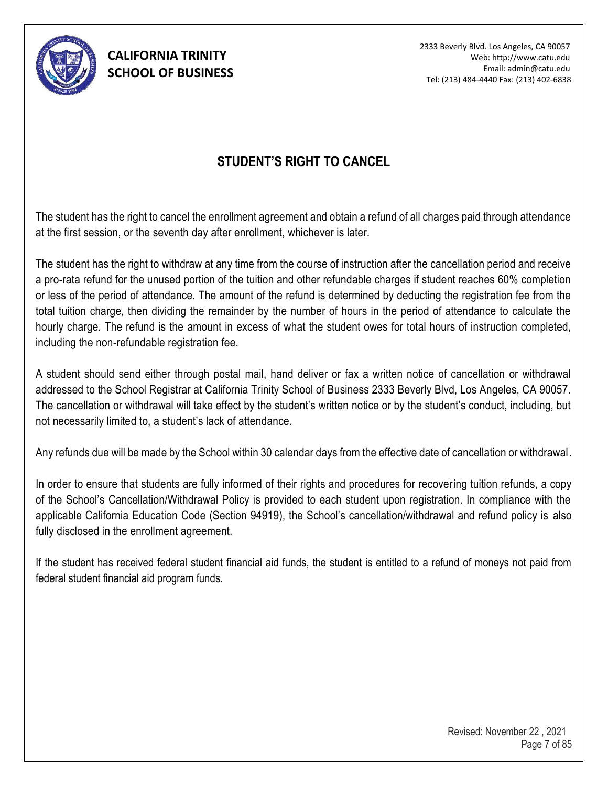

2333 Beverly Blvd. Los Angeles, CA 90057 Web: http://www.catu.edu Email: admin@catu.edu Tel: (213) 484-4440 Fax: (213) 402-6838

## **STUDENT'S RIGHT TO CANCEL**

The student has the right to cancel the enrollment agreement and obtain a refund of all charges paid through attendance at the first session, or the seventh day after enrollment, whichever is later.

The student has the right to withdraw at any time from the course of instruction after the cancellation period and receive a pro-rata refund for the unused portion of the tuition and other refundable charges if student reaches 60% completion or less of the period of attendance. The amount of the refund is determined by deducting the registration fee from the total tuition charge, then dividing the remainder by the number of hours in the period of attendance to calculate the hourly charge. The refund is the amount in excess of what the student owes for total hours of instruction completed, including the non-refundable registration fee.

A student should send either through postal mail, hand deliver or fax a written notice of cancellation or withdrawal addressed to the School Registrar at California Trinity School of Business 2333 Beverly Blvd, Los Angeles, CA 90057. The cancellation or withdrawal will take effect by the student's written notice or by the student's conduct, including, but not necessarily limited to, a student's lack of attendance.

Any refunds due will be made by the School within 30 calendar days from the effective date of cancellation or withdrawal.

In order to ensure that students are fully informed of their rights and procedures for recovering tuition refunds, a copy of the School's Cancellation/Withdrawal Policy is provided to each student upon registration. In compliance with the applicable California Education Code (Section 94919), the School's cancellation/withdrawal and refund policy is also fully disclosed in the enrollment agreement.

If the student has received federal student financial aid funds, the student is entitled to a refund of moneys not paid from federal student financial aid program funds.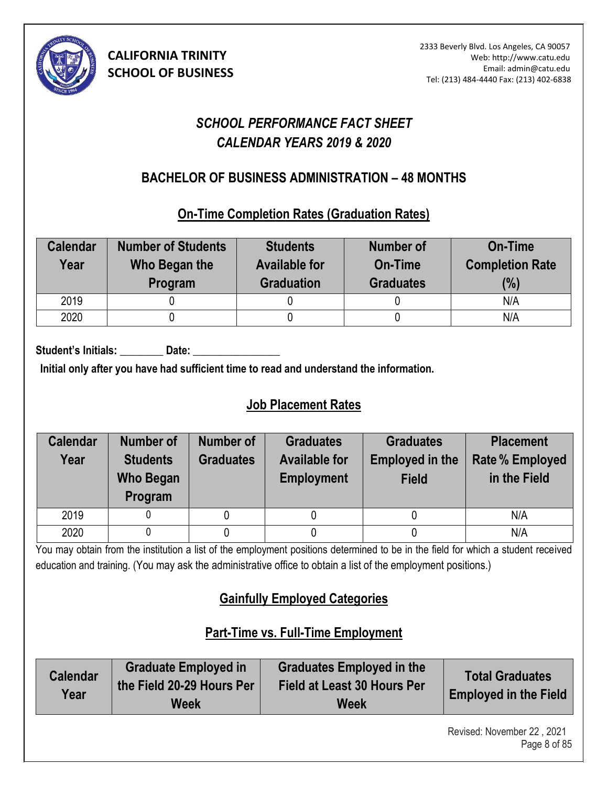

# *SCHOOL PERFORMANCE FACT SHEET CALENDAR YEARS 2019 & 2020*

## **BACHELOR OF BUSINESS ADMINISTRATION – 48 MONTHS (7)**

### **On-Time Completion Rates (Graduation Rates)**

| <b>Calendar</b><br>Year | <b>Number of Students</b><br>Who Began the<br>Program | <b>Students</b><br><b>Available for</b><br><b>Graduation</b> | Number of<br>On-Time<br><b>Graduates</b> | <b>On-Time</b><br><b>Completion Rate</b><br>(%) |
|-------------------------|-------------------------------------------------------|--------------------------------------------------------------|------------------------------------------|-------------------------------------------------|
| 2019                    |                                                       |                                                              |                                          | N/A                                             |
| 2020                    |                                                       |                                                              |                                          | N/A                                             |

Student's Initials: **Date:** Date:

**Initial only after you have had sufficient time to read and understand the information.** 

# **Job Placement Rates**

| <b>Calendar</b><br>Year | <b>Number of</b><br><b>Students</b><br><b>Who Began</b><br>Program | Number of<br><b>Graduates</b> | <b>Graduates</b><br><b>Available for</b><br><b>Employment</b> | <b>Graduates</b><br><b>Employed in the</b><br><b>Field</b> | <b>Placement</b><br><b>Rate % Employed</b><br>in the Field |
|-------------------------|--------------------------------------------------------------------|-------------------------------|---------------------------------------------------------------|------------------------------------------------------------|------------------------------------------------------------|
| 2019                    |                                                                    |                               |                                                               |                                                            | N/A                                                        |
| 2020                    |                                                                    |                               |                                                               |                                                            | N/A                                                        |

You may obtain from the institution a list of the employment positions determined to be in the field for which a student received education and training. (You may ask the administrative office to obtain a list of the employment positions.)

# **Gainfully Employed Categories**

# **Part-Time vs. Full-Time Employment**

| <b>Calendar</b><br>Year | <b>Graduate Employed in</b><br>the Field 20-29 Hours Per<br>Week | <b>Graduates Employed in the</b><br><b>Field at Least 30 Hours Per</b><br><b>Week</b> | <b>Total Graduates</b><br><b>Employed in the Field</b> |
|-------------------------|------------------------------------------------------------------|---------------------------------------------------------------------------------------|--------------------------------------------------------|
|-------------------------|------------------------------------------------------------------|---------------------------------------------------------------------------------------|--------------------------------------------------------|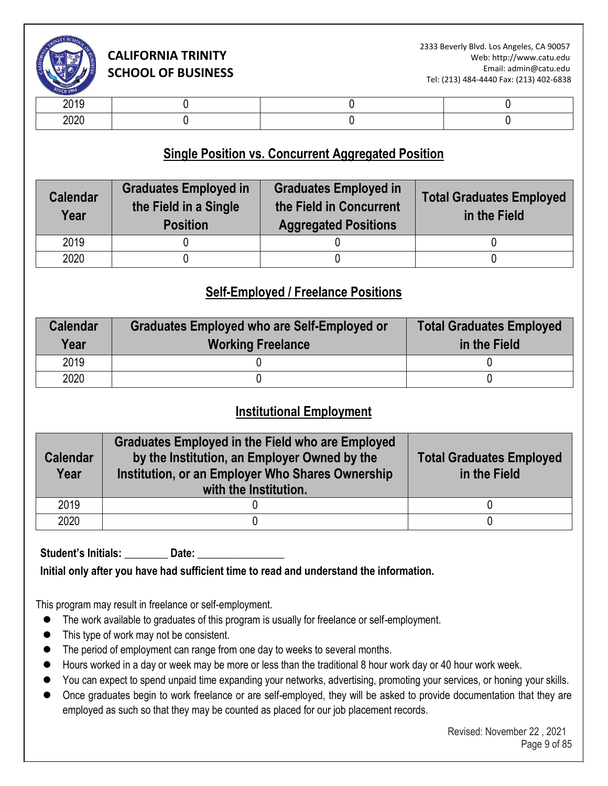

| -- - -       |  |  |
|--------------|--|--|
| nnnr<br>$-0$ |  |  |

### **Single Position vs. Concurrent Aggregated Position**

| <b>Calendar</b><br>Year | <b>Graduates Employed in</b><br>the Field in a Single<br><b>Position</b> | <b>Graduates Employed in</b><br>the Field in Concurrent<br><b>Aggregated Positions</b> | <b>Total Graduates Employed</b><br>in the Field |
|-------------------------|--------------------------------------------------------------------------|----------------------------------------------------------------------------------------|-------------------------------------------------|
| 2019                    |                                                                          |                                                                                        |                                                 |
| 2020                    |                                                                          |                                                                                        |                                                 |

## **Self-Employed / Freelance Positions**

| <b>Calendar</b><br>Year | Graduates Employed who are Self-Employed or<br><b>Working Freelance</b> | <b>Total Graduates Employed</b><br>in the Field |
|-------------------------|-------------------------------------------------------------------------|-------------------------------------------------|
| 2019                    |                                                                         |                                                 |
| 2020                    |                                                                         |                                                 |

### **Institutional Employment**

| <b>Calendar</b><br>Year | <b>Graduates Employed in the Field who are Employed</b><br>by the Institution, an Employer Owned by the<br>Institution, or an Employer Who Shares Ownership<br>with the Institution. | <b>Total Graduates Employed</b><br>in the Field |
|-------------------------|--------------------------------------------------------------------------------------------------------------------------------------------------------------------------------------|-------------------------------------------------|
| 2019                    |                                                                                                                                                                                      |                                                 |
| 2020                    |                                                                                                                                                                                      |                                                 |

Student's Initials: **Date:** Date:

**Initial only after you have had sufficient time to read and understand the information.** 

This program may result in freelance or self-employment.

- ⚫ The work available to graduates of this program is usually for freelance or self-employment.
- This type of work may not be consistent.
- The period of employment can range from one day to weeks to several months.
- Hours worked in a day or week may be more or less than the traditional 8 hour work day or 40 hour work week.
- You can expect to spend unpaid time expanding your networks, advertising, promoting your services, or honing your skills.
- Once graduates begin to work freelance or are self-employed, they will be asked to provide documentation that they are employed as such so that they may be counted as placed for our job placement records.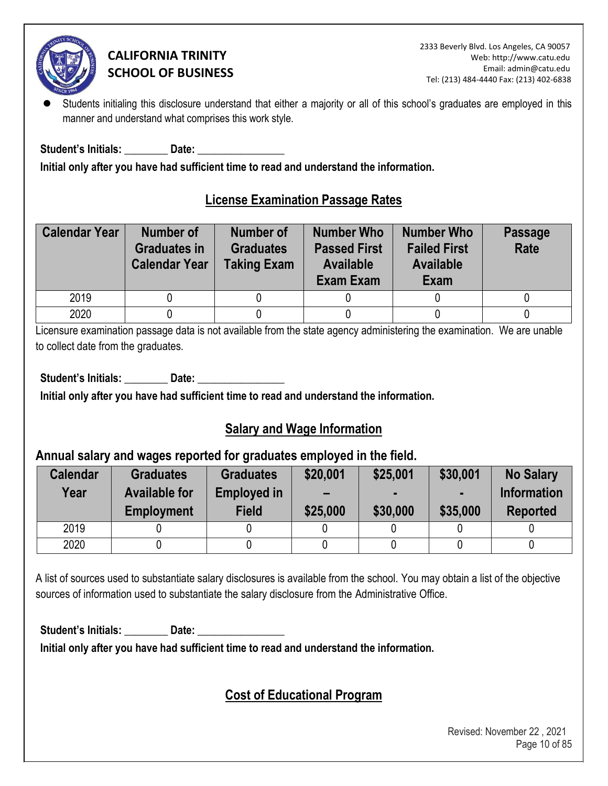

Students initialing this disclosure understand that either a majority or all of this school's graduates are employed in this manner and understand what comprises this work style.

Student's Initials: **Example 10 Date:**  $\overline{\phantom{a}}$ 

**Initial only after you have had sufficient time to read and understand the information.** 

## **License Examination Passage Rates**

| <b>Calendar Year</b> | <b>Number of</b><br><b>Graduates in</b><br><b>Calendar Year</b> | <b>Number of</b><br><b>Graduates</b><br><b>Taking Exam</b> | <b>Number Who</b><br><b>Passed First</b><br><b>Available</b><br>Exam Exam | <b>Number Who</b><br><b>Failed First</b><br><b>Available</b><br>Exam | <b>Passage</b><br>Rate |
|----------------------|-----------------------------------------------------------------|------------------------------------------------------------|---------------------------------------------------------------------------|----------------------------------------------------------------------|------------------------|
| 2019                 |                                                                 |                                                            |                                                                           |                                                                      |                        |
| 2020                 |                                                                 |                                                            |                                                                           |                                                                      |                        |

Licensure examination passage data is not available from the state agency administering the examination. We are unable to collect date from the graduates.

Student's Initials: **Date: Date: Date: Date: Parameter Parameter Parameter Parameter Parameter Parameter** 

**Initial only after you have had sufficient time to read and understand the information.** 

# **Salary and Wage Information**

### **Annual salary and wages reported for graduates employed in the field.**

| <b>Calendar</b><br>Year | <b>Graduates</b><br><b>Available for</b><br><b>Employment</b> | <b>Graduates</b><br><b>Employed in</b><br><b>Field</b> | \$20,001<br>$\overline{\phantom{0}}$<br>\$25,000 | \$25,001<br>\$30,000 | \$30,001<br>\$35,000 | <b>No Salary</b><br><b>Information</b><br><b>Reported</b> |
|-------------------------|---------------------------------------------------------------|--------------------------------------------------------|--------------------------------------------------|----------------------|----------------------|-----------------------------------------------------------|
| 2019                    |                                                               |                                                        |                                                  |                      |                      |                                                           |
| 2020                    |                                                               |                                                        |                                                  |                      |                      |                                                           |

A list of sources used to substantiate salary disclosures is available from the school. You may obtain a list of the objective sources of information used to substantiate the salary disclosure from the Administrative Office.

Student's Initials: **Date: Date: Date: Date: Propriet: Propriet: Propriet: Propriet: Propriet: Propriet: Propriet: Propriet: Propriet: Propriet: Propriet: Propriet: Propriet: Propriet: P** 

**Initial only after you have had sufficient time to read and understand the information.** 

# **Cost of Educational Program**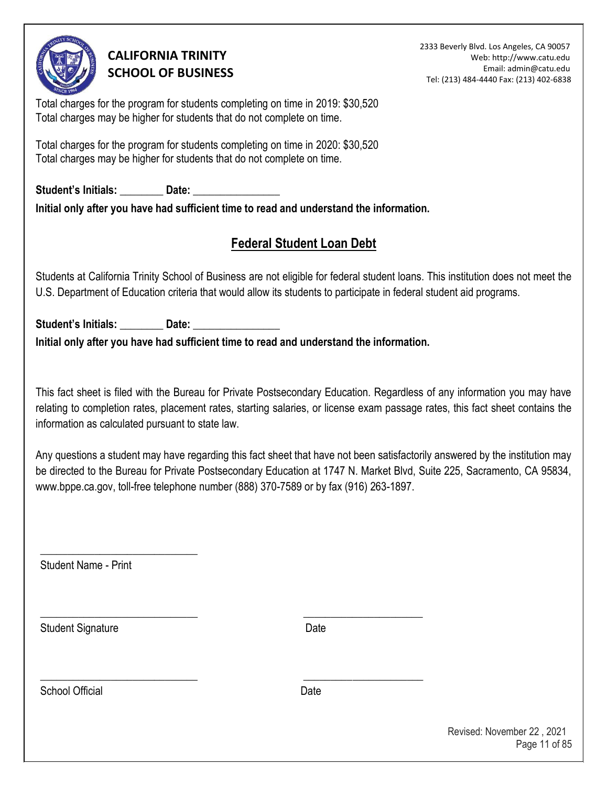

2333 Beverly Blvd. Los Angeles, CA 90057 Web: http://www.catu.edu Email: admin@catu.edu Tel: (213) 484-4440 Fax: (213) 402-6838

Total charges for the program for students completing on time in 2019: \$30,520 Total charges may be higher for students that do not complete on time.

Total charges for the program for students completing on time in 2020: \$30,520 Total charges may be higher for students that do not complete on time.

Student's Initials: **Date: Date: Date: Date: Propriet: Propriet: Propriet: Propriet: Propriet: Propriet: Propriet: Propriet: Propriet: Propriet: Propriet: Propriet: Propriet: Propriet: P Initial only after you have had sufficient time to read and understand the information.** 

# **Federal Student Loan Debt**

Students at California Trinity School of Business are not eligible for federal student loans. This institution does not meet the U.S. Department of Education criteria that would allow its students to participate in federal student aid programs.

Student's Initials: \_\_\_\_\_\_\_\_\_\_ Date: **Initial only after you have had sufficient time to read and understand the information.** 

\_\_\_\_\_\_\_\_\_\_\_\_\_\_\_\_\_\_\_\_\_\_\_\_\_\_\_\_\_ \_\_\_\_\_\_\_\_\_\_\_\_\_\_\_\_\_\_\_\_\_\_

\_\_\_\_\_\_\_\_\_\_\_\_\_\_\_\_\_\_\_\_\_\_\_\_\_\_\_\_\_ \_\_\_\_\_\_\_\_\_\_\_\_\_\_\_\_\_\_\_\_\_\_

This fact sheet is filed with the Bureau for Private Postsecondary Education. Regardless of any information you may have relating to completion rates, placement rates, starting salaries, or license exam passage rates, this fact sheet contains the information as calculated pursuant to state law.

Any questions a student may have regarding this fact sheet that have not been satisfactorily answered by the institution may be directed to the Bureau for Private Postsecondary Education at 1747 N. Market Blvd, Suite 225, Sacramento, CA 95834, www.bppe.ca.gov, toll-free telephone number (888) 370-7589 or by fax (916) 263-1897.

Student Name - Print

\_\_\_\_\_\_\_\_\_\_\_\_\_\_\_\_\_\_\_\_\_\_\_\_\_\_\_\_\_

Student Signature Date

School Official **Date**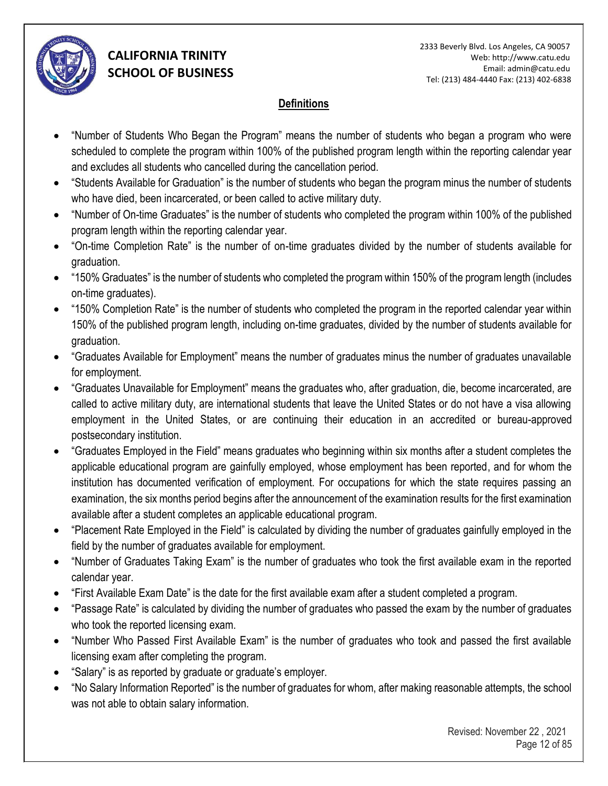

### **Definitions**

- "Number of Students Who Began the Program" means the number of students who began a program who were scheduled to complete the program within 100% of the published program length within the reporting calendar year and excludes all students who cancelled during the cancellation period.
- "Students Available for Graduation" is the number of students who began the program minus the number of students who have died, been incarcerated, or been called to active military duty.
- "Number of On-time Graduates" is the number of students who completed the program within 100% of the published program length within the reporting calendar year.
- "On-time Completion Rate" is the number of on-time graduates divided by the number of students available for graduation.
- "150% Graduates" is the number of students who completed the program within 150% of the program length (includes on-time graduates).
- "150% Completion Rate" is the number of students who completed the program in the reported calendar year within 150% of the published program length, including on-time graduates, divided by the number of students available for graduation.
- "Graduates Available for Employment" means the number of graduates minus the number of graduates unavailable for employment.
- "Graduates Unavailable for Employment" means the graduates who, after graduation, die, become incarcerated, are called to active military duty, are international students that leave the United States or do not have a visa allowing employment in the United States, or are continuing their education in an accredited or bureau-approved postsecondary institution.
- "Graduates Employed in the Field" means graduates who beginning within six months after a student completes the applicable educational program are gainfully employed, whose employment has been reported, and for whom the institution has documented verification of employment. For occupations for which the state requires passing an examination, the six months period begins after the announcement of the examination results for the first examination available after a student completes an applicable educational program.
- "Placement Rate Employed in the Field" is calculated by dividing the number of graduates gainfully employed in the field by the number of graduates available for employment.
- "Number of Graduates Taking Exam" is the number of graduates who took the first available exam in the reported calendar year.
- "First Available Exam Date" is the date for the first available exam after a student completed a program.
- "Passage Rate" is calculated by dividing the number of graduates who passed the exam by the number of graduates who took the reported licensing exam.
- "Number Who Passed First Available Exam" is the number of graduates who took and passed the first available licensing exam after completing the program.
- "Salary" is as reported by graduate or graduate's employer.
- "No Salary Information Reported" is the number of graduates for whom, after making reasonable attempts, the school was not able to obtain salary information.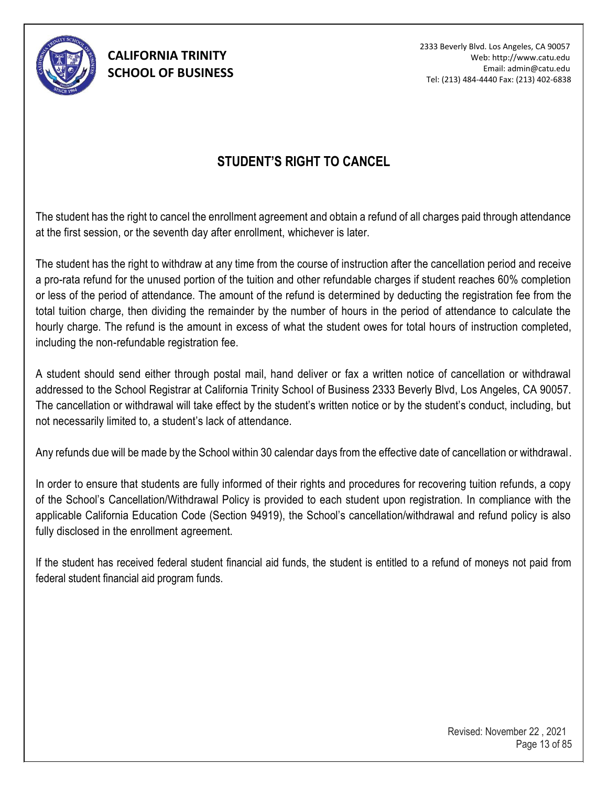

2333 Beverly Blvd. Los Angeles, CA 90057 Web: http://www.catu.edu Email: admin@catu.edu Tel: (213) 484-4440 Fax: (213) 402-6838

## **STUDENT'S RIGHT TO CANCEL**

The student has the right to cancel the enrollment agreement and obtain a refund of all charges paid through attendance at the first session, or the seventh day after enrollment, whichever is later.

The student has the right to withdraw at any time from the course of instruction after the cancellation period and receive a pro-rata refund for the unused portion of the tuition and other refundable charges if student reaches 60% completion or less of the period of attendance. The amount of the refund is determined by deducting the registration fee from the total tuition charge, then dividing the remainder by the number of hours in the period of attendance to calculate the hourly charge. The refund is the amount in excess of what the student owes for total hours of instruction completed, including the non-refundable registration fee.

A student should send either through postal mail, hand deliver or fax a written notice of cancellation or withdrawal addressed to the School Registrar at California Trinity School of Business 2333 Beverly Blvd, Los Angeles, CA 90057. The cancellation or withdrawal will take effect by the student's written notice or by the student's conduct, including, but not necessarily limited to, a student's lack of attendance.

Any refunds due will be made by the School within 30 calendar days from the effective date of cancellation or withdrawal.

In order to ensure that students are fully informed of their rights and procedures for recovering tuition refunds, a copy of the School's Cancellation/Withdrawal Policy is provided to each student upon registration. In compliance with the applicable California Education Code (Section 94919), the School's cancellation/withdrawal and refund policy is also fully disclosed in the enrollment agreement.

If the student has received federal student financial aid funds, the student is entitled to a refund of moneys not paid from federal student financial aid program funds.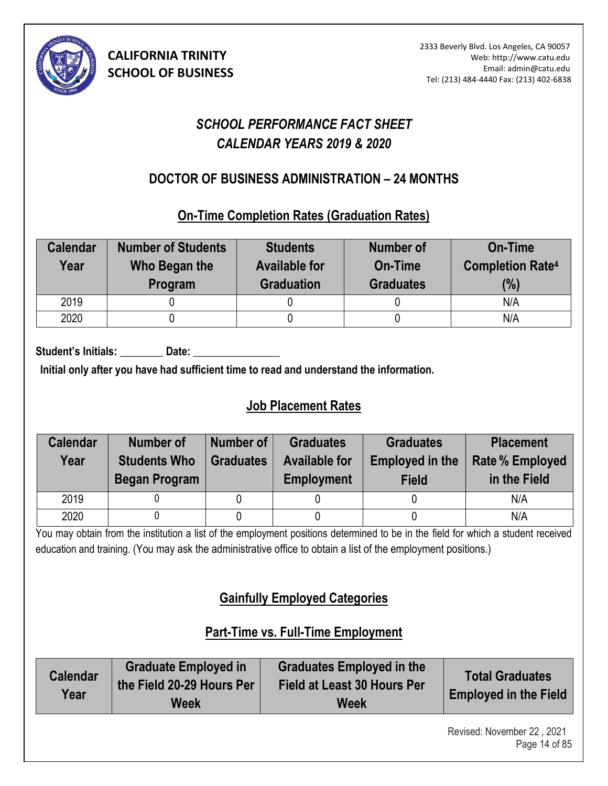

# *SCHOOL PERFORMANCE FACT SHEET CALENDAR YEARS 2019 & 2020*

## **DOCTOR OF BUSINESS ADMINISTRATION – 24 MONTHS (3)**

### **On-Time Completion Rates (Graduation Rates)**

| <b>Calendar</b><br>Year | <b>Number of Students</b><br>Who Began the<br>Program | <b>Students</b><br><b>Available for</b><br><b>Graduation</b> | Number of<br>On-Time<br><b>Graduates</b> | <b>On-Time</b><br><b>Completion Rate4</b><br>(%) |
|-------------------------|-------------------------------------------------------|--------------------------------------------------------------|------------------------------------------|--------------------------------------------------|
| 2019                    |                                                       |                                                              |                                          | N/A                                              |
| 2020                    |                                                       |                                                              |                                          | N/A                                              |

Student's Initials: Date:

**Initial only after you have had sufficient time to read and understand the information.** 

# **Job Placement Rates**

| <b>Calendar</b> | Number of                                   | Number of        | <b>Graduates</b>                          | <b>Graduates</b>                       | <b>Placement</b>                       |
|-----------------|---------------------------------------------|------------------|-------------------------------------------|----------------------------------------|----------------------------------------|
| Year            | <b>Students Who</b><br><b>Began Program</b> | <b>Graduates</b> | <b>Available for</b><br><b>Employment</b> | <b>Employed in the</b><br><b>Field</b> | <b>Rate % Employed</b><br>in the Field |
| 2019            |                                             |                  |                                           |                                        | N/A                                    |
| 2020            |                                             |                  |                                           |                                        | N/A                                    |

You may obtain from the institution a list of the employment positions determined to be in the field for which a student received education and training. (You may ask the administrative office to obtain a list of the employment positions.)

# **Gainfully Employed Categories**

# **Part-Time vs. Full-Time Employment**

| <b>Calendar</b><br>Year | <b>Graduate Employed in</b><br>the Field 20-29 Hours Per<br>Week | <b>Graduates Employed in the</b><br><b>Field at Least 30 Hours Per</b><br><b>Week</b> | <b>Total Graduates</b><br><b>Employed in the Field</b> |
|-------------------------|------------------------------------------------------------------|---------------------------------------------------------------------------------------|--------------------------------------------------------|
|-------------------------|------------------------------------------------------------------|---------------------------------------------------------------------------------------|--------------------------------------------------------|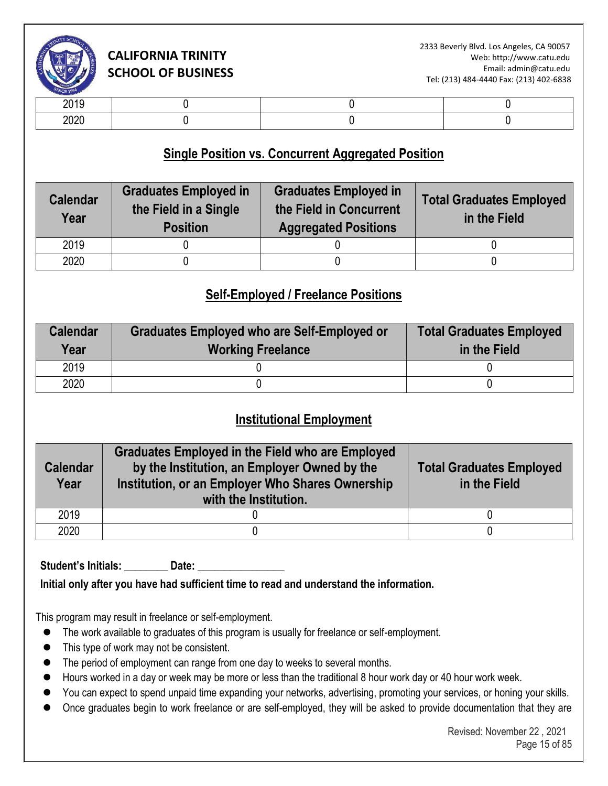

| .            |  |  |
|--------------|--|--|
| חרחר<br>ZUZU |  |  |

### **Single Position vs. Concurrent Aggregated Position**

| <b>Calendar</b><br>Year | <b>Graduates Employed in</b><br>the Field in a Single<br><b>Position</b> | <b>Graduates Employed in</b><br>the Field in Concurrent<br><b>Aggregated Positions</b> | <b>Total Graduates Employed</b><br>in the Field |
|-------------------------|--------------------------------------------------------------------------|----------------------------------------------------------------------------------------|-------------------------------------------------|
| 2019                    |                                                                          |                                                                                        |                                                 |
| 2020                    |                                                                          |                                                                                        |                                                 |

### **Self-Employed / Freelance Positions**

| <b>Calendar</b><br>Year | <b>Graduates Employed who are Self-Employed or</b><br><b>Working Freelance</b> | <b>Total Graduates Employed</b><br>in the Field |
|-------------------------|--------------------------------------------------------------------------------|-------------------------------------------------|
| 2019                    |                                                                                |                                                 |
| 2020                    |                                                                                |                                                 |

### **Institutional Employment**

| <b>Calendar</b><br>Year | <b>Graduates Employed in the Field who are Employed</b><br>by the Institution, an Employer Owned by the<br>Institution, or an Employer Who Shares Ownership<br>with the Institution. | <b>Total Graduates Employed</b><br>in the Field |
|-------------------------|--------------------------------------------------------------------------------------------------------------------------------------------------------------------------------------|-------------------------------------------------|
| 2019                    |                                                                                                                                                                                      |                                                 |
| 2020                    |                                                                                                                                                                                      |                                                 |

Student's Initials: Date:

**Initial only after you have had sufficient time to read and understand the information.** 

This program may result in freelance or self-employment.

- ⚫ The work available to graduates of this program is usually for freelance or self-employment.
- This type of work may not be consistent.
- The period of employment can range from one day to weeks to several months.
- Hours worked in a day or week may be more or less than the traditional 8 hour work day or 40 hour work week.
- You can expect to spend unpaid time expanding your networks, advertising, promoting your services, or honing your skills.
- Once graduates begin to work freelance or are self-employed, they will be asked to provide documentation that they are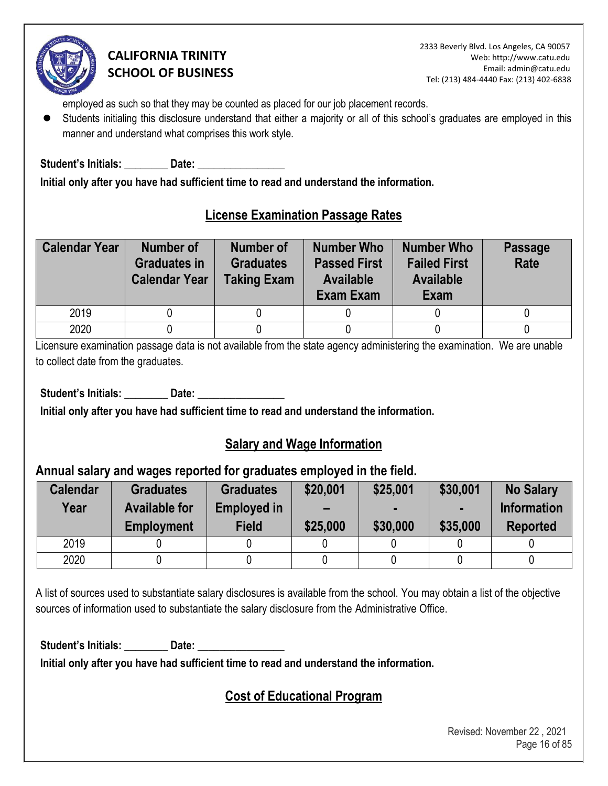

2333 Beverly Blvd. Los Angeles, CA 90057 Web: http://www.catu.edu Email: admin@catu.edu Tel: (213) 484-4440 Fax: (213) 402-6838

employed as such so that they may be counted as placed for our job placement records.

⚫ Students initialing this disclosure understand that either a majority or all of this school's graduates are employed in this manner and understand what comprises this work style.

Student's Initials: **Date:** Date:

**Initial only after you have had sufficient time to read and understand the information.** 

### **License Examination Passage Rates**

| <b>Calendar Year</b> | Number of<br><b>Graduates in</b><br><b>Calendar Year</b> | <b>Number of</b><br><b>Graduates</b><br><b>Taking Exam</b> | <b>Number Who</b><br><b>Passed First</b><br><b>Available</b><br>Exam Exam | <b>Number Who</b><br><b>Failed First</b><br><b>Available</b><br>Exam | <b>Passage</b><br><b>Rate</b> |
|----------------------|----------------------------------------------------------|------------------------------------------------------------|---------------------------------------------------------------------------|----------------------------------------------------------------------|-------------------------------|
| 2019                 |                                                          |                                                            |                                                                           |                                                                      |                               |
| 2020                 |                                                          |                                                            |                                                                           |                                                                      |                               |

Licensure examination passage data is not available from the state agency administering the examination. We are unable to collect date from the graduates.

Student's Initials: Date:

**Initial only after you have had sufficient time to read and understand the information.** 

### **Salary and Wage Information**

### **Annual salary and wages reported for graduates employed in the field.**

| <b>Calendar</b><br>Year | <b>Graduates</b><br><b>Available for</b><br><b>Employment</b> | <b>Graduates</b><br><b>Employed in</b><br>Field | \$20,001<br>$\overline{\phantom{0}}$<br>\$25,000 | \$25,001<br>\$30,000 | \$30,001<br>$\blacksquare$<br>\$35,000 | <b>No Salary</b><br><b>Information</b><br><b>Reported</b> |
|-------------------------|---------------------------------------------------------------|-------------------------------------------------|--------------------------------------------------|----------------------|----------------------------------------|-----------------------------------------------------------|
| 2019                    |                                                               |                                                 |                                                  |                      |                                        |                                                           |
| 2020                    |                                                               |                                                 |                                                  |                      |                                        |                                                           |

A list of sources used to substantiate salary disclosures is available from the school. You may obtain a list of the objective sources of information used to substantiate the salary disclosure from the Administrative Office.

Student's Initials: **Date:** Date:

**Initial only after you have had sufficient time to read and understand the information.** 

### **Cost of Educational Program**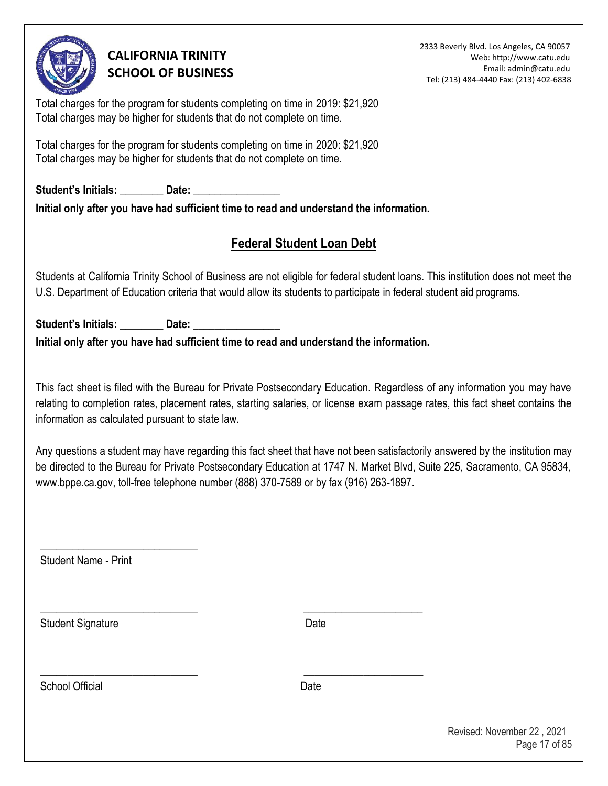

2333 Beverly Blvd. Los Angeles, CA 90057 Web: http://www.catu.edu Email: admin@catu.edu Tel: (213) 484-4440 Fax: (213) 402-6838

Total charges for the program for students completing on time in 2019: \$21,920 Total charges may be higher for students that do not complete on time.

Total charges for the program for students completing on time in 2020: \$21,920 Total charges may be higher for students that do not complete on time.

Student's Initials: **Date:** Date: **Initial only after you have had sufficient time to read and understand the information.** 

# **Federal Student Loan Debt**

Students at California Trinity School of Business are not eligible for federal student loans. This institution does not meet the U.S. Department of Education criteria that would allow its students to participate in federal student aid programs.

Student's Initials: Letter Date: **Initial only after you have had sufficient time to read and understand the information.** 

\_\_\_\_\_\_\_\_\_\_\_\_\_\_\_\_\_\_\_\_\_\_\_\_\_\_\_\_\_ \_\_\_\_\_\_\_\_\_\_\_\_\_\_\_\_\_\_\_\_\_\_

\_\_\_\_\_\_\_\_\_\_\_\_\_\_\_\_\_\_\_\_\_\_\_\_\_\_\_\_\_ \_\_\_\_\_\_\_\_\_\_\_\_\_\_\_\_\_\_\_\_\_\_

This fact sheet is filed with the Bureau for Private Postsecondary Education. Regardless of any information you may have relating to completion rates, placement rates, starting salaries, or license exam passage rates, this fact sheet contains the information as calculated pursuant to state law.

Any questions a student may have regarding this fact sheet that have not been satisfactorily answered by the institution may be directed to the Bureau for Private Postsecondary Education at 1747 N. Market Blvd, Suite 225, Sacramento, CA 95834, www.bppe.ca.gov, toll-free telephone number (888) 370-7589 or by fax (916) 263-1897.

Student Name - Print

 $\overline{\phantom{a}}$  , where  $\overline{\phantom{a}}$  , where  $\overline{\phantom{a}}$  , where  $\overline{\phantom{a}}$  ,  $\overline{\phantom{a}}$  ,  $\overline{\phantom{a}}$  ,  $\overline{\phantom{a}}$  ,  $\overline{\phantom{a}}$  ,  $\overline{\phantom{a}}$  ,  $\overline{\phantom{a}}$  ,  $\overline{\phantom{a}}$  ,  $\overline{\phantom{a}}$  ,  $\overline{\phantom{a}}$  ,  $\overline{\phantom{a}}$  ,  $\overline{\phantom$ 

Student Signature Date

School Official **Date**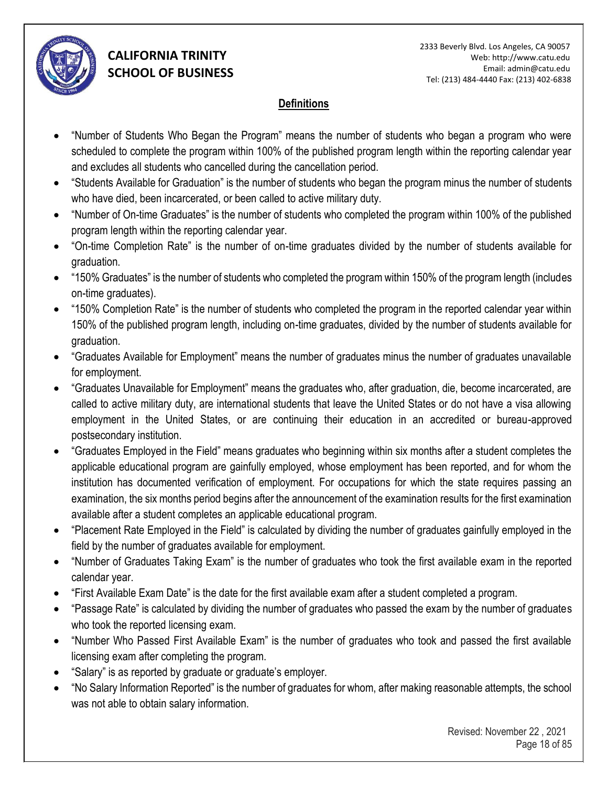

### **Definitions**

- "Number of Students Who Began the Program" means the number of students who began a program who were scheduled to complete the program within 100% of the published program length within the reporting calendar year and excludes all students who cancelled during the cancellation period.
- "Students Available for Graduation" is the number of students who began the program minus the number of students who have died, been incarcerated, or been called to active military duty.
- "Number of On-time Graduates" is the number of students who completed the program within 100% of the published program length within the reporting calendar year.
- "On-time Completion Rate" is the number of on-time graduates divided by the number of students available for graduation.
- "150% Graduates" is the number of students who completed the program within 150% of the program length (includes on-time graduates).
- "150% Completion Rate" is the number of students who completed the program in the reported calendar year within 150% of the published program length, including on-time graduates, divided by the number of students available for graduation.
- "Graduates Available for Employment" means the number of graduates minus the number of graduates unavailable for employment.
- "Graduates Unavailable for Employment" means the graduates who, after graduation, die, become incarcerated, are called to active military duty, are international students that leave the United States or do not have a visa allowing employment in the United States, or are continuing their education in an accredited or bureau-approved postsecondary institution.
- "Graduates Employed in the Field" means graduates who beginning within six months after a student completes the applicable educational program are gainfully employed, whose employment has been reported, and for whom the institution has documented verification of employment. For occupations for which the state requires passing an examination, the six months period begins after the announcement of the examination results for the first examination available after a student completes an applicable educational program.
- "Placement Rate Employed in the Field" is calculated by dividing the number of graduates gainfully employed in the field by the number of graduates available for employment.
- "Number of Graduates Taking Exam" is the number of graduates who took the first available exam in the reported calendar year.
- "First Available Exam Date" is the date for the first available exam after a student completed a program.
- "Passage Rate" is calculated by dividing the number of graduates who passed the exam by the number of graduates who took the reported licensing exam.
- "Number Who Passed First Available Exam" is the number of graduates who took and passed the first available licensing exam after completing the program.
- "Salary" is as reported by graduate or graduate's employer.
- "No Salary Information Reported" is the number of graduates for whom, after making reasonable attempts, the school was not able to obtain salary information.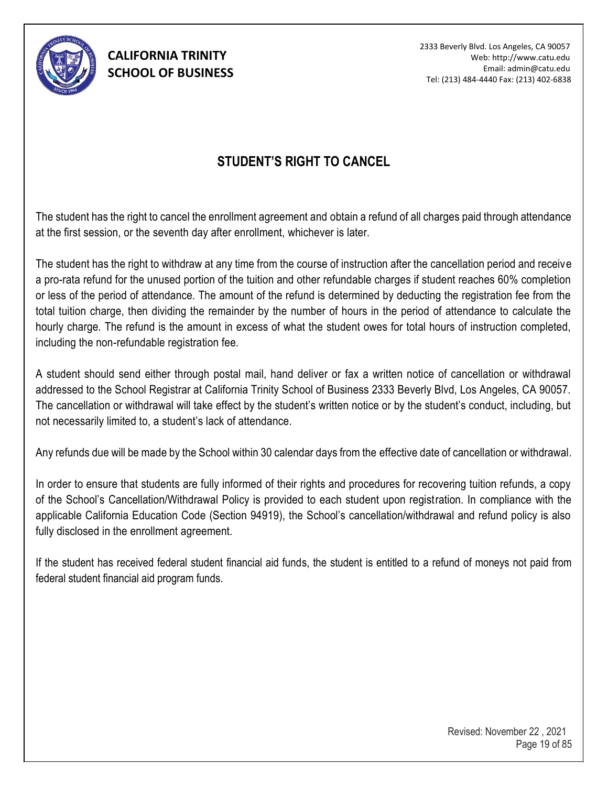

2333 Beverly Blvd. Los Angeles, CA 90057 Web: http://www.catu.edu Email: admin@catu.edu Tel: (213) 484-4440 Fax: (213) 402-6838

## **STUDENT'S RIGHT TO CANCEL**

The student has the right to cancel the enrollment agreement and obtain a refund of all charges paid through attendance at the first session, or the seventh day after enrollment, whichever is later.

The student has the right to withdraw at any time from the course of instruction after the cancellation period and receive a pro-rata refund for the unused portion of the tuition and other refundable charges if student reaches 60% completion or less of the period of attendance. The amount of the refund is determined by deducting the registration fee from the total tuition charge, then dividing the remainder by the number of hours in the period of attendance to calculate the hourly charge. The refund is the amount in excess of what the student owes for total hours of instruction completed, including the non-refundable registration fee.

A student should send either through postal mail, hand deliver or fax a written notice of cancellation or withdrawal addressed to the School Registrar at California Trinity School of Business 2333 Beverly Blvd, Los Angeles, CA 90057. The cancellation or withdrawal will take effect by the student's written notice or by the student's conduct, including, but not necessarily limited to, a student's lack of attendance.

Any refunds due will be made by the School within 30 calendar days from the effective date of cancellation or withdrawal.

In order to ensure that students are fully informed of their rights and procedures for recovering tuition refunds, a copy of the School's Cancellation/Withdrawal Policy is provided to each student upon registration. In compliance with the applicable California Education Code (Section 94919), the School's cancellation/withdrawal and refund policy is also fully disclosed in the enrollment agreement.

If the student has received federal student financial aid funds, the student is entitled to a refund of moneys not paid from federal student financial aid program funds.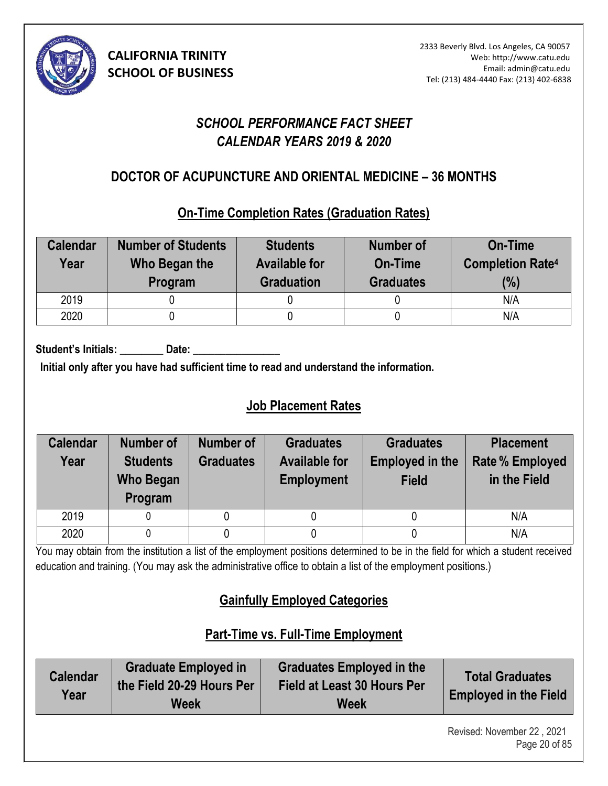

# *SCHOOL PERFORMANCE FACT SHEET CALENDAR YEARS 2019 & 2020*

# **DOCTOR OF ACUPUNCTURE AND ORIENTAL MEDICINE – 36 MONTHS (4)**

## **On-Time Completion Rates (Graduation Rates)**

| <b>Calendar</b><br>Year | <b>Number of Students</b><br>Who Began the<br>Program | <b>Students</b><br><b>Available for</b><br><b>Graduation</b> | <b>Number of</b><br>On-Time<br><b>Graduates</b> | <b>On-Time</b><br><b>Completion Rate4</b><br>(%) |
|-------------------------|-------------------------------------------------------|--------------------------------------------------------------|-------------------------------------------------|--------------------------------------------------|
| 2019                    |                                                       |                                                              |                                                 | N/A                                              |
| 2020                    |                                                       |                                                              |                                                 | N/A                                              |

Student's Initials: Date:

**Initial only after you have had sufficient time to read and understand the information.** 

# **Job Placement Rates**

| <b>Calendar</b><br>Year | <b>Number of</b><br><b>Students</b><br><b>Who Began</b><br>Program | Number of<br><b>Graduates</b> | <b>Graduates</b><br><b>Available for</b><br><b>Employment</b> | <b>Graduates</b><br><b>Employed in the</b><br><b>Field</b> | <b>Placement</b><br><b>Rate % Employed</b><br>in the Field |
|-------------------------|--------------------------------------------------------------------|-------------------------------|---------------------------------------------------------------|------------------------------------------------------------|------------------------------------------------------------|
| 2019                    |                                                                    |                               |                                                               |                                                            | N/A                                                        |
| 2020                    |                                                                    |                               |                                                               |                                                            | N/A                                                        |

You may obtain from the institution a list of the employment positions determined to be in the field for which a student received education and training. (You may ask the administrative office to obtain a list of the employment positions.)

# **Gainfully Employed Categories**

# **Part-Time vs. Full-Time Employment**

| <b>Calendar</b><br>Year | <b>Graduate Employed in</b><br>the Field 20-29 Hours Per<br>Week | <b>Graduates Employed in the</b><br><b>Field at Least 30 Hours Per</b><br><b>Week</b> | <b>Total Graduates</b><br><b>Employed in the Field</b> |
|-------------------------|------------------------------------------------------------------|---------------------------------------------------------------------------------------|--------------------------------------------------------|
|-------------------------|------------------------------------------------------------------|---------------------------------------------------------------------------------------|--------------------------------------------------------|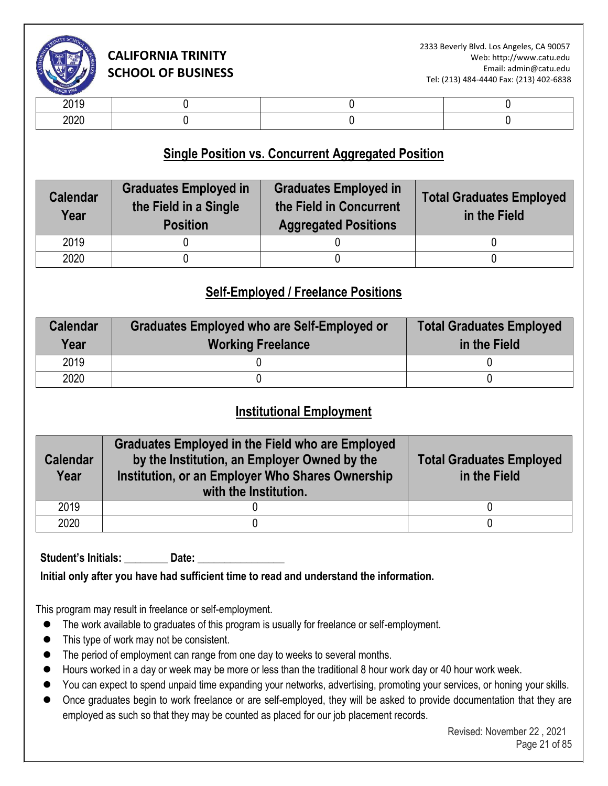

| -- - -       |  |  |
|--------------|--|--|
| nnnr<br>$-0$ |  |  |

### **Single Position vs. Concurrent Aggregated Position**

| <b>Calendar</b><br>Year | <b>Graduates Employed in</b><br>the Field in a Single<br><b>Position</b> | <b>Graduates Employed in</b><br>the Field in Concurrent<br><b>Aggregated Positions</b> | <b>Total Graduates Employed</b><br>in the Field |
|-------------------------|--------------------------------------------------------------------------|----------------------------------------------------------------------------------------|-------------------------------------------------|
| 2019                    |                                                                          |                                                                                        |                                                 |
| 2020                    |                                                                          |                                                                                        |                                                 |

## **Self-Employed / Freelance Positions**

| <b>Calendar</b><br>Year | Graduates Employed who are Self-Employed or<br><b>Working Freelance</b> | <b>Total Graduates Employed</b><br>in the Field |
|-------------------------|-------------------------------------------------------------------------|-------------------------------------------------|
| 2019                    |                                                                         |                                                 |
| 2020                    |                                                                         |                                                 |

### **Institutional Employment**

| <b>Calendar</b><br>Year | <b>Graduates Employed in the Field who are Employed</b><br>by the Institution, an Employer Owned by the<br>Institution, or an Employer Who Shares Ownership<br>with the Institution. | <b>Total Graduates Employed</b><br>in the Field |
|-------------------------|--------------------------------------------------------------------------------------------------------------------------------------------------------------------------------------|-------------------------------------------------|
| 2019                    |                                                                                                                                                                                      |                                                 |
| 2020                    |                                                                                                                                                                                      |                                                 |

Student's Initials: **Date:** Date:

**Initial only after you have had sufficient time to read and understand the information.** 

This program may result in freelance or self-employment.

- ⚫ The work available to graduates of this program is usually for freelance or self-employment.
- This type of work may not be consistent.
- The period of employment can range from one day to weeks to several months.
- Hours worked in a day or week may be more or less than the traditional 8 hour work day or 40 hour work week.
- You can expect to spend unpaid time expanding your networks, advertising, promoting your services, or honing your skills.
- Once graduates begin to work freelance or are self-employed, they will be asked to provide documentation that they are employed as such so that they may be counted as placed for our job placement records.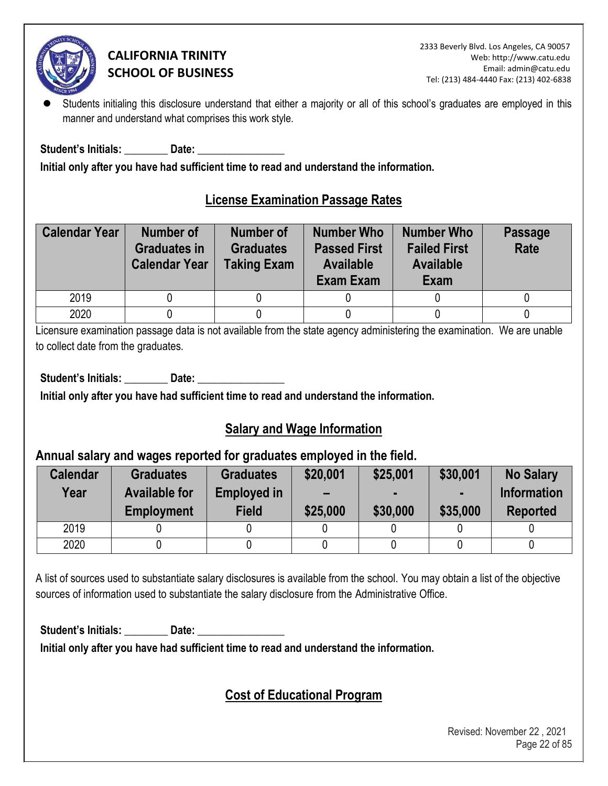

Students initialing this disclosure understand that either a majority or all of this school's graduates are employed in this manner and understand what comprises this work style.

Student's Initials: **Example 10 Date:**  $\overline{\phantom{a}}$ 

**Initial only after you have had sufficient time to read and understand the information.** 

### **License Examination Passage Rates**

| <b>Calendar Year</b> | <b>Number of</b><br><b>Graduates in</b><br><b>Calendar Year</b> | <b>Number of</b><br><b>Graduates</b><br><b>Taking Exam</b> | <b>Number Who</b><br><b>Passed First</b><br><b>Available</b><br>Exam Exam | <b>Number Who</b><br><b>Failed First</b><br><b>Available</b><br>Exam | <b>Passage</b><br>Rate |
|----------------------|-----------------------------------------------------------------|------------------------------------------------------------|---------------------------------------------------------------------------|----------------------------------------------------------------------|------------------------|
| 2019                 |                                                                 |                                                            |                                                                           |                                                                      |                        |
| 2020                 |                                                                 |                                                            |                                                                           |                                                                      |                        |

Licensure examination passage data is not available from the state agency administering the examination. We are unable to collect date from the graduates.

Student's Initials: **Date: Date: Date: Date: Parameter Parameter Parameter Parameter Parameter Parameter** 

**Initial only after you have had sufficient time to read and understand the information.** 

### **Salary and Wage Information**

### **Annual salary and wages reported for graduates employed in the field.**

| <b>Calendar</b><br>Year | <b>Graduates</b><br><b>Available for</b><br><b>Employment</b> | <b>Graduates</b><br><b>Employed in</b><br><b>Field</b> | \$20,001<br>$\overline{\phantom{0}}$<br>\$25,000 | \$25,001<br>\$30,000 | \$30,001<br>\$35,000 | <b>No Salary</b><br><b>Information</b><br><b>Reported</b> |
|-------------------------|---------------------------------------------------------------|--------------------------------------------------------|--------------------------------------------------|----------------------|----------------------|-----------------------------------------------------------|
| 2019                    |                                                               |                                                        |                                                  |                      |                      |                                                           |
| 2020                    |                                                               |                                                        |                                                  |                      |                      |                                                           |

A list of sources used to substantiate salary disclosures is available from the school. You may obtain a list of the objective sources of information used to substantiate the salary disclosure from the Administrative Office.

Student's Initials: **Date: Date: Date: Date: Propriet: Propriet: Propriet: Propriet: Propriet: Propriet: Propriet: Propriet: Propriet: Propriet: Propriet: Propriet: Propriet: Propriet: P** 

**Initial only after you have had sufficient time to read and understand the information.** 

# **Cost of Educational Program**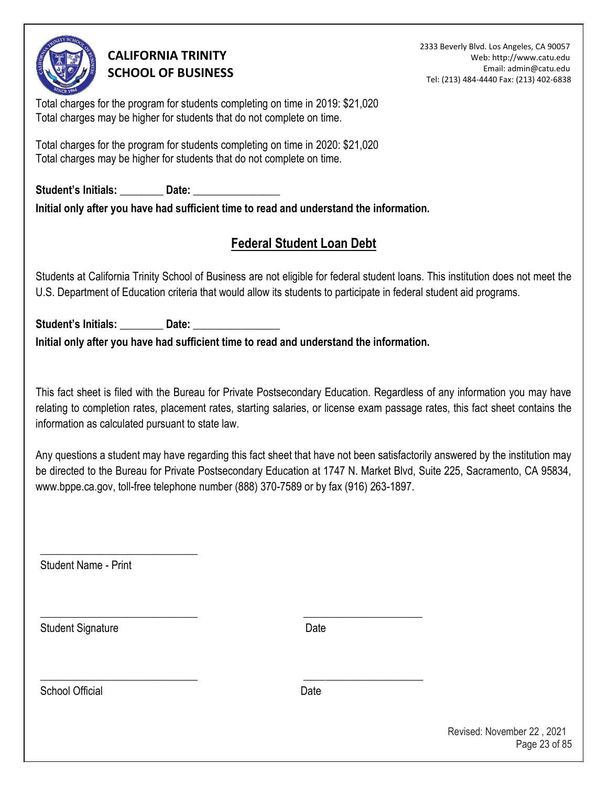

2333 Beverly Blvd. Los Angeles, CA 90057 Web: http://www.catu.edu Email: admin@catu.edu Tel: (213) 484-4440 Fax: (213) 402-6838

Total charges for the program for students completing on time in 2019: \$21,020 Total charges may be higher for students that do not complete on time.

Total charges for the program for students completing on time in 2020: \$21,020 Total charges may be higher for students that do not complete on time.

Student's Initials: **Date: Date:**  $\frac{1}{2}$ **Initial only after you have had sufficient time to read and understand the information.** 

# **Federal Student Loan Debt**

Students at California Trinity School of Business are not eligible for federal student loans. This institution does not meet the U.S. Department of Education criteria that would allow its students to participate in federal student aid programs.

Student's Initials: \_\_\_\_\_\_\_\_\_\_ Date: **Initial only after you have had sufficient time to read and understand the information.** 

\_\_\_\_\_\_\_\_\_\_\_\_\_\_\_\_\_\_\_\_\_\_\_\_\_\_\_\_\_ \_\_\_\_\_\_\_\_\_\_\_\_\_\_\_\_\_\_\_\_\_\_

\_\_\_\_\_\_\_\_\_\_\_\_\_\_\_\_\_\_\_\_\_\_\_\_\_\_\_\_\_ \_\_\_\_\_\_\_\_\_\_\_\_\_\_\_\_\_\_\_\_\_\_

This fact sheet is filed with the Bureau for Private Postsecondary Education. Regardless of any information you may have relating to completion rates, placement rates, starting salaries, or license exam passage rates, this fact sheet contains the information as calculated pursuant to state law.

Any questions a student may have regarding this fact sheet that have not been satisfactorily answered by the institution may be directed to the Bureau for Private Postsecondary Education at 1747 N. Market Blvd, Suite 225, Sacramento, CA 95834, www.bppe.ca.gov, toll-free telephone number (888) 370-7589 or by fax (916) 263-1897.

Student Name - Print

\_\_\_\_\_\_\_\_\_\_\_\_\_\_\_\_\_\_\_\_\_\_\_\_\_\_\_\_\_

Student Signature Date

School Official **Date**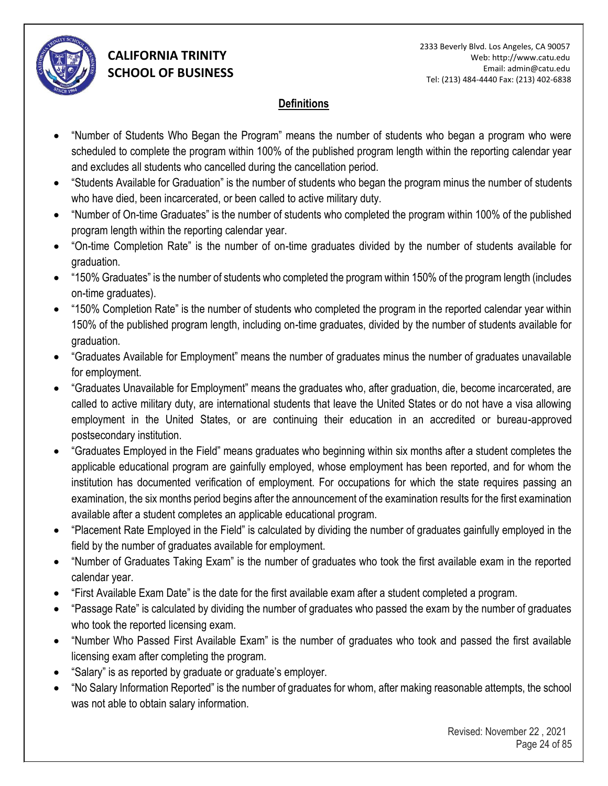

### **Definitions**

- "Number of Students Who Began the Program" means the number of students who began a program who were scheduled to complete the program within 100% of the published program length within the reporting calendar year and excludes all students who cancelled during the cancellation period.
- "Students Available for Graduation" is the number of students who began the program minus the number of students who have died, been incarcerated, or been called to active military duty.
- "Number of On-time Graduates" is the number of students who completed the program within 100% of the published program length within the reporting calendar year.
- "On-time Completion Rate" is the number of on-time graduates divided by the number of students available for graduation.
- "150% Graduates" is the number of students who completed the program within 150% of the program length (includes on-time graduates).
- "150% Completion Rate" is the number of students who completed the program in the reported calendar year within 150% of the published program length, including on-time graduates, divided by the number of students available for graduation.
- "Graduates Available for Employment" means the number of graduates minus the number of graduates unavailable for employment.
- "Graduates Unavailable for Employment" means the graduates who, after graduation, die, become incarcerated, are called to active military duty, are international students that leave the United States or do not have a visa allowing employment in the United States, or are continuing their education in an accredited or bureau-approved postsecondary institution.
- "Graduates Employed in the Field" means graduates who beginning within six months after a student completes the applicable educational program are gainfully employed, whose employment has been reported, and for whom the institution has documented verification of employment. For occupations for which the state requires passing an examination, the six months period begins after the announcement of the examination results for the first examination available after a student completes an applicable educational program.
- "Placement Rate Employed in the Field" is calculated by dividing the number of graduates gainfully employed in the field by the number of graduates available for employment.
- "Number of Graduates Taking Exam" is the number of graduates who took the first available exam in the reported calendar year.
- "First Available Exam Date" is the date for the first available exam after a student completed a program.
- "Passage Rate" is calculated by dividing the number of graduates who passed the exam by the number of graduates who took the reported licensing exam.
- "Number Who Passed First Available Exam" is the number of graduates who took and passed the first available licensing exam after completing the program.
- "Salary" is as reported by graduate or graduate's employer.
- "No Salary Information Reported" is the number of graduates for whom, after making reasonable attempts, the school was not able to obtain salary information.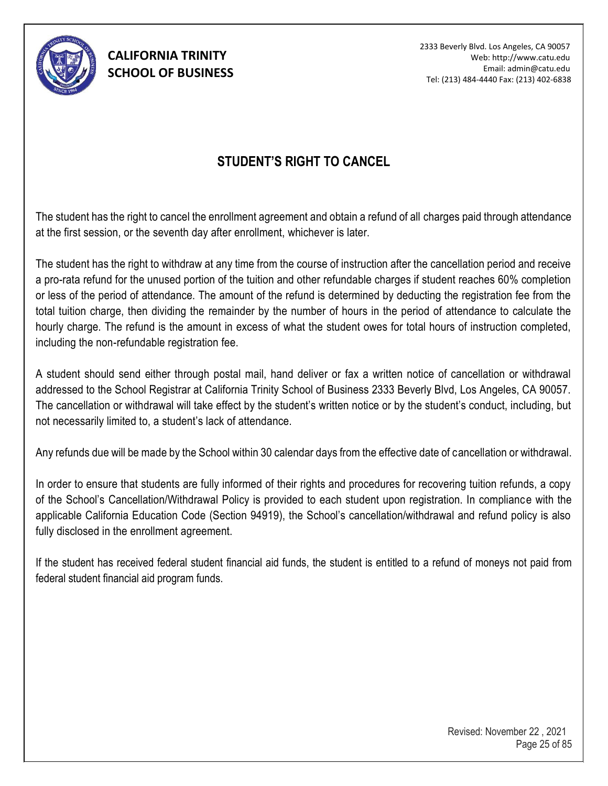

2333 Beverly Blvd. Los Angeles, CA 90057 Web: http://www.catu.edu Email: admin@catu.edu Tel: (213) 484-4440 Fax: (213) 402-6838

## **STUDENT'S RIGHT TO CANCEL**

The student has the right to cancel the enrollment agreement and obtain a refund of all charges paid through attendance at the first session, or the seventh day after enrollment, whichever is later.

The student has the right to withdraw at any time from the course of instruction after the cancellation period and receive a pro-rata refund for the unused portion of the tuition and other refundable charges if student reaches 60% completion or less of the period of attendance. The amount of the refund is determined by deducting the registration fee from the total tuition charge, then dividing the remainder by the number of hours in the period of attendance to calculate the hourly charge. The refund is the amount in excess of what the student owes for total hours of instruction completed, including the non-refundable registration fee.

A student should send either through postal mail, hand deliver or fax a written notice of cancellation or withdrawal addressed to the School Registrar at California Trinity School of Business 2333 Beverly Blvd, Los Angeles, CA 90057. The cancellation or withdrawal will take effect by the student's written notice or by the student's conduct, including, but not necessarily limited to, a student's lack of attendance.

Any refunds due will be made by the School within 30 calendar days from the effective date of cancellation or withdrawal.

In order to ensure that students are fully informed of their rights and procedures for recovering tuition refunds, a copy of the School's Cancellation/Withdrawal Policy is provided to each student upon registration. In compliance with the applicable California Education Code (Section 94919), the School's cancellation/withdrawal and refund policy is also fully disclosed in the enrollment agreement.

If the student has received federal student financial aid funds, the student is entitled to a refund of moneys not paid from federal student financial aid program funds.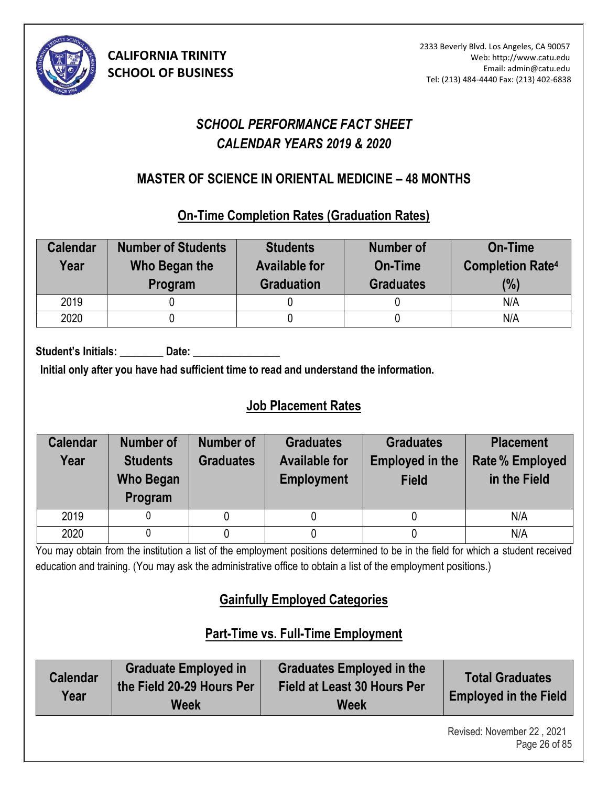

# *SCHOOL PERFORMANCE FACT SHEET CALENDAR YEARS 2019 & 2020*

## **MASTER OF SCIENCE IN ORIENTAL MEDICINE – 48 MONTHS (5)**

### **On-Time Completion Rates (Graduation Rates)**

| <b>Calendar</b><br>Year | <b>Number of Students</b><br>Who Began the<br>Program | <b>Students</b><br><b>Available for</b><br><b>Graduation</b> | <b>Number of</b><br>On-Time<br><b>Graduates</b> | <b>On-Time</b><br><b>Completion Rate4</b><br>(%) |
|-------------------------|-------------------------------------------------------|--------------------------------------------------------------|-------------------------------------------------|--------------------------------------------------|
| 2019                    |                                                       |                                                              |                                                 | N/A                                              |
| 2020                    |                                                       |                                                              |                                                 | N/A                                              |

Student's Initials: Date:

**Initial only after you have had sufficient time to read and understand the information.** 

# **Job Placement Rates**

| <b>Calendar</b> | <b>Number of</b> | <b>Number of</b> | <b>Graduates</b>     | <b>Graduates</b>       | <b>Placement</b>       |
|-----------------|------------------|------------------|----------------------|------------------------|------------------------|
| Year            | <b>Students</b>  | <b>Graduates</b> | <b>Available for</b> | <b>Employed in the</b> | <b>Rate % Employed</b> |
|                 | Who Began        |                  | <b>Employment</b>    | <b>Field</b>           | in the Field           |
|                 | Program          |                  |                      |                        |                        |
| 2019            |                  |                  |                      |                        | N/A                    |
| 2020            |                  |                  |                      |                        | N/A                    |

You may obtain from the institution a list of the employment positions determined to be in the field for which a student received education and training. (You may ask the administrative office to obtain a list of the employment positions.)

# **Gainfully Employed Categories**

# **Part-Time vs. Full-Time Employment**

| <b>Calendar</b><br>Year | <b>Graduate Employed in</b><br>the Field 20-29 Hours Per<br>Week | <b>Graduates Employed in the</b><br>Field at Least 30 Hours Per<br>Week | <b>Total Graduates</b><br><b>Employed in the Field</b> |
|-------------------------|------------------------------------------------------------------|-------------------------------------------------------------------------|--------------------------------------------------------|
|-------------------------|------------------------------------------------------------------|-------------------------------------------------------------------------|--------------------------------------------------------|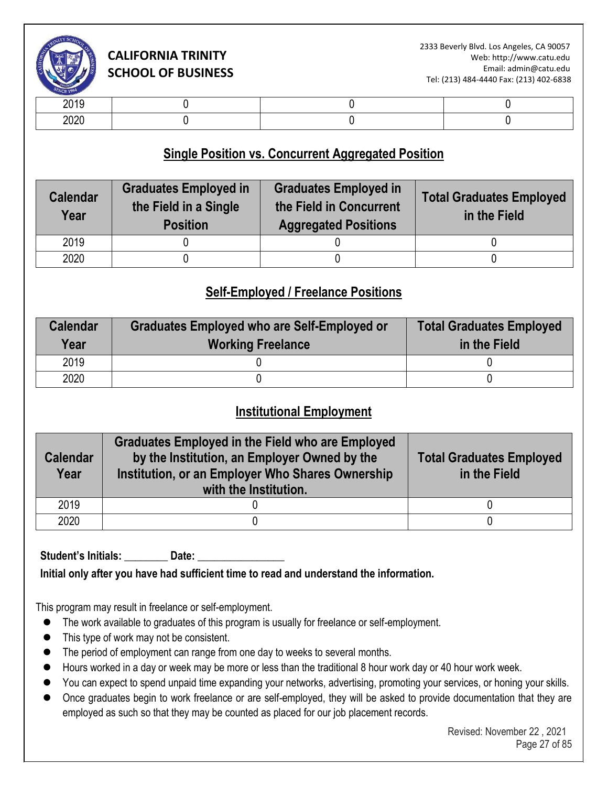

| .            |  |  |
|--------------|--|--|
| חרחר<br>ZUZU |  |  |

### **Single Position vs. Concurrent Aggregated Position**

| <b>Calendar</b><br>Year | <b>Graduates Employed in</b><br>the Field in a Single<br><b>Position</b> | <b>Graduates Employed in</b><br>the Field in Concurrent<br><b>Aggregated Positions</b> | <b>Total Graduates Employed</b><br>in the Field |
|-------------------------|--------------------------------------------------------------------------|----------------------------------------------------------------------------------------|-------------------------------------------------|
| 2019                    |                                                                          |                                                                                        |                                                 |
| 2020                    |                                                                          |                                                                                        |                                                 |

## **Self-Employed / Freelance Positions**

| <b>Calendar</b><br>Year | Graduates Employed who are Self-Employed or<br><b>Working Freelance</b> | <b>Total Graduates Employed</b><br>in the Field |
|-------------------------|-------------------------------------------------------------------------|-------------------------------------------------|
| 2019                    |                                                                         |                                                 |
| 2020                    |                                                                         |                                                 |

### **Institutional Employment**

| <b>Calendar</b><br>Year | <b>Graduates Employed in the Field who are Employed</b><br>by the Institution, an Employer Owned by the<br>Institution, or an Employer Who Shares Ownership<br>with the Institution. | <b>Total Graduates Employed</b><br>in the Field |
|-------------------------|--------------------------------------------------------------------------------------------------------------------------------------------------------------------------------------|-------------------------------------------------|
| 2019                    |                                                                                                                                                                                      |                                                 |
| 2020                    |                                                                                                                                                                                      |                                                 |

Student's Initials: **\_\_\_\_\_\_\_\_** Date: \_\_\_\_

**Initial only after you have had sufficient time to read and understand the information.** 

This program may result in freelance or self-employment.

- ⚫ The work available to graduates of this program is usually for freelance or self-employment.
- This type of work may not be consistent.
- The period of employment can range from one day to weeks to several months.
- Hours worked in a day or week may be more or less than the traditional 8 hour work day or 40 hour work week.
- You can expect to spend unpaid time expanding your networks, advertising, promoting your services, or honing your skills.
- Once graduates begin to work freelance or are self-employed, they will be asked to provide documentation that they are employed as such so that they may be counted as placed for our job placement records.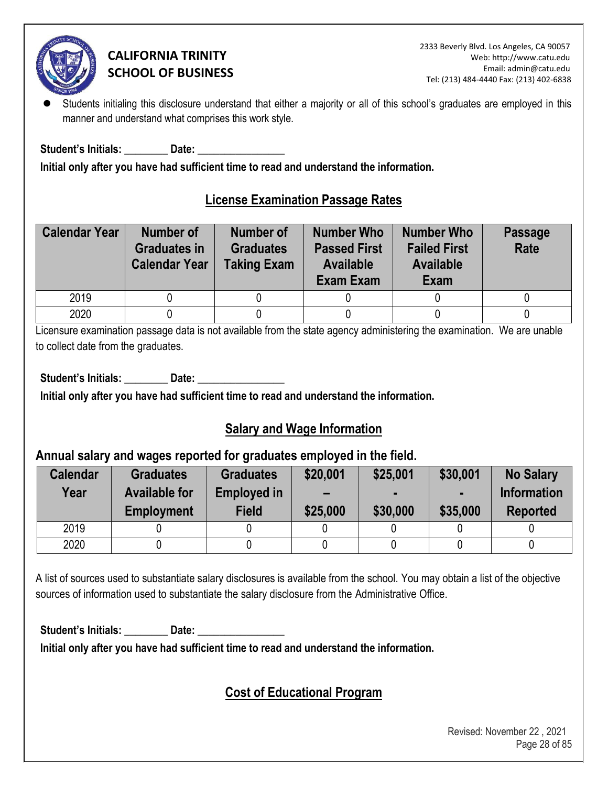

Students initialing this disclosure understand that either a majority or all of this school's graduates are employed in this manner and understand what comprises this work style.

**Student's Initials: \_\_\_\_\_\_\_\_ Date: \_\_\_\_\_\_\_\_\_\_\_\_\_\_\_\_** 

**Initial only after you have had sufficient time to read and understand the information.** 

## **License Examination Passage Rates**

| <b>Calendar Year</b> | <b>Number of</b><br><b>Graduates in</b><br><b>Calendar Year</b> | <b>Number of</b><br><b>Graduates</b><br><b>Taking Exam</b> | <b>Number Who</b><br><b>Passed First</b><br><b>Available</b><br>Exam Exam | <b>Number Who</b><br><b>Failed First</b><br><b>Available</b><br>Exam | <b>Passage</b><br>Rate |
|----------------------|-----------------------------------------------------------------|------------------------------------------------------------|---------------------------------------------------------------------------|----------------------------------------------------------------------|------------------------|
| 2019                 |                                                                 |                                                            |                                                                           |                                                                      |                        |
| 2020                 |                                                                 |                                                            |                                                                           |                                                                      |                        |

Licensure examination passage data is not available from the state agency administering the examination. We are unable to collect date from the graduates.

Student's Initials: **Date: Date: Date: Date: Parameter Parameter Parameter Parameter Parameter Parameter** 

**Initial only after you have had sufficient time to read and understand the information.** 

### **Salary and Wage Information**

### **Annual salary and wages reported for graduates employed in the field.**

| <b>Calendar</b><br>Year | <b>Graduates</b><br><b>Available for</b><br><b>Employment</b> | <b>Graduates</b><br><b>Employed in</b><br><b>Field</b> | \$20,001<br>$\overline{\phantom{0}}$<br>\$25,000 | \$25,001<br>\$30,000 | \$30,001<br>\$35,000 | <b>No Salary</b><br><b>Information</b><br><b>Reported</b> |
|-------------------------|---------------------------------------------------------------|--------------------------------------------------------|--------------------------------------------------|----------------------|----------------------|-----------------------------------------------------------|
| 2019                    |                                                               |                                                        |                                                  |                      |                      |                                                           |
| 2020                    |                                                               |                                                        |                                                  |                      |                      |                                                           |

A list of sources used to substantiate salary disclosures is available from the school. You may obtain a list of the objective sources of information used to substantiate the salary disclosure from the Administrative Office.

Student's Initials: **Date: Date: Date: Date: Propriet: Propriet: Propriet: Propriet: Propriet: Propriet: Propriet: Propriet: Propriet: Propriet: Propriet: Propriet: Propriet: Propriet: P** 

**Initial only after you have had sufficient time to read and understand the information.** 

# **Cost of Educational Program**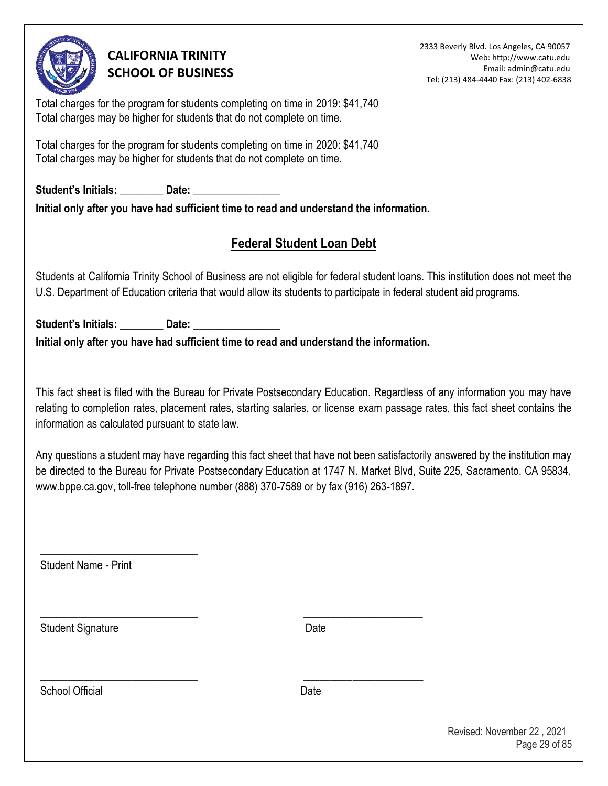

2333 Beverly Blvd. Los Angeles, CA 90057 Web: http://www.catu.edu Email: admin@catu.edu Tel: (213) 484-4440 Fax: (213) 402-6838

Total charges for the program for students completing on time in 2019: \$41,740 Total charges may be higher for students that do not complete on time.

Total charges for the program for students completing on time in 2020: \$41,740 Total charges may be higher for students that do not complete on time.

Student's Initials: **Date: Date: Date: Date: Propriet: Propriet: Propriet: Propriet: Propriet: Propriet: Propriet: Propriet: Propriet: Propriet: Propriet: Propriet: Propriet: Propriet: P Initial only after you have had sufficient time to read and understand the information.** 

# **Federal Student Loan Debt**

Students at California Trinity School of Business are not eligible for federal student loans. This institution does not meet the U.S. Department of Education criteria that would allow its students to participate in federal student aid programs.

Student's Initials: \_\_\_\_\_\_\_\_\_\_ Date: **Initial only after you have had sufficient time to read and understand the information.** 

\_\_\_\_\_\_\_\_\_\_\_\_\_\_\_\_\_\_\_\_\_\_\_\_\_\_\_\_\_ \_\_\_\_\_\_\_\_\_\_\_\_\_\_\_\_\_\_\_\_\_\_

\_\_\_\_\_\_\_\_\_\_\_\_\_\_\_\_\_\_\_\_\_\_\_\_\_\_\_\_\_ \_\_\_\_\_\_\_\_\_\_\_\_\_\_\_\_\_\_\_\_\_\_

This fact sheet is filed with the Bureau for Private Postsecondary Education. Regardless of any information you may have relating to completion rates, placement rates, starting salaries, or license exam passage rates, this fact sheet contains the information as calculated pursuant to state law.

Any questions a student may have regarding this fact sheet that have not been satisfactorily answered by the institution may be directed to the Bureau for Private Postsecondary Education at 1747 N. Market Blvd, Suite 225, Sacramento, CA 95834, www.bppe.ca.gov, toll-free telephone number (888) 370-7589 or by fax (916) 263-1897.

Student Name - Print

\_\_\_\_\_\_\_\_\_\_\_\_\_\_\_\_\_\_\_\_\_\_\_\_\_\_\_\_\_

Student Signature Date

School Official **Date**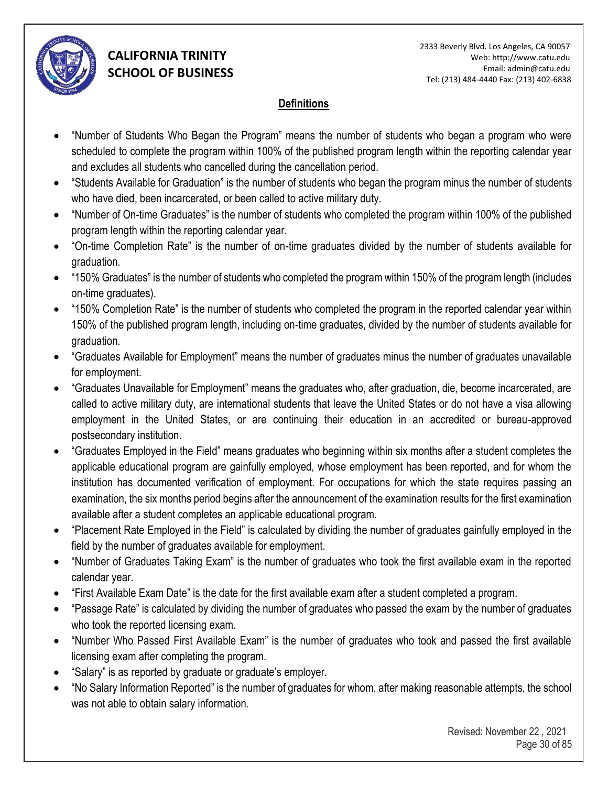

### **Definitions**

- "Number of Students Who Began the Program" means the number of students who began a program who were scheduled to complete the program within 100% of the published program length within the reporting calendar year and excludes all students who cancelled during the cancellation period.
- "Students Available for Graduation" is the number of students who began the program minus the number of students who have died, been incarcerated, or been called to active military duty.
- "Number of On-time Graduates" is the number of students who completed the program within 100% of the published program length within the reporting calendar year.
- "On-time Completion Rate" is the number of on-time graduates divided by the number of students available for graduation.
- "150% Graduates" is the number of students who completed the program within 150% of the program length (includes on-time graduates).
- "150% Completion Rate" is the number of students who completed the program in the reported calendar year within 150% of the published program length, including on-time graduates, divided by the number of students available for graduation.
- "Graduates Available for Employment" means the number of graduates minus the number of graduates unavailable for employment.
- "Graduates Unavailable for Employment" means the graduates who, after graduation, die, become incarcerated, are called to active military duty, are international students that leave the United States or do not have a visa allowing employment in the United States, or are continuing their education in an accredited or bureau-approved postsecondary institution.
- "Graduates Employed in the Field" means graduates who beginning within six months after a student completes the applicable educational program are gainfully employed, whose employment has been reported, and for whom the institution has documented verification of employment. For occupations for which the state requires passing an examination, the six months period begins after the announcement of the examination results for the first examination available after a student completes an applicable educational program.
- "Placement Rate Employed in the Field" is calculated by dividing the number of graduates gainfully employed in the field by the number of graduates available for employment.
- "Number of Graduates Taking Exam" is the number of graduates who took the first available exam in the reported calendar year.
- "First Available Exam Date" is the date for the first available exam after a student completed a program.
- "Passage Rate" is calculated by dividing the number of graduates who passed the exam by the number of graduates who took the reported licensing exam.
- "Number Who Passed First Available Exam" is the number of graduates who took and passed the first available licensing exam after completing the program.
- "Salary" is as reported by graduate or graduate's employer.
- "No Salary Information Reported" is the number of graduates for whom, after making reasonable attempts, the school was not able to obtain salary information.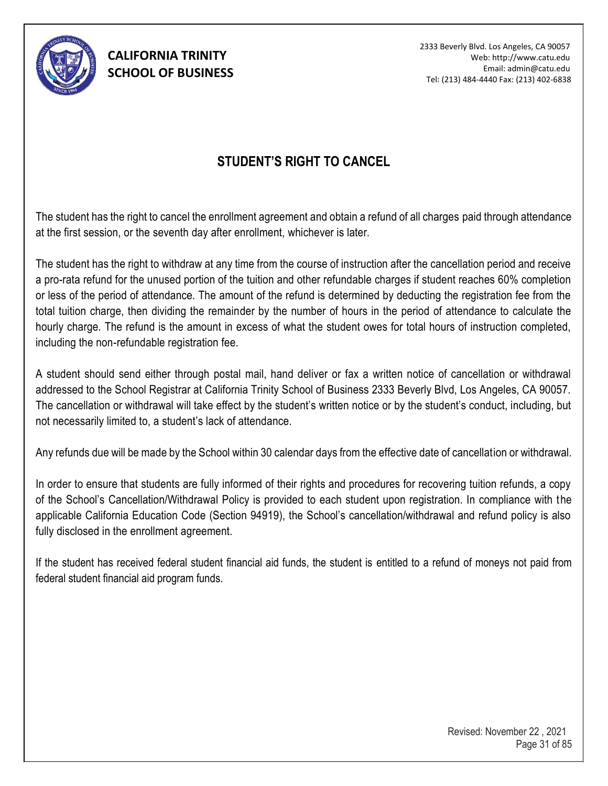

2333 Beverly Blvd. Los Angeles, CA 90057 Web: http://www.catu.edu Email: admin@catu.edu Tel: (213) 484-4440 Fax: (213) 402-6838

## **STUDENT'S RIGHT TO CANCEL**

The student has the right to cancel the enrollment agreement and obtain a refund of all charges paid through attendance at the first session, or the seventh day after enrollment, whichever is later.

The student has the right to withdraw at any time from the course of instruction after the cancellation period and receive a pro-rata refund for the unused portion of the tuition and other refundable charges if student reaches 60% completion or less of the period of attendance. The amount of the refund is determined by deducting the registration fee from the total tuition charge, then dividing the remainder by the number of hours in the period of attendance to calculate the hourly charge. The refund is the amount in excess of what the student owes for total hours of instruction completed, including the non-refundable registration fee.

A student should send either through postal mail, hand deliver or fax a written notice of cancellation or withdrawal addressed to the School Registrar at California Trinity School of Business 2333 Beverly Blvd, Los Angeles, CA 90057. The cancellation or withdrawal will take effect by the student's written notice or by the student's conduct, including, but not necessarily limited to, a student's lack of attendance.

Any refunds due will be made by the School within 30 calendar days from the effective date of cancellation or withdrawal.

In order to ensure that students are fully informed of their rights and procedures for recovering tuition refunds, a copy of the School's Cancellation/Withdrawal Policy is provided to each student upon registration. In compliance with the applicable California Education Code (Section 94919), the School's cancellation/withdrawal and refund policy is also fully disclosed in the enrollment agreement.

If the student has received federal student financial aid funds, the student is entitled to a refund of moneys not paid from federal student financial aid program funds.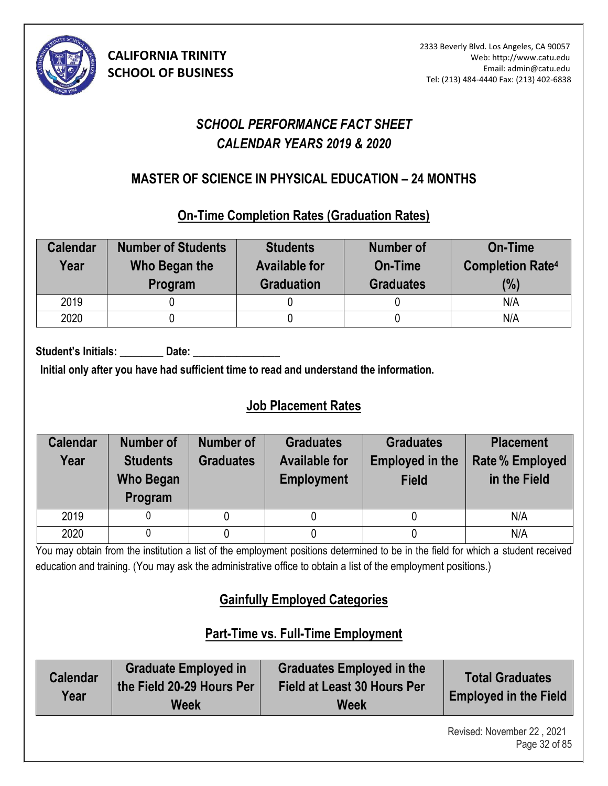

# *SCHOOL PERFORMANCE FACT SHEET CALENDAR YEARS 2019 & 2020*

# **MASTER OF SCIENCE IN PHYSICAL EDUCATION – 24 MONTHS (6)**

### **On-Time Completion Rates (Graduation Rates)**

| <b>Calendar</b><br>Year | <b>Number of Students</b><br>Who Began the<br>Program | <b>Students</b><br><b>Available for</b><br><b>Graduation</b> | <b>Number of</b><br>On-Time<br><b>Graduates</b> | <b>On-Time</b><br><b>Completion Rate4</b><br>(%) |
|-------------------------|-------------------------------------------------------|--------------------------------------------------------------|-------------------------------------------------|--------------------------------------------------|
| 2019                    |                                                       |                                                              |                                                 | N/A                                              |
| 2020                    |                                                       |                                                              |                                                 | N/A                                              |

Student's Initials: Date:

**Initial only after you have had sufficient time to read and understand the information.** 

# **Job Placement Rates**

| <b>Calendar</b><br>Year | <b>Number of</b><br><b>Students</b><br><b>Who Began</b><br>Program | <b>Number of</b><br><b>Graduates</b> | <b>Graduates</b><br><b>Available for</b><br><b>Employment</b> | <b>Graduates</b><br><b>Employed in the</b><br><b>Field</b> | <b>Placement</b><br><b>Rate % Employed</b><br>in the Field |
|-------------------------|--------------------------------------------------------------------|--------------------------------------|---------------------------------------------------------------|------------------------------------------------------------|------------------------------------------------------------|
| 2019                    |                                                                    |                                      |                                                               |                                                            | N/A                                                        |
| 2020                    |                                                                    |                                      |                                                               |                                                            | N/A                                                        |

You may obtain from the institution a list of the employment positions determined to be in the field for which a student received education and training. (You may ask the administrative office to obtain a list of the employment positions.)

# **Gainfully Employed Categories**

# **Part-Time vs. Full-Time Employment**

| <b>Calendar</b><br>Year | <b>Graduate Employed in</b><br>the Field 20-29 Hours Per<br>Week | <b>Graduates Employed in the</b><br>Field at Least 30 Hours Per<br>Week | <b>Total Graduates</b><br><b>Employed in the Field</b> |
|-------------------------|------------------------------------------------------------------|-------------------------------------------------------------------------|--------------------------------------------------------|
|-------------------------|------------------------------------------------------------------|-------------------------------------------------------------------------|--------------------------------------------------------|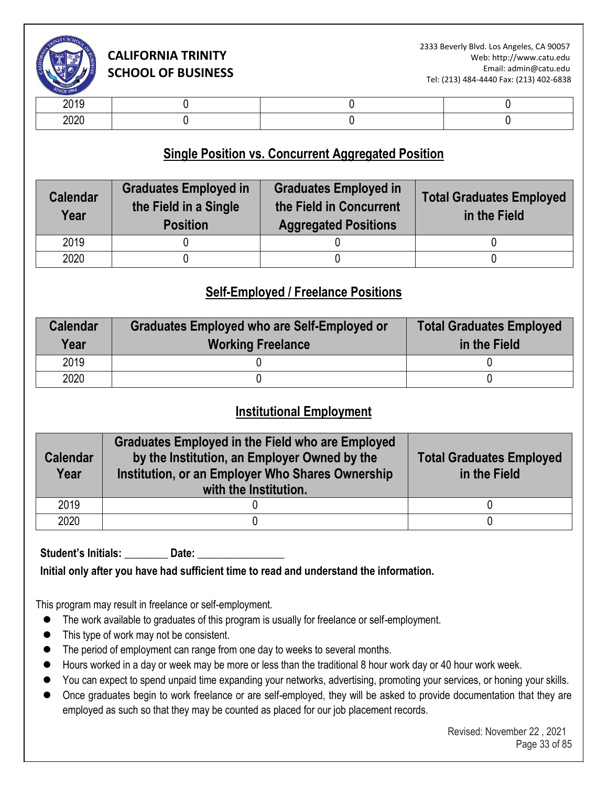

| -- - -           |  |  |
|------------------|--|--|
| $\cdots$<br>$-0$ |  |  |

### **Single Position vs. Concurrent Aggregated Position**

| <b>Graduates Employed in</b><br><b>Calendar</b><br>the Field in a Single<br>Year<br><b>Position</b> |  | <b>Graduates Employed in</b><br>the Field in Concurrent<br><b>Aggregated Positions</b> | <b>Total Graduates Employed</b><br>in the Field |  |
|-----------------------------------------------------------------------------------------------------|--|----------------------------------------------------------------------------------------|-------------------------------------------------|--|
| 2019                                                                                                |  |                                                                                        |                                                 |  |
| 2020                                                                                                |  |                                                                                        |                                                 |  |

### **Self-Employed / Freelance Positions**

| <b>Calendar</b><br>Year | <b>Graduates Employed who are Self-Employed or</b><br><b>Working Freelance</b> | <b>Total Graduates Employed</b><br>in the Field |
|-------------------------|--------------------------------------------------------------------------------|-------------------------------------------------|
| 2019                    |                                                                                |                                                 |
| 2020                    |                                                                                |                                                 |

### **Institutional Employment**

| <b>Calendar</b><br>Year | <b>Graduates Employed in the Field who are Employed</b><br>by the Institution, an Employer Owned by the<br>Institution, or an Employer Who Shares Ownership<br>with the Institution. | <b>Total Graduates Employed</b><br>in the Field |  |
|-------------------------|--------------------------------------------------------------------------------------------------------------------------------------------------------------------------------------|-------------------------------------------------|--|
| 2019                    |                                                                                                                                                                                      |                                                 |  |
| 2020                    |                                                                                                                                                                                      |                                                 |  |

Student's Initials: Date:

**Initial only after you have had sufficient time to read and understand the information.** 

This program may result in freelance or self-employment.

- ⚫ The work available to graduates of this program is usually for freelance or self-employment.
- This type of work may not be consistent.
- The period of employment can range from one day to weeks to several months.
- Hours worked in a day or week may be more or less than the traditional 8 hour work day or 40 hour work week.
- You can expect to spend unpaid time expanding your networks, advertising, promoting your services, or honing your skills.
- Once graduates begin to work freelance or are self-employed, they will be asked to provide documentation that they are employed as such so that they may be counted as placed for our job placement records.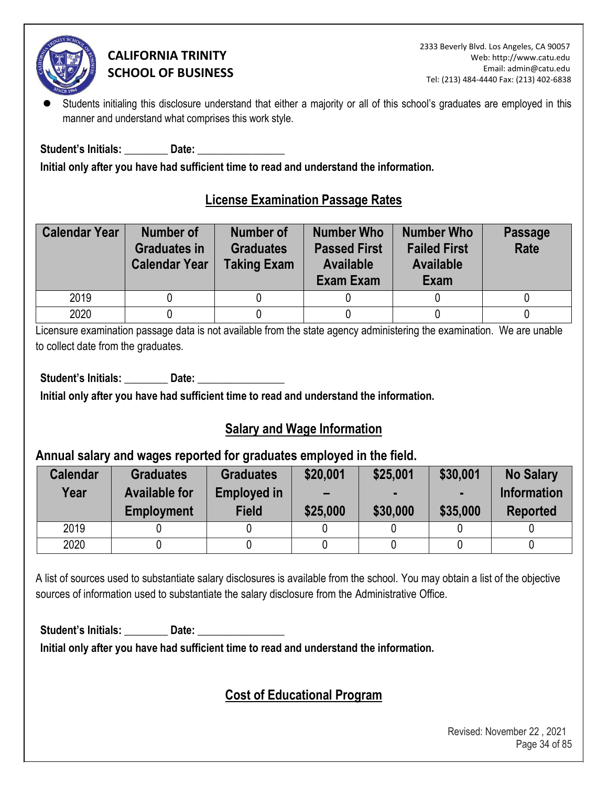

Students initialing this disclosure understand that either a majority or all of this school's graduates are employed in this manner and understand what comprises this work style.

**Student's Initials: \_\_\_\_\_\_\_\_ Date: \_\_\_\_\_\_\_\_\_\_\_\_\_\_\_\_** 

**Initial only after you have had sufficient time to read and understand the information.** 

## **License Examination Passage Rates**

| <b>Calendar Year</b> | <b>Number of</b><br><b>Graduates in</b><br><b>Calendar Year</b> | <b>Number of</b><br><b>Graduates</b><br><b>Taking Exam</b> | <b>Number Who</b><br><b>Passed First</b><br><b>Available</b><br>Exam Exam | <b>Number Who</b><br><b>Failed First</b><br><b>Available</b><br>Exam | <b>Passage</b><br>Rate |
|----------------------|-----------------------------------------------------------------|------------------------------------------------------------|---------------------------------------------------------------------------|----------------------------------------------------------------------|------------------------|
| 2019                 |                                                                 |                                                            |                                                                           |                                                                      |                        |
| 2020                 |                                                                 |                                                            |                                                                           |                                                                      |                        |

Licensure examination passage data is not available from the state agency administering the examination. We are unable to collect date from the graduates.

Student's Initials: **Date: Date: Date: Date: Parameter Parameter Parameter Parameter Parameter Parameter** 

**Initial only after you have had sufficient time to read and understand the information.** 

### **Salary and Wage Information**

### **Annual salary and wages reported for graduates employed in the field.**

| <b>Calendar</b><br>Year | <b>Graduates</b><br><b>Available for</b><br><b>Employment</b> | <b>Graduates</b><br><b>Employed in</b><br><b>Field</b> | \$20,001<br>$\overline{\phantom{0}}$<br>\$25,000 | \$25,001<br>\$30,000 | \$30,001<br>\$35,000 | <b>No Salary</b><br><b>Information</b><br><b>Reported</b> |
|-------------------------|---------------------------------------------------------------|--------------------------------------------------------|--------------------------------------------------|----------------------|----------------------|-----------------------------------------------------------|
| 2019                    |                                                               |                                                        |                                                  |                      |                      |                                                           |
| 2020                    |                                                               |                                                        |                                                  |                      |                      |                                                           |

A list of sources used to substantiate salary disclosures is available from the school. You may obtain a list of the objective sources of information used to substantiate the salary disclosure from the Administrative Office.

Student's Initials: **Date: Date: Date: Date: Propriet: Propriet: Propriet: Propriet: Propriet: Propriet: Propriet: Propriet: Propriet: Propriet: Propriet: Propriet: Propriet: Propriet: P** 

**Initial only after you have had sufficient time to read and understand the information.** 

# **Cost of Educational Program**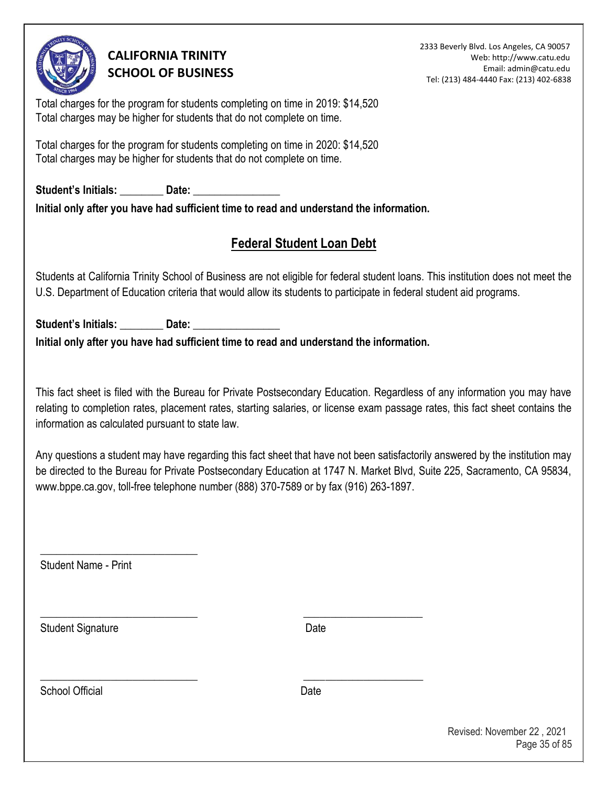

2333 Beverly Blvd. Los Angeles, CA 90057 Web: http://www.catu.edu Email: admin@catu.edu Tel: (213) 484-4440 Fax: (213) 402-6838

Total charges for the program for students completing on time in 2019: \$14,520 Total charges may be higher for students that do not complete on time.

Total charges for the program for students completing on time in 2020: \$14,520 Total charges may be higher for students that do not complete on time.

Student's Initials: **Date: Date:**  $\frac{1}{2}$ **Initial only after you have had sufficient time to read and understand the information.** 

# **Federal Student Loan Debt**

Students at California Trinity School of Business are not eligible for federal student loans. This institution does not meet the U.S. Department of Education criteria that would allow its students to participate in federal student aid programs.

Student's Initials: \_\_\_\_\_\_\_\_\_\_ Date: **Initial only after you have had sufficient time to read and understand the information.** 

\_\_\_\_\_\_\_\_\_\_\_\_\_\_\_\_\_\_\_\_\_\_\_\_\_\_\_\_\_ \_\_\_\_\_\_\_\_\_\_\_\_\_\_\_\_\_\_\_\_\_\_

\_\_\_\_\_\_\_\_\_\_\_\_\_\_\_\_\_\_\_\_\_\_\_\_\_\_\_\_\_ \_\_\_\_\_\_\_\_\_\_\_\_\_\_\_\_\_\_\_\_\_\_

This fact sheet is filed with the Bureau for Private Postsecondary Education. Regardless of any information you may have relating to completion rates, placement rates, starting salaries, or license exam passage rates, this fact sheet contains the information as calculated pursuant to state law.

Any questions a student may have regarding this fact sheet that have not been satisfactorily answered by the institution may be directed to the Bureau for Private Postsecondary Education at 1747 N. Market Blvd, Suite 225, Sacramento, CA 95834, www.bppe.ca.gov, toll-free telephone number (888) 370-7589 or by fax (916) 263-1897.

Student Name - Print

\_\_\_\_\_\_\_\_\_\_\_\_\_\_\_\_\_\_\_\_\_\_\_\_\_\_\_\_\_

Student Signature Date

School Official **Date**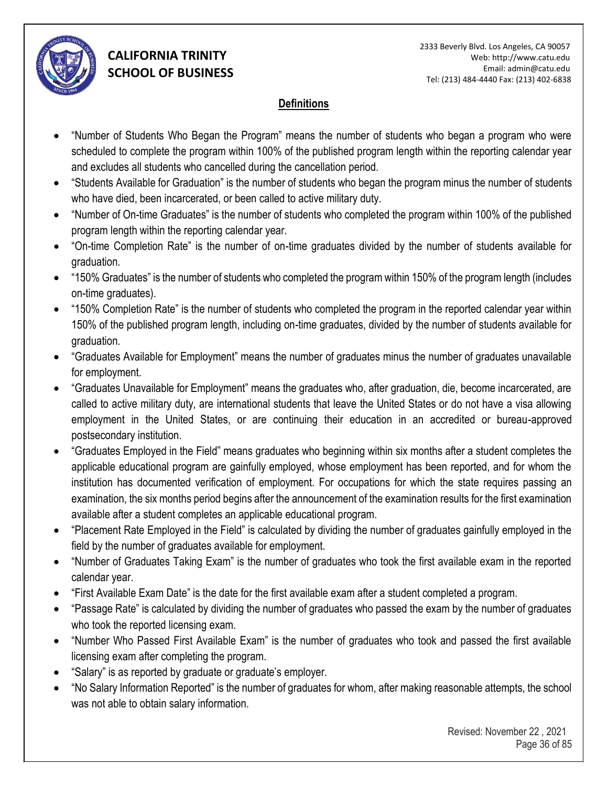

### **Definitions**

- "Number of Students Who Began the Program" means the number of students who began a program who were scheduled to complete the program within 100% of the published program length within the reporting calendar year and excludes all students who cancelled during the cancellation period.
- "Students Available for Graduation" is the number of students who began the program minus the number of students who have died, been incarcerated, or been called to active military duty.
- "Number of On-time Graduates" is the number of students who completed the program within 100% of the published program length within the reporting calendar year.
- "On-time Completion Rate" is the number of on-time graduates divided by the number of students available for graduation.
- "150% Graduates" is the number of students who completed the program within 150% of the program length (includes on-time graduates).
- "150% Completion Rate" is the number of students who completed the program in the reported calendar year within 150% of the published program length, including on-time graduates, divided by the number of students available for graduation.
- "Graduates Available for Employment" means the number of graduates minus the number of graduates unavailable for employment.
- "Graduates Unavailable for Employment" means the graduates who, after graduation, die, become incarcerated, are called to active military duty, are international students that leave the United States or do not have a visa allowing employment in the United States, or are continuing their education in an accredited or bureau-approved postsecondary institution.
- "Graduates Employed in the Field" means graduates who beginning within six months after a student completes the applicable educational program are gainfully employed, whose employment has been reported, and for whom the institution has documented verification of employment. For occupations for which the state requires passing an examination, the six months period begins after the announcement of the examination results for the first examination available after a student completes an applicable educational program.
- "Placement Rate Employed in the Field" is calculated by dividing the number of graduates gainfully employed in the field by the number of graduates available for employment.
- "Number of Graduates Taking Exam" is the number of graduates who took the first available exam in the reported calendar year.
- "First Available Exam Date" is the date for the first available exam after a student completed a program.
- "Passage Rate" is calculated by dividing the number of graduates who passed the exam by the number of graduates who took the reported licensing exam.
- "Number Who Passed First Available Exam" is the number of graduates who took and passed the first available licensing exam after completing the program.
- "Salary" is as reported by graduate or graduate's employer.
- "No Salary Information Reported" is the number of graduates for whom, after making reasonable attempts, the school was not able to obtain salary information.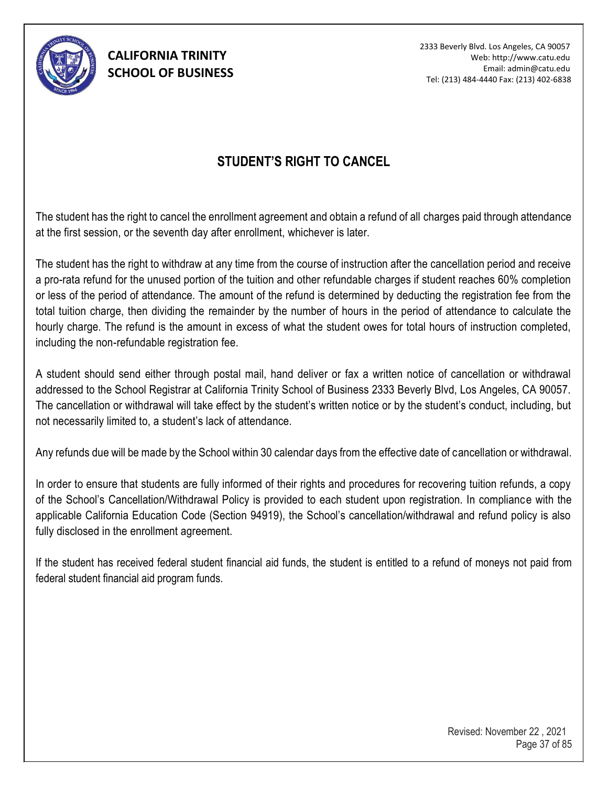

2333 Beverly Blvd. Los Angeles, CA 90057 Web: http://www.catu.edu Email: admin@catu.edu Tel: (213) 484-4440 Fax: (213) 402-6838

### **STUDENT'S RIGHT TO CANCEL**

The student has the right to cancel the enrollment agreement and obtain a refund of all charges paid through attendance at the first session, or the seventh day after enrollment, whichever is later.

The student has the right to withdraw at any time from the course of instruction after the cancellation period and receive a pro-rata refund for the unused portion of the tuition and other refundable charges if student reaches 60% completion or less of the period of attendance. The amount of the refund is determined by deducting the registration fee from the total tuition charge, then dividing the remainder by the number of hours in the period of attendance to calculate the hourly charge. The refund is the amount in excess of what the student owes for total hours of instruction completed, including the non-refundable registration fee.

A student should send either through postal mail, hand deliver or fax a written notice of cancellation or withdrawal addressed to the School Registrar at California Trinity School of Business 2333 Beverly Blvd, Los Angeles, CA 90057. The cancellation or withdrawal will take effect by the student's written notice or by the student's conduct, including, but not necessarily limited to, a student's lack of attendance.

Any refunds due will be made by the School within 30 calendar days from the effective date of cancellation or withdrawal.

In order to ensure that students are fully informed of their rights and procedures for recovering tuition refunds, a copy of the School's Cancellation/Withdrawal Policy is provided to each student upon registration. In compliance with the applicable California Education Code (Section 94919), the School's cancellation/withdrawal and refund policy is also fully disclosed in the enrollment agreement.

If the student has received federal student financial aid funds, the student is entitled to a refund of moneys not paid from federal student financial aid program funds.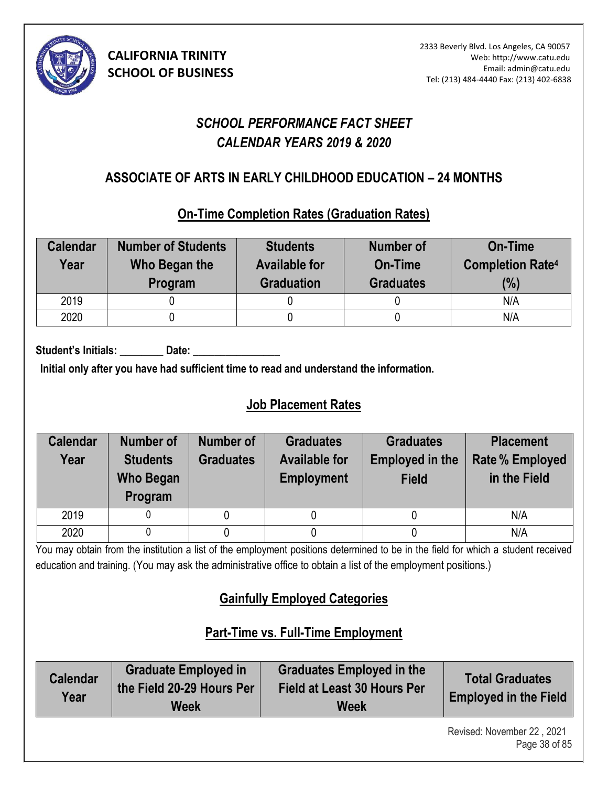

# *SCHOOL PERFORMANCE FACT SHEET CALENDAR YEARS 2019 & 2020*

### **ASSOCIATE OF ARTS IN EARLY CHILDHOOD EDUCATION – 24 MONTHS (8)**

### **On-Time Completion Rates (Graduation Rates)**

| <b>Calendar</b><br>Year | <b>Number of Students</b><br>Who Began the<br>Program | <b>Students</b><br><b>Available for</b><br><b>Graduation</b> | <b>Number of</b><br>On-Time<br><b>Graduates</b> | <b>On-Time</b><br><b>Completion Rate4</b><br>(%) |
|-------------------------|-------------------------------------------------------|--------------------------------------------------------------|-------------------------------------------------|--------------------------------------------------|
| 2019                    |                                                       |                                                              |                                                 | N/A                                              |
| 2020                    |                                                       |                                                              |                                                 | N/A                                              |

Student's Initials: **Date:** Date:

**Initial only after you have had sufficient time to read and understand the information.** 

# **Job Placement Rates**

| <b>Calendar</b><br>Year | Number of<br><b>Students</b><br><b>Who Began</b><br>Program | Number of<br><b>Graduates</b> | <b>Graduates</b><br><b>Available for</b><br><b>Employment</b> | <b>Graduates</b><br><b>Employed in the</b><br><b>Field</b> | <b>Placement</b><br><b>Rate % Employed</b><br>in the Field |
|-------------------------|-------------------------------------------------------------|-------------------------------|---------------------------------------------------------------|------------------------------------------------------------|------------------------------------------------------------|
| 2019                    |                                                             |                               |                                                               |                                                            | N/A                                                        |
| 2020                    |                                                             |                               |                                                               |                                                            | N/A                                                        |

You may obtain from the institution a list of the employment positions determined to be in the field for which a student received education and training. (You may ask the administrative office to obtain a list of the employment positions.)

# **Gainfully Employed Categories**

# **Part-Time vs. Full-Time Employment**

| <b>Calendar</b><br>Year | <b>Graduate Employed in</b><br>the Field 20-29 Hours Per<br>Week | <b>Graduates Employed in the</b><br>Field at Least 30 Hours Per<br><b>Week</b> | <b>Total Graduates</b><br><b>Employed in the Field</b> |
|-------------------------|------------------------------------------------------------------|--------------------------------------------------------------------------------|--------------------------------------------------------|
|-------------------------|------------------------------------------------------------------|--------------------------------------------------------------------------------|--------------------------------------------------------|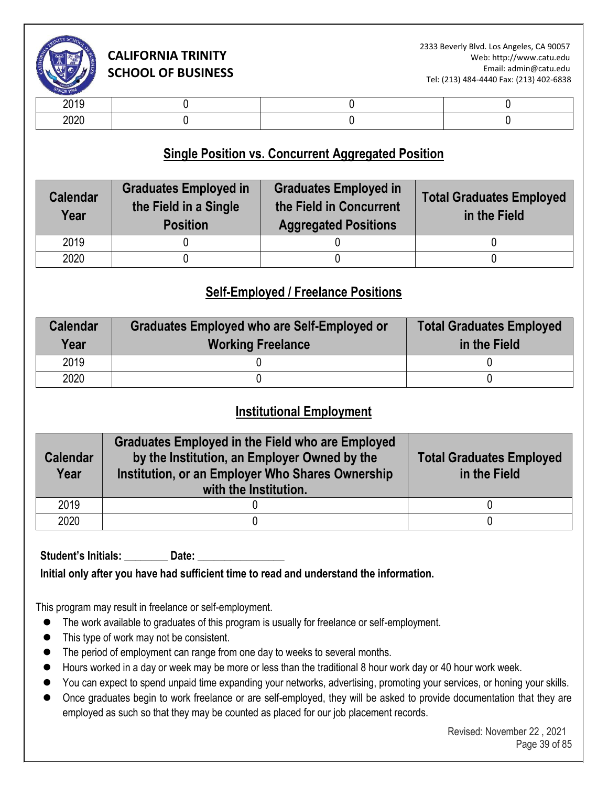

| .            |  |  |
|--------------|--|--|
| חרחר<br>ZUZU |  |  |

### **Single Position vs. Concurrent Aggregated Position**

| <b>Calendar</b><br>Year | <b>Graduates Employed in</b><br>the Field in a Single<br><b>Position</b> | <b>Graduates Employed in</b><br>the Field in Concurrent<br><b>Aggregated Positions</b> | <b>Total Graduates Employed</b><br>in the Field |
|-------------------------|--------------------------------------------------------------------------|----------------------------------------------------------------------------------------|-------------------------------------------------|
| 2019                    |                                                                          |                                                                                        |                                                 |
| 2020                    |                                                                          |                                                                                        |                                                 |

### **Self-Employed / Freelance Positions**

| <b>Calendar</b><br>Year | Graduates Employed who are Self-Employed or<br><b>Working Freelance</b> | <b>Total Graduates Employed</b><br>in the Field |
|-------------------------|-------------------------------------------------------------------------|-------------------------------------------------|
| 2019                    |                                                                         |                                                 |
| 2020                    |                                                                         |                                                 |

### **Institutional Employment**

| <b>Calendar</b><br>Year | <b>Graduates Employed in the Field who are Employed</b><br>by the Institution, an Employer Owned by the<br>Institution, or an Employer Who Shares Ownership<br>with the Institution. | <b>Total Graduates Employed</b><br>in the Field |
|-------------------------|--------------------------------------------------------------------------------------------------------------------------------------------------------------------------------------|-------------------------------------------------|
| 2019                    |                                                                                                                                                                                      |                                                 |
| 2020                    |                                                                                                                                                                                      |                                                 |

Student's Initials: **\_\_\_\_\_\_\_\_** Date: \_\_\_\_

**Initial only after you have had sufficient time to read and understand the information.** 

This program may result in freelance or self-employment.

- ⚫ The work available to graduates of this program is usually for freelance or self-employment.
- This type of work may not be consistent.
- The period of employment can range from one day to weeks to several months.
- Hours worked in a day or week may be more or less than the traditional 8 hour work day or 40 hour work week.
- You can expect to spend unpaid time expanding your networks, advertising, promoting your services, or honing your skills.
- Once graduates begin to work freelance or are self-employed, they will be asked to provide documentation that they are employed as such so that they may be counted as placed for our job placement records.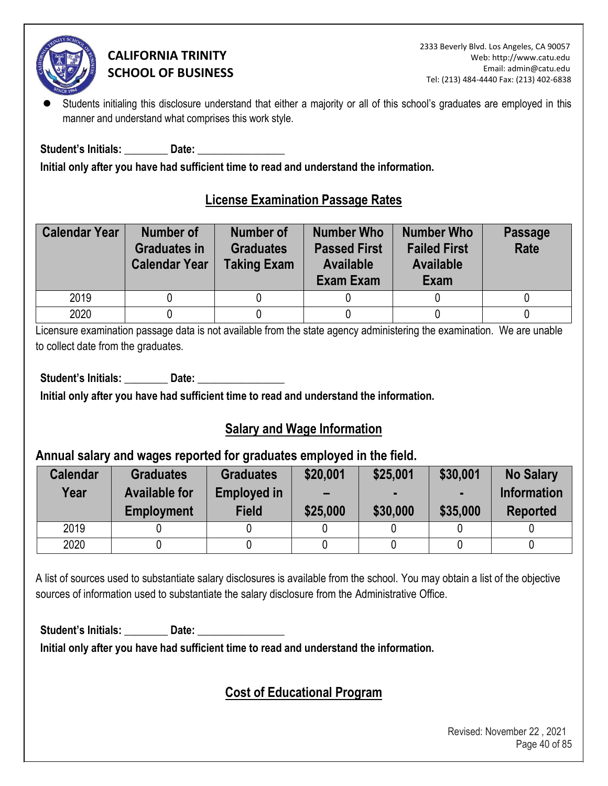

Students initialing this disclosure understand that either a majority or all of this school's graduates are employed in this manner and understand what comprises this work style.

**Student's Initials: \_\_\_\_\_\_\_\_ Date: \_\_\_\_\_\_\_\_\_\_\_\_\_\_\_\_** 

**Initial only after you have had sufficient time to read and understand the information.** 

### **License Examination Passage Rates**

| <b>Calendar Year</b> | <b>Number of</b><br><b>Graduates in</b><br><b>Calendar Year</b> | <b>Number of</b><br><b>Graduates</b><br><b>Taking Exam</b> | <b>Number Who</b><br><b>Passed First</b><br><b>Available</b><br>Exam Exam | <b>Number Who</b><br><b>Failed First</b><br><b>Available</b><br>Exam | <b>Passage</b><br>Rate |
|----------------------|-----------------------------------------------------------------|------------------------------------------------------------|---------------------------------------------------------------------------|----------------------------------------------------------------------|------------------------|
| 2019                 |                                                                 |                                                            |                                                                           |                                                                      |                        |
| 2020                 |                                                                 |                                                            |                                                                           |                                                                      |                        |

Licensure examination passage data is not available from the state agency administering the examination. We are unable to collect date from the graduates.

Student's Initials: **Date: Date: Date: Date: Propriet: Propriet: Propriet: Propriet: Propriet: Propriet: Propriet: Propriet: Propriet: Propriet: Propriet: Propriet: Propriet: Propriet: P** 

**Initial only after you have had sufficient time to read and understand the information.** 

### **Salary and Wage Information**

### **Annual salary and wages reported for graduates employed in the field.**

| <b>Calendar</b><br>Year | <b>Graduates</b><br><b>Available for</b><br><b>Employment</b> | <b>Graduates</b><br><b>Employed in</b><br><b>Field</b> | \$20,001<br>$\overline{\phantom{0}}$<br>\$25,000 | \$25,001<br>\$30,000 | \$30,001<br>\$35,000 | <b>No Salary</b><br><b>Information</b><br><b>Reported</b> |
|-------------------------|---------------------------------------------------------------|--------------------------------------------------------|--------------------------------------------------|----------------------|----------------------|-----------------------------------------------------------|
| 2019                    |                                                               |                                                        |                                                  |                      |                      |                                                           |
| 2020                    |                                                               |                                                        |                                                  |                      |                      |                                                           |

A list of sources used to substantiate salary disclosures is available from the school. You may obtain a list of the objective sources of information used to substantiate the salary disclosure from the Administrative Office.

Student's Initials: **Date: Date: Date: Date: Propriet: Propriet: Propriet: Propriet: Propriet: Propriet: Propriet: Propriet: Propriet: Propriet: Propriet: Propriet: Propriet: Propriet: P** 

**Initial only after you have had sufficient time to read and understand the information.** 

# **Cost of Educational Program**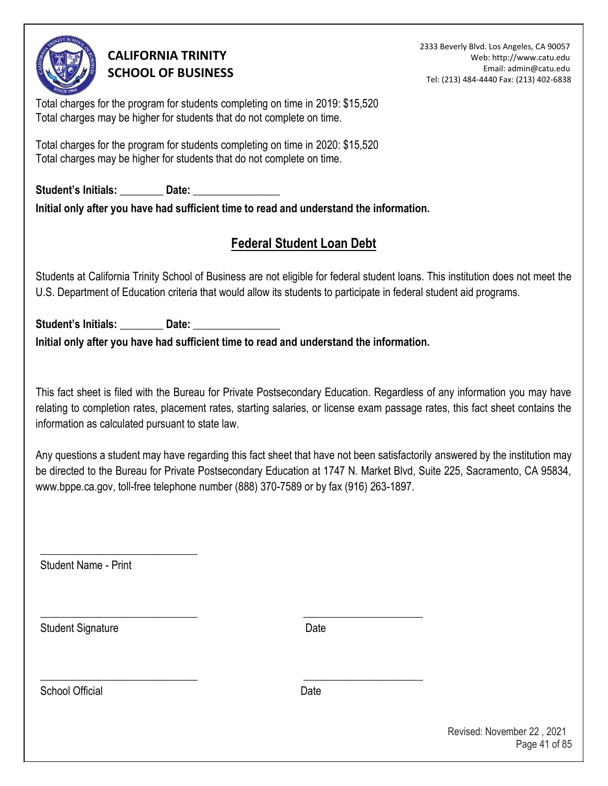

2333 Beverly Blvd. Los Angeles, CA 90057 Web: http://www.catu.edu Email: admin@catu.edu Tel: (213) 484-4440 Fax: (213) 402-6838

Total charges for the program for students completing on time in 2019: \$15,520 Total charges may be higher for students that do not complete on time.

Total charges for the program for students completing on time in 2020: \$15,520 Total charges may be higher for students that do not complete on time.

Student's Initials: **Date: Date: Date: Date: Date: Date: Date: Date: Date: Date: Date: Date: Date: Date: Date: Date: Date: Date: Date: Date: Date: Date: Date: Date: Date: D Initial only after you have had sufficient time to read and understand the information.** 

# **Federal Student Loan Debt**

Students at California Trinity School of Business are not eligible for federal student loans. This institution does not meet the U.S. Department of Education criteria that would allow its students to participate in federal student aid programs.

Student's Initials: \_\_\_\_\_\_\_\_\_\_ Date: **Initial only after you have had sufficient time to read and understand the information.** 

\_\_\_\_\_\_\_\_\_\_\_\_\_\_\_\_\_\_\_\_\_\_\_\_\_\_\_\_\_ \_\_\_\_\_\_\_\_\_\_\_\_\_\_\_\_\_\_\_\_\_\_

\_\_\_\_\_\_\_\_\_\_\_\_\_\_\_\_\_\_\_\_\_\_\_\_\_\_\_\_\_ \_\_\_\_\_\_\_\_\_\_\_\_\_\_\_\_\_\_\_\_\_\_

This fact sheet is filed with the Bureau for Private Postsecondary Education. Regardless of any information you may have relating to completion rates, placement rates, starting salaries, or license exam passage rates, this fact sheet contains the information as calculated pursuant to state law.

Any questions a student may have regarding this fact sheet that have not been satisfactorily answered by the institution may be directed to the Bureau for Private Postsecondary Education at 1747 N. Market Blvd, Suite 225, Sacramento, CA 95834, www.bppe.ca.gov, toll-free telephone number (888) 370-7589 or by fax (916) 263-1897.

Student Name - Print

\_\_\_\_\_\_\_\_\_\_\_\_\_\_\_\_\_\_\_\_\_\_\_\_\_\_\_\_\_

Student Signature Date

School Official **Date**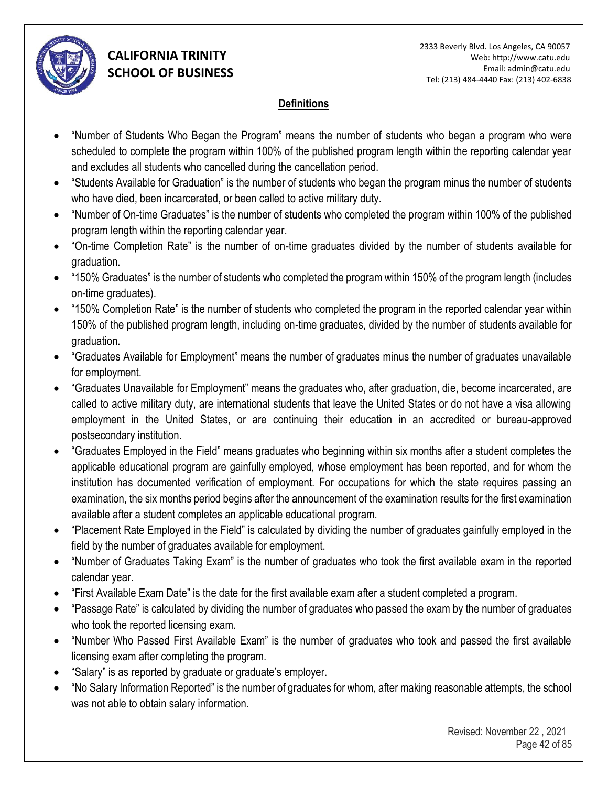

#### **Definitions**

- "Number of Students Who Began the Program" means the number of students who began a program who were scheduled to complete the program within 100% of the published program length within the reporting calendar year and excludes all students who cancelled during the cancellation period.
- "Students Available for Graduation" is the number of students who began the program minus the number of students who have died, been incarcerated, or been called to active military duty.
- "Number of On-time Graduates" is the number of students who completed the program within 100% of the published program length within the reporting calendar year.
- "On-time Completion Rate" is the number of on-time graduates divided by the number of students available for graduation.
- "150% Graduates" is the number of students who completed the program within 150% of the program length (includes on-time graduates).
- "150% Completion Rate" is the number of students who completed the program in the reported calendar year within 150% of the published program length, including on-time graduates, divided by the number of students available for graduation.
- "Graduates Available for Employment" means the number of graduates minus the number of graduates unavailable for employment.
- "Graduates Unavailable for Employment" means the graduates who, after graduation, die, become incarcerated, are called to active military duty, are international students that leave the United States or do not have a visa allowing employment in the United States, or are continuing their education in an accredited or bureau-approved postsecondary institution.
- "Graduates Employed in the Field" means graduates who beginning within six months after a student completes the applicable educational program are gainfully employed, whose employment has been reported, and for whom the institution has documented verification of employment. For occupations for which the state requires passing an examination, the six months period begins after the announcement of the examination results for the first examination available after a student completes an applicable educational program.
- "Placement Rate Employed in the Field" is calculated by dividing the number of graduates gainfully employed in the field by the number of graduates available for employment.
- "Number of Graduates Taking Exam" is the number of graduates who took the first available exam in the reported calendar year.
- "First Available Exam Date" is the date for the first available exam after a student completed a program.
- "Passage Rate" is calculated by dividing the number of graduates who passed the exam by the number of graduates who took the reported licensing exam.
- "Number Who Passed First Available Exam" is the number of graduates who took and passed the first available licensing exam after completing the program.
- "Salary" is as reported by graduate or graduate's employer.
- "No Salary Information Reported" is the number of graduates for whom, after making reasonable attempts, the school was not able to obtain salary information.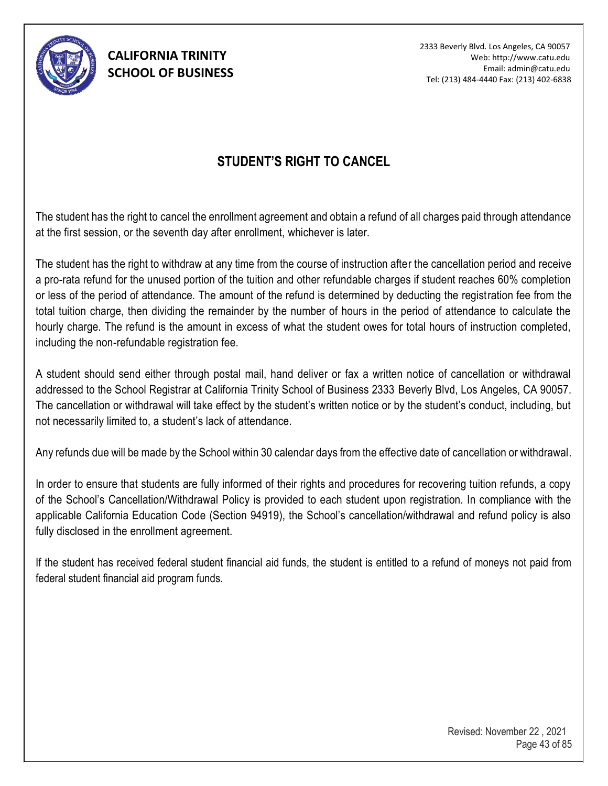

2333 Beverly Blvd. Los Angeles, CA 90057 Web: http://www.catu.edu Email: admin@catu.edu Tel: (213) 484-4440 Fax: (213) 402-6838

### **STUDENT'S RIGHT TO CANCEL**

The student has the right to cancel the enrollment agreement and obtain a refund of all charges paid through attendance at the first session, or the seventh day after enrollment, whichever is later.

The student has the right to withdraw at any time from the course of instruction after the cancellation period and receive a pro-rata refund for the unused portion of the tuition and other refundable charges if student reaches 60% completion or less of the period of attendance. The amount of the refund is determined by deducting the registration fee from the total tuition charge, then dividing the remainder by the number of hours in the period of attendance to calculate the hourly charge. The refund is the amount in excess of what the student owes for total hours of instruction completed, including the non-refundable registration fee.

A student should send either through postal mail, hand deliver or fax a written notice of cancellation or withdrawal addressed to the School Registrar at California Trinity School of Business 2333 Beverly Blvd, Los Angeles, CA 90057. The cancellation or withdrawal will take effect by the student's written notice or by the student's conduct, including, but not necessarily limited to, a student's lack of attendance.

Any refunds due will be made by the School within 30 calendar days from the effective date of cancellation or withdrawal.

In order to ensure that students are fully informed of their rights and procedures for recovering tuition refunds, a copy of the School's Cancellation/Withdrawal Policy is provided to each student upon registration. In compliance with the applicable California Education Code (Section 94919), the School's cancellation/withdrawal and refund policy is also fully disclosed in the enrollment agreement.

If the student has received federal student financial aid funds, the student is entitled to a refund of moneys not paid from federal student financial aid program funds.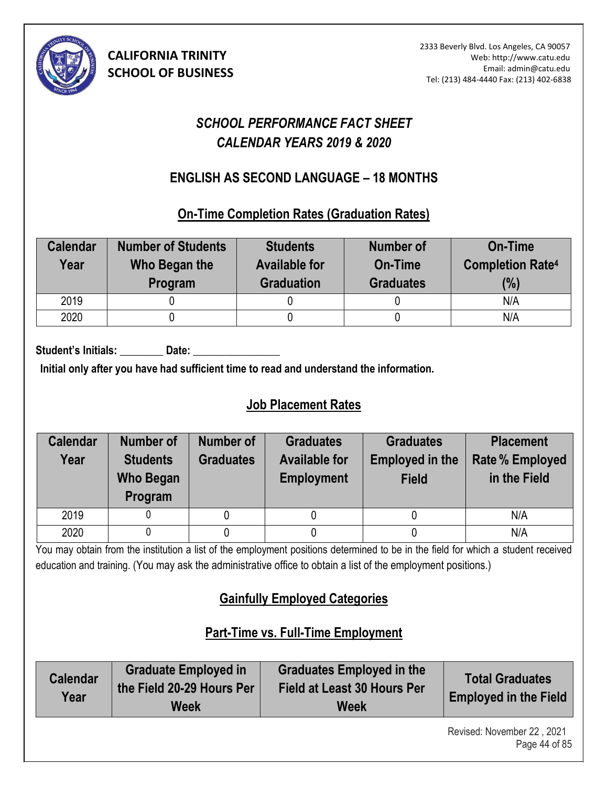

# *SCHOOL PERFORMANCE FACT SHEET CALENDAR YEARS 2019 & 2020*

### **ENGLISH AS SECOND LANGUAGE – 18 MONTHS (10)**

**On-Time Completion Rates (Graduation Rates)** 

| <b>Calendar</b><br>Year | <b>Number of Students</b><br>Who Began the<br>Program | <b>Students</b><br><b>Available for</b><br><b>Graduation</b> | <b>Number of</b><br>On-Time<br><b>Graduates</b> | <b>On-Time</b><br><b>Completion Rate4</b><br>(%) |
|-------------------------|-------------------------------------------------------|--------------------------------------------------------------|-------------------------------------------------|--------------------------------------------------|
| 2019                    |                                                       |                                                              |                                                 | N/A                                              |
| 2020                    |                                                       |                                                              |                                                 | N/A                                              |

Student's Initials: **Date:** Date:

**Initial only after you have had sufficient time to read and understand the information.** 

# **Job Placement Rates**

| <b>Calendar</b><br>Year | <b>Number of</b><br><b>Students</b><br><b>Who Began</b><br>Program | Number of<br><b>Graduates</b> | <b>Graduates</b><br><b>Available for</b><br><b>Employment</b> | <b>Graduates</b><br><b>Employed in the</b><br><b>Field</b> | <b>Placement</b><br><b>Rate % Employed</b><br>in the Field |
|-------------------------|--------------------------------------------------------------------|-------------------------------|---------------------------------------------------------------|------------------------------------------------------------|------------------------------------------------------------|
| 2019                    |                                                                    |                               |                                                               |                                                            | N/A                                                        |
| 2020                    |                                                                    |                               |                                                               |                                                            | N/A                                                        |

You may obtain from the institution a list of the employment positions determined to be in the field for which a student received education and training. (You may ask the administrative office to obtain a list of the employment positions.)

# **Gainfully Employed Categories**

# **Part-Time vs. Full-Time Employment**

| <b>Calendar</b><br>Year | <b>Graduate Employed in</b><br>the Field 20-29 Hours Per<br>Week | <b>Graduates Employed in the</b><br>Field at Least 30 Hours Per<br><b>Week</b> | <b>Total Graduates</b><br><b>Employed in the Field</b> |
|-------------------------|------------------------------------------------------------------|--------------------------------------------------------------------------------|--------------------------------------------------------|
|-------------------------|------------------------------------------------------------------|--------------------------------------------------------------------------------|--------------------------------------------------------|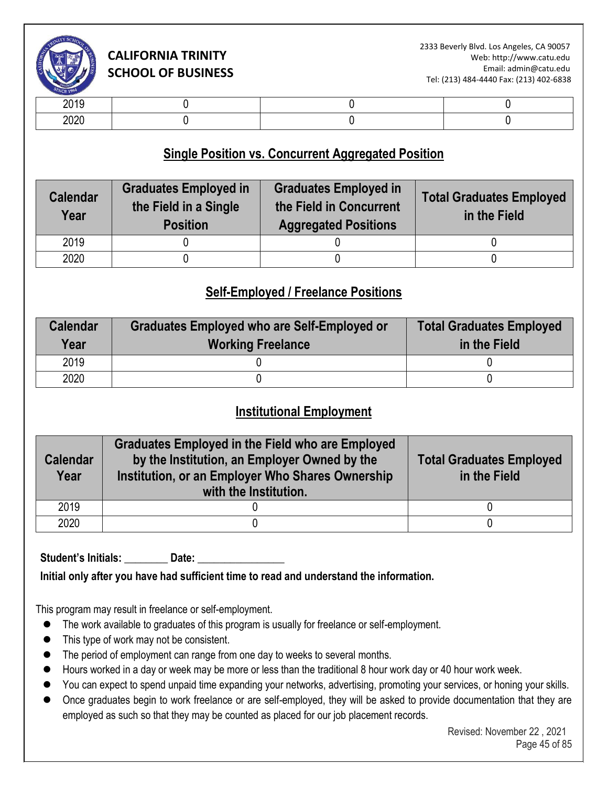

| -- - -           |  |  |
|------------------|--|--|
| $\cdots$<br>$-0$ |  |  |

### **Single Position vs. Concurrent Aggregated Position**

| <b>Calendar</b><br>Year | <b>Graduates Employed in</b><br>the Field in a Single<br><b>Position</b> | <b>Graduates Employed in</b><br>the Field in Concurrent<br><b>Aggregated Positions</b> | <b>Total Graduates Employed</b><br>in the Field |
|-------------------------|--------------------------------------------------------------------------|----------------------------------------------------------------------------------------|-------------------------------------------------|
| 2019                    |                                                                          |                                                                                        |                                                 |
| 2020                    |                                                                          |                                                                                        |                                                 |

### **Self-Employed / Freelance Positions**

| <b>Calendar</b><br>Year | <b>Graduates Employed who are Self-Employed or</b><br><b>Working Freelance</b> | <b>Total Graduates Employed</b><br>in the Field |
|-------------------------|--------------------------------------------------------------------------------|-------------------------------------------------|
| 2019                    |                                                                                |                                                 |
| 2020                    |                                                                                |                                                 |

#### **Institutional Employment**

| <b>Calendar</b><br>Year | <b>Graduates Employed in the Field who are Employed</b><br>by the Institution, an Employer Owned by the<br>Institution, or an Employer Who Shares Ownership<br>with the Institution. | <b>Total Graduates Employed</b><br>in the Field |
|-------------------------|--------------------------------------------------------------------------------------------------------------------------------------------------------------------------------------|-------------------------------------------------|
| 2019                    |                                                                                                                                                                                      |                                                 |
| 2020                    |                                                                                                                                                                                      |                                                 |

Student's Initials: **Date:** 

**Initial only after you have had sufficient time to read and understand the information.** 

This program may result in freelance or self-employment.

- ⚫ The work available to graduates of this program is usually for freelance or self-employment.
- ⚫ This type of work may not be consistent.
- The period of employment can range from one day to weeks to several months.
- Hours worked in a day or week may be more or less than the traditional 8 hour work day or 40 hour work week.
- You can expect to spend unpaid time expanding your networks, advertising, promoting your services, or honing your skills.
- Once graduates begin to work freelance or are self-employed, they will be asked to provide documentation that they are employed as such so that they may be counted as placed for our job placement records.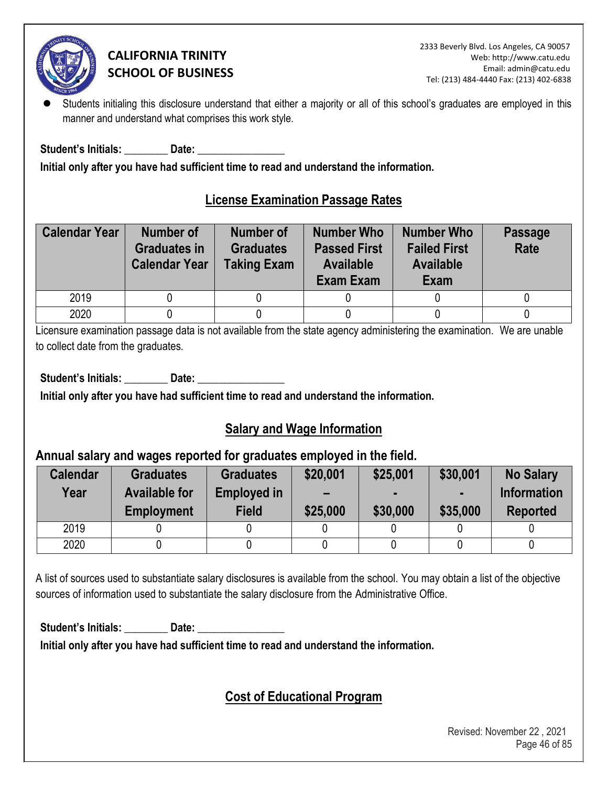

Students initialing this disclosure understand that either a majority or all of this school's graduates are employed in this manner and understand what comprises this work style.

**Student's Initials: \_\_\_\_\_\_\_\_ Date: \_\_\_\_\_\_\_\_\_\_\_\_\_\_\_\_** 

**Initial only after you have had sufficient time to read and understand the information.** 

### **License Examination Passage Rates**

| <b>Calendar Year</b> | <b>Number of</b><br><b>Graduates in</b><br><b>Calendar Year</b> | <b>Number of</b><br><b>Graduates</b><br><b>Taking Exam</b> | <b>Number Who</b><br><b>Passed First</b><br><b>Available</b><br>Exam Exam | <b>Number Who</b><br><b>Failed First</b><br><b>Available</b><br>Exam | <b>Passage</b><br>Rate |
|----------------------|-----------------------------------------------------------------|------------------------------------------------------------|---------------------------------------------------------------------------|----------------------------------------------------------------------|------------------------|
| 2019                 |                                                                 |                                                            |                                                                           |                                                                      |                        |
| 2020                 |                                                                 |                                                            |                                                                           |                                                                      |                        |

Licensure examination passage data is not available from the state agency administering the examination. We are unable to collect date from the graduates.

Student's Initials: **Date: Date: Date: Date: Propriet: Propriet: Propriet: Propriet: Propriet: Propriet: Propriet: Propriet: Propriet: Propriet: Propriet: Propriet: Propriet: Propriet: P** 

**Initial only after you have had sufficient time to read and understand the information.** 

### **Salary and Wage Information**

### **Annual salary and wages reported for graduates employed in the field.**

| <b>Calendar</b><br>Year | <b>Graduates</b><br><b>Available for</b><br><b>Employment</b> | <b>Graduates</b><br><b>Employed in</b><br><b>Field</b> | \$20,001<br>$\overline{\phantom{0}}$<br>\$25,000 | \$25,001<br>\$30,000 | \$30,001<br>\$35,000 | <b>No Salary</b><br><b>Information</b><br><b>Reported</b> |
|-------------------------|---------------------------------------------------------------|--------------------------------------------------------|--------------------------------------------------|----------------------|----------------------|-----------------------------------------------------------|
| 2019                    |                                                               |                                                        |                                                  |                      |                      |                                                           |
| 2020                    |                                                               |                                                        |                                                  |                      |                      |                                                           |

A list of sources used to substantiate salary disclosures is available from the school. You may obtain a list of the objective sources of information used to substantiate the salary disclosure from the Administrative Office.

Student's Initials: Date: Date:

**Initial only after you have had sufficient time to read and understand the information.** 

# **Cost of Educational Program**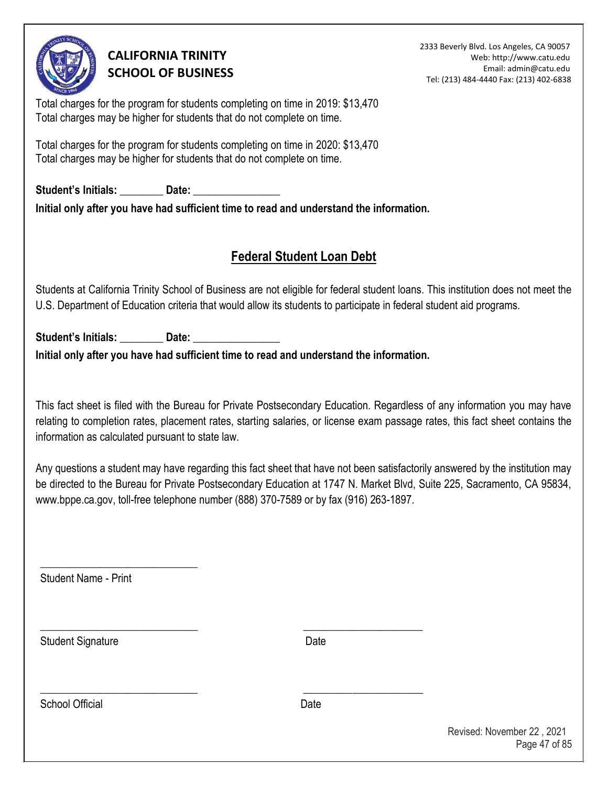

2333 Beverly Blvd. Los Angeles, CA 90057 Web: http://www.catu.edu Email: admin@catu.edu Tel: (213) 484-4440 Fax: (213) 402-6838

Total charges for the program for students completing on time in 2019: \$13,470 Total charges may be higher for students that do not complete on time.

Total charges for the program for students completing on time in 2020: \$13,470 Total charges may be higher for students that do not complete on time.

Student's Initials: **Date: Date: Initial only after you have had sufficient time to read and understand the information.** 

# **Federal Student Loan Debt**

Students at California Trinity School of Business are not eligible for federal student loans. This institution does not meet the U.S. Department of Education criteria that would allow its students to participate in federal student aid programs.

Student's Initials: **Date:** Date:

**Initial only after you have had sufficient time to read and understand the information.** 

\_\_\_\_\_\_\_\_\_\_\_\_\_\_\_\_\_\_\_\_\_\_\_\_\_\_\_\_\_ \_\_\_\_\_\_\_\_\_\_\_\_\_\_\_\_\_\_\_\_\_\_

\_\_\_\_\_\_\_\_\_\_\_\_\_\_\_\_\_\_\_\_\_\_\_\_\_\_\_\_\_ \_\_\_\_\_\_\_\_\_\_\_\_\_\_\_\_\_\_\_\_\_\_

This fact sheet is filed with the Bureau for Private Postsecondary Education. Regardless of any information you may have relating to completion rates, placement rates, starting salaries, or license exam passage rates, this fact sheet contains the information as calculated pursuant to state law.

Any questions a student may have regarding this fact sheet that have not been satisfactorily answered by the institution may be directed to the Bureau for Private Postsecondary Education at 1747 N. Market Blvd, Suite 225, Sacramento, CA 95834, www.bppe.ca.gov, toll-free telephone number (888) 370-7589 or by fax (916) 263-1897.

Student Name - Print

\_\_\_\_\_\_\_\_\_\_\_\_\_\_\_\_\_\_\_\_\_\_\_\_\_\_\_\_\_

Student Signature Date

School Official **Date**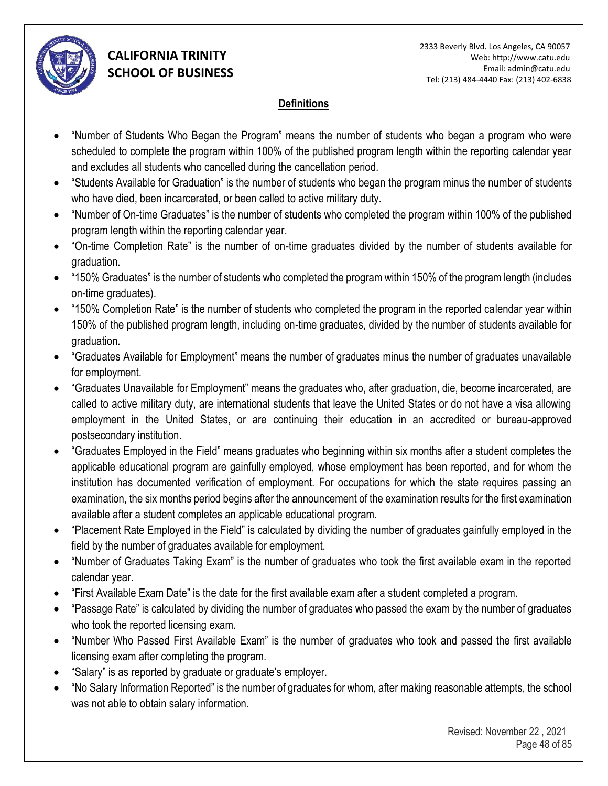

#### **Definitions**

- "Number of Students Who Began the Program" means the number of students who began a program who were scheduled to complete the program within 100% of the published program length within the reporting calendar year and excludes all students who cancelled during the cancellation period.
- "Students Available for Graduation" is the number of students who began the program minus the number of students who have died, been incarcerated, or been called to active military duty.
- "Number of On-time Graduates" is the number of students who completed the program within 100% of the published program length within the reporting calendar year.
- "On-time Completion Rate" is the number of on-time graduates divided by the number of students available for graduation.
- "150% Graduates" is the number of students who completed the program within 150% of the program length (includes on-time graduates).
- "150% Completion Rate" is the number of students who completed the program in the reported calendar year within 150% of the published program length, including on-time graduates, divided by the number of students available for graduation.
- "Graduates Available for Employment" means the number of graduates minus the number of graduates unavailable for employment.
- "Graduates Unavailable for Employment" means the graduates who, after graduation, die, become incarcerated, are called to active military duty, are international students that leave the United States or do not have a visa allowing employment in the United States, or are continuing their education in an accredited or bureau-approved postsecondary institution.
- "Graduates Employed in the Field" means graduates who beginning within six months after a student completes the applicable educational program are gainfully employed, whose employment has been reported, and for whom the institution has documented verification of employment. For occupations for which the state requires passing an examination, the six months period begins after the announcement of the examination results for the first examination available after a student completes an applicable educational program.
- "Placement Rate Employed in the Field" is calculated by dividing the number of graduates gainfully employed in the field by the number of graduates available for employment.
- "Number of Graduates Taking Exam" is the number of graduates who took the first available exam in the reported calendar year.
- "First Available Exam Date" is the date for the first available exam after a student completed a program.
- "Passage Rate" is calculated by dividing the number of graduates who passed the exam by the number of graduates who took the reported licensing exam.
- "Number Who Passed First Available Exam" is the number of graduates who took and passed the first available licensing exam after completing the program.
- "Salary" is as reported by graduate or graduate's employer.
- "No Salary Information Reported" is the number of graduates for whom, after making reasonable attempts, the school was not able to obtain salary information.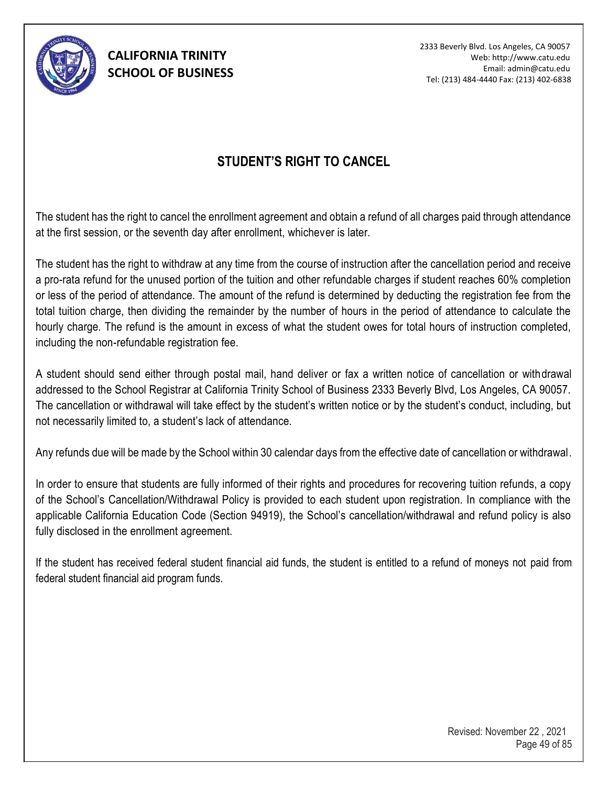

# **STUDENT'S RIGHT TO CANCEL**

The student has the right to cancel the enrollment agreement and obtain a refund of all charges paid through attendance at the first session, or the seventh day after enrollment, whichever is later.

The student has the right to withdraw at any time from the course of instruction after the cancellation period and receive a pro-rata refund for the unused portion of the tuition and other refundable charges if student reaches 60% completion or less of the period of attendance. The amount of the refund is determined by deducting the registration fee from the total tuition charge, then dividing the remainder by the number of hours in the period of attendance to calculate the hourly charge. The refund is the amount in excess of what the student owes for total hours of instruction completed, including the non-refundable registration fee.

A student should send either through postal mail, hand deliver or fax a written notice of cancellation or withdrawal addressed to the School Registrar at California Trinity School of Business 2333 Beverly Blvd, Los Angeles, CA 90057. The cancellation or withdrawal will take effect by the student's written notice or by the student's conduct, including, but not necessarily limited to, a student's lack of attendance.

Any refunds due will be made by the School within 30 calendar days from the effective date of cancellation or withdrawal.

In order to ensure that students are fully informed of their rights and procedures for recovering tuition refunds, a copy of the School's Cancellation/Withdrawal Policy is provided to each student upon registration. In compliance with the applicable California Education Code (Section 94919), the School's cancellation/withdrawal and refund policy is also fully disclosed in the enrollment agreement.

If the student has received federal student financial aid funds, the student is entitled to a refund of moneys not paid from federal student financial aid program funds.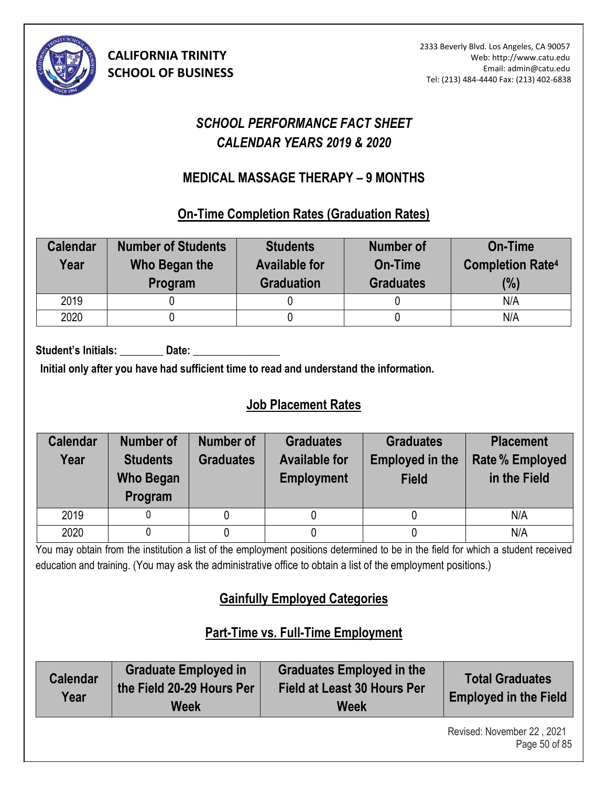

# *SCHOOL PERFORMANCE FACT SHEET CALENDAR YEARS 2019 & 2020*

### **MEDICAL MASSAGE THERAPY – 9 MONTHS (9)**

### **On-Time Completion Rates (Graduation Rates)**

| <b>Calendar</b><br>Year | <b>Number of Students</b><br>Who Began the<br>Program | <b>Students</b><br><b>Available for</b><br><b>Graduation</b> | Number of<br>On-Time<br><b>Graduates</b> | <b>On-Time</b><br><b>Completion Rate4</b><br>(%) |
|-------------------------|-------------------------------------------------------|--------------------------------------------------------------|------------------------------------------|--------------------------------------------------|
| 2019                    |                                                       |                                                              |                                          | N/A                                              |
| 2020                    |                                                       |                                                              |                                          | N/A                                              |

Student's Initials: **Date:** Date:

**Initial only after you have had sufficient time to read and understand the information.** 

# **Job Placement Rates**

| <b>Calendar</b><br>Year | Number of<br><b>Students</b><br><b>Who Began</b><br>Program | <b>Number of</b><br><b>Graduates</b> | <b>Graduates</b><br><b>Available for</b><br><b>Employment</b> | <b>Graduates</b><br><b>Employed in the</b><br><b>Field</b> | <b>Placement</b><br><b>Rate % Employed</b><br>in the Field |
|-------------------------|-------------------------------------------------------------|--------------------------------------|---------------------------------------------------------------|------------------------------------------------------------|------------------------------------------------------------|
| 2019                    |                                                             |                                      |                                                               |                                                            | N/A                                                        |
| 2020                    |                                                             |                                      |                                                               |                                                            | N/A                                                        |

You may obtain from the institution a list of the employment positions determined to be in the field for which a student received education and training. (You may ask the administrative office to obtain a list of the employment positions.)

# **Gainfully Employed Categories**

# **Part-Time vs. Full-Time Employment**

| <b>Graduate Employed in</b><br><b>Calendar</b><br>the Field 20-29 Hours Per<br>Year<br>Week | <b>Graduates Employed in the</b><br>Field at Least 30 Hours Per<br><b>Week</b> | <b>Total Graduates</b><br><b>Employed in the Field</b> |
|---------------------------------------------------------------------------------------------|--------------------------------------------------------------------------------|--------------------------------------------------------|
|---------------------------------------------------------------------------------------------|--------------------------------------------------------------------------------|--------------------------------------------------------|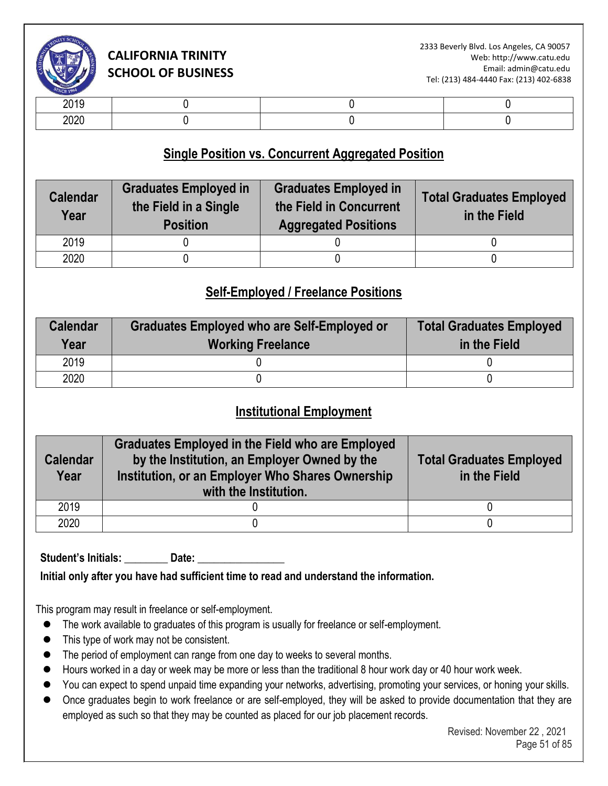

| -- - -       |  |  |
|--------------|--|--|
| nnnr<br>$-0$ |  |  |

### **Single Position vs. Concurrent Aggregated Position**

| <b>Calendar</b><br>Year | <b>Graduates Employed in</b><br>the Field in a Single<br><b>Position</b> | <b>Graduates Employed in</b><br>the Field in Concurrent<br><b>Aggregated Positions</b> | <b>Total Graduates Employed</b><br>in the Field |
|-------------------------|--------------------------------------------------------------------------|----------------------------------------------------------------------------------------|-------------------------------------------------|
| 2019                    |                                                                          |                                                                                        |                                                 |
| 2020                    |                                                                          |                                                                                        |                                                 |

### **Self-Employed / Freelance Positions**

| <b>Calendar</b><br>Year | Graduates Employed who are Self-Employed or<br><b>Working Freelance</b> | <b>Total Graduates Employed</b><br>in the Field |
|-------------------------|-------------------------------------------------------------------------|-------------------------------------------------|
| 2019                    |                                                                         |                                                 |
| 2020                    |                                                                         |                                                 |

### **Institutional Employment**

| <b>Calendar</b><br>Year | <b>Graduates Employed in the Field who are Employed</b><br>by the Institution, an Employer Owned by the<br>Institution, or an Employer Who Shares Ownership<br>with the Institution. | <b>Total Graduates Employed</b><br>in the Field |
|-------------------------|--------------------------------------------------------------------------------------------------------------------------------------------------------------------------------------|-------------------------------------------------|
| 2019                    |                                                                                                                                                                                      |                                                 |
| 2020                    |                                                                                                                                                                                      |                                                 |

Student's Initials: **Date:** Date:

**Initial only after you have had sufficient time to read and understand the information.** 

This program may result in freelance or self-employment.

- ⚫ The work available to graduates of this program is usually for freelance or self-employment.
- ⚫ This type of work may not be consistent.
- The period of employment can range from one day to weeks to several months.
- Hours worked in a day or week may be more or less than the traditional 8 hour work day or 40 hour work week.
- You can expect to spend unpaid time expanding your networks, advertising, promoting your services, or honing your skills.
- Once graduates begin to work freelance or are self-employed, they will be asked to provide documentation that they are employed as such so that they may be counted as placed for our job placement records.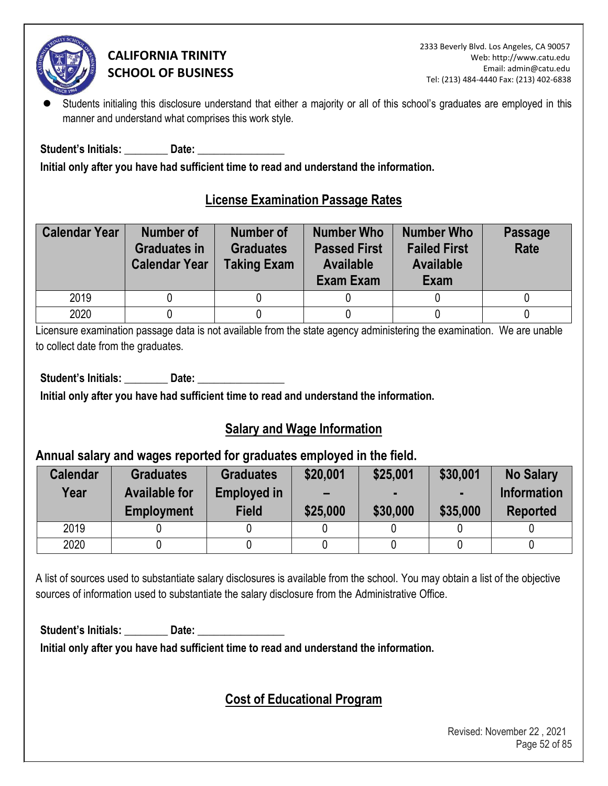

Students initialing this disclosure understand that either a majority or all of this school's graduates are employed in this manner and understand what comprises this work style.

Student's Initials: **Example 10 Date:**  $\overline{\phantom{a}}$ 

**Initial only after you have had sufficient time to read and understand the information.** 

### **License Examination Passage Rates**

| <b>Calendar Year</b> | Number of<br><b>Graduates in</b><br><b>Calendar Year</b> | <b>Number of</b><br><b>Graduates</b><br><b>Taking Exam</b> | <b>Number Who</b><br><b>Passed First</b><br><b>Available</b><br>Exam Exam | <b>Number Who</b><br><b>Failed First</b><br><b>Available</b><br>Exam | <b>Passage</b><br>Rate |
|----------------------|----------------------------------------------------------|------------------------------------------------------------|---------------------------------------------------------------------------|----------------------------------------------------------------------|------------------------|
| 2019                 |                                                          |                                                            |                                                                           |                                                                      |                        |
| 2020                 |                                                          |                                                            |                                                                           |                                                                      |                        |

Licensure examination passage data is not available from the state agency administering the examination. We are unable to collect date from the graduates.

Student's Initials: **Date: Date: Date: Date: Propriet: Propriet: Propriet: Propriet: Propriet: Propriet: Propriet: Propriet: Propriet: Propriet: Propriet: Propriet: Propriet: Propriet: P** 

**Initial only after you have had sufficient time to read and understand the information.** 

# **Salary and Wage Information**

### **Annual salary and wages reported for graduates employed in the field.**

| <b>Calendar</b><br>Year | <b>Graduates</b><br><b>Available for</b><br><b>Employment</b> | <b>Graduates</b><br><b>Employed in</b><br><b>Field</b> | \$20,001<br>$\overline{\phantom{0}}$<br>\$25,000 | \$25,001<br>\$30,000 | \$30,001<br>\$35,000 | <b>No Salary</b><br><b>Information</b><br><b>Reported</b> |
|-------------------------|---------------------------------------------------------------|--------------------------------------------------------|--------------------------------------------------|----------------------|----------------------|-----------------------------------------------------------|
| 2019                    |                                                               |                                                        |                                                  |                      |                      |                                                           |
| 2020                    |                                                               |                                                        |                                                  |                      |                      |                                                           |

A list of sources used to substantiate salary disclosures is available from the school. You may obtain a list of the objective sources of information used to substantiate the salary disclosure from the Administrative Office.

Student's Initials: **Date: Date: Date: Date: Propriet: Propriet: Propriet: Propriet: Propriet: Propriet: Propriet: Propriet: Propriet: Propriet: Propriet: Propriet: Propriet: Propriet: P** 

**Initial only after you have had sufficient time to read and understand the information.** 

# **Cost of Educational Program**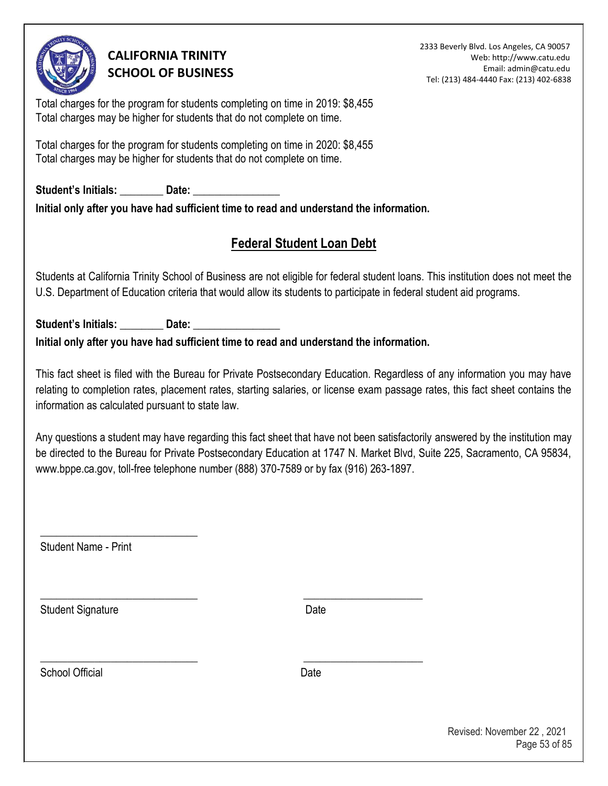

2333 Beverly Blvd. Los Angeles, CA 90057 Web: http://www.catu.edu Email: admin@catu.edu Tel: (213) 484-4440 Fax: (213) 402-6838

Total charges for the program for students completing on time in 2019: \$8,455 Total charges may be higher for students that do not complete on time.

Total charges for the program for students completing on time in 2020: \$8,455 Total charges may be higher for students that do not complete on time.

Student's Initials: **Date: Date: Date: Date: Propriet: Propriet: Propriet: Propriet: Propriet: Propriet: Propriet: Propriet: Propriet: Propriet: Propriet: Propriet: Propriet: Propriet: P Initial only after you have had sufficient time to read and understand the information.** 

# **Federal Student Loan Debt**

Students at California Trinity School of Business are not eligible for federal student loans. This institution does not meet the U.S. Department of Education criteria that would allow its students to participate in federal student aid programs.

Student's Initials: \_\_\_\_\_\_\_\_\_\_ Date: **Initial only after you have had sufficient time to read and understand the information.** 

\_\_\_\_\_\_\_\_\_\_\_\_\_\_\_\_\_\_\_\_\_\_\_\_\_\_\_\_\_ \_\_\_\_\_\_\_\_\_\_\_\_\_\_\_\_\_\_\_\_\_\_

\_\_\_\_\_\_\_\_\_\_\_\_\_\_\_\_\_\_\_\_\_\_\_\_\_\_\_\_\_ \_\_\_\_\_\_\_\_\_\_\_\_\_\_\_\_\_\_\_\_\_\_

This fact sheet is filed with the Bureau for Private Postsecondary Education. Regardless of any information you may have relating to completion rates, placement rates, starting salaries, or license exam passage rates, this fact sheet contains the information as calculated pursuant to state law.

Any questions a student may have regarding this fact sheet that have not been satisfactorily answered by the institution may be directed to the Bureau for Private Postsecondary Education at 1747 N. Market Blvd, Suite 225, Sacramento, CA 95834, www.bppe.ca.gov, toll-free telephone number (888) 370-7589 or by fax (916) 263-1897.

Student Name - Print

\_\_\_\_\_\_\_\_\_\_\_\_\_\_\_\_\_\_\_\_\_\_\_\_\_\_\_\_\_

Student Signature Date Date

School Official **Date**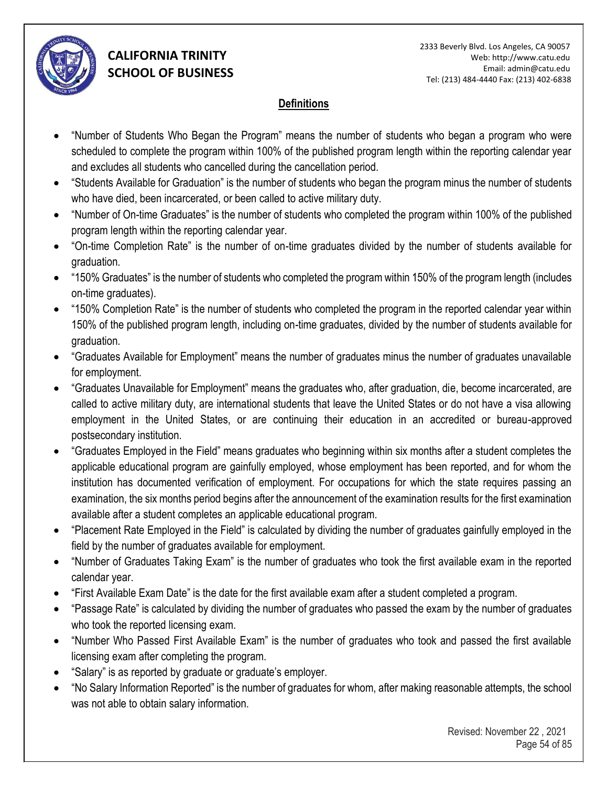

#### **Definitions**

- "Number of Students Who Began the Program" means the number of students who began a program who were scheduled to complete the program within 100% of the published program length within the reporting calendar year and excludes all students who cancelled during the cancellation period.
- "Students Available for Graduation" is the number of students who began the program minus the number of students who have died, been incarcerated, or been called to active military duty.
- "Number of On-time Graduates" is the number of students who completed the program within 100% of the published program length within the reporting calendar year.
- "On-time Completion Rate" is the number of on-time graduates divided by the number of students available for graduation.
- "150% Graduates" is the number of students who completed the program within 150% of the program length (includes on-time graduates).
- "150% Completion Rate" is the number of students who completed the program in the reported calendar year within 150% of the published program length, including on-time graduates, divided by the number of students available for graduation.
- "Graduates Available for Employment" means the number of graduates minus the number of graduates unavailable for employment.
- "Graduates Unavailable for Employment" means the graduates who, after graduation, die, become incarcerated, are called to active military duty, are international students that leave the United States or do not have a visa allowing employment in the United States, or are continuing their education in an accredited or bureau-approved postsecondary institution.
- "Graduates Employed in the Field" means graduates who beginning within six months after a student completes the applicable educational program are gainfully employed, whose employment has been reported, and for whom the institution has documented verification of employment. For occupations for which the state requires passing an examination, the six months period begins after the announcement of the examination results for the first examination available after a student completes an applicable educational program.
- "Placement Rate Employed in the Field" is calculated by dividing the number of graduates gainfully employed in the field by the number of graduates available for employment.
- "Number of Graduates Taking Exam" is the number of graduates who took the first available exam in the reported calendar year.
- "First Available Exam Date" is the date for the first available exam after a student completed a program.
- "Passage Rate" is calculated by dividing the number of graduates who passed the exam by the number of graduates who took the reported licensing exam.
- "Number Who Passed First Available Exam" is the number of graduates who took and passed the first available licensing exam after completing the program.
- "Salary" is as reported by graduate or graduate's employer.
- "No Salary Information Reported" is the number of graduates for whom, after making reasonable attempts, the school was not able to obtain salary information.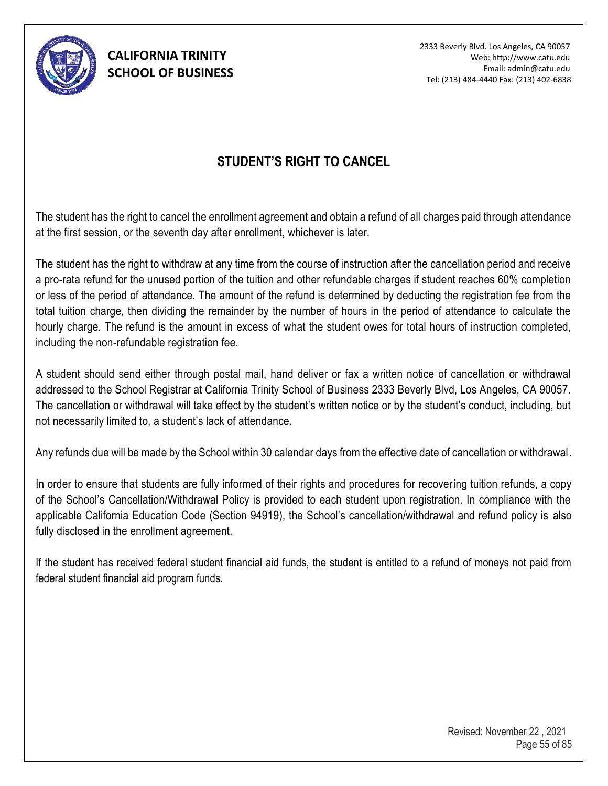

2333 Beverly Blvd. Los Angeles, CA 90057 Web: http://www.catu.edu Email: admin@catu.edu Tel: (213) 484-4440 Fax: (213) 402-6838

### **STUDENT'S RIGHT TO CANCEL**

The student has the right to cancel the enrollment agreement and obtain a refund of all charges paid through attendance at the first session, or the seventh day after enrollment, whichever is later.

The student has the right to withdraw at any time from the course of instruction after the cancellation period and receive a pro-rata refund for the unused portion of the tuition and other refundable charges if student reaches 60% completion or less of the period of attendance. The amount of the refund is determined by deducting the registration fee from the total tuition charge, then dividing the remainder by the number of hours in the period of attendance to calculate the hourly charge. The refund is the amount in excess of what the student owes for total hours of instruction completed, including the non-refundable registration fee.

A student should send either through postal mail, hand deliver or fax a written notice of cancellation or withdrawal addressed to the School Registrar at California Trinity School of Business 2333 Beverly Blvd, Los Angeles, CA 90057. The cancellation or withdrawal will take effect by the student's written notice or by the student's conduct, including, but not necessarily limited to, a student's lack of attendance.

Any refunds due will be made by the School within 30 calendar days from the effective date of cancellation or withdrawal.

In order to ensure that students are fully informed of their rights and procedures for recovering tuition refunds, a copy of the School's Cancellation/Withdrawal Policy is provided to each student upon registration. In compliance with the applicable California Education Code (Section 94919), the School's cancellation/withdrawal and refund policy is also fully disclosed in the enrollment agreement.

If the student has received federal student financial aid funds, the student is entitled to a refund of moneys not paid from federal student financial aid program funds.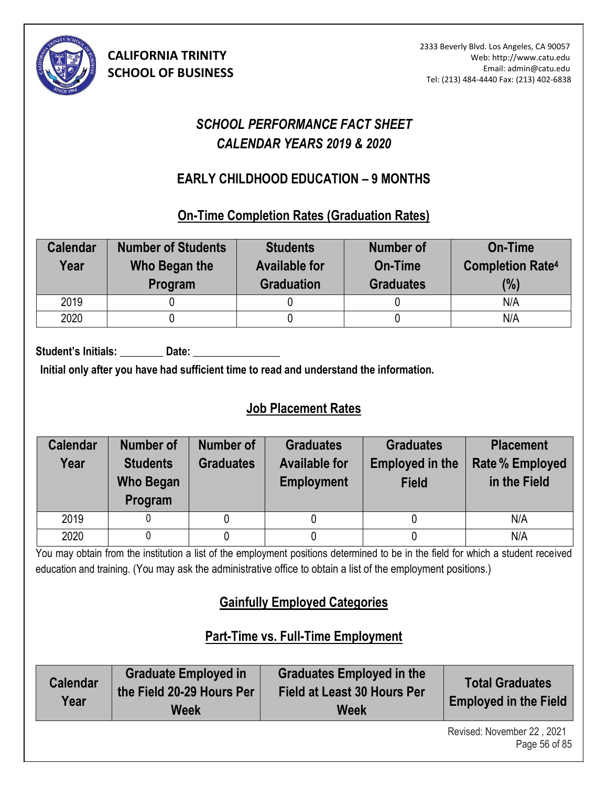

# *SCHOOL PERFORMANCE FACT SHEET CALENDAR YEARS 2019 & 2020*

# **EARLY CHILDHOOD EDUCATION – 9 MONTHS (10)**

**On-Time Completion Rates (Graduation Rates)** 

| <b>Calendar</b><br>Year | <b>Number of Students</b><br>Who Began the<br>Program | <b>Students</b><br><b>Available for</b><br><b>Graduation</b> | <b>Number of</b><br>On-Time<br><b>Graduates</b> | <b>On-Time</b><br><b>Completion Rate4</b><br>(%) |
|-------------------------|-------------------------------------------------------|--------------------------------------------------------------|-------------------------------------------------|--------------------------------------------------|
| 2019                    |                                                       |                                                              |                                                 | N/A                                              |
| 2020                    |                                                       |                                                              |                                                 | N/A                                              |

Student's Initials: **Date:** Date:

**Initial only after you have had sufficient time to read and understand the information.** 

# **Job Placement Rates**

| <b>Calendar</b><br>Year | <b>Number of</b><br><b>Students</b><br><b>Who Began</b><br>Program | Number of<br><b>Graduates</b> | <b>Graduates</b><br><b>Available for</b><br><b>Employment</b> | <b>Graduates</b><br><b>Employed in the</b><br><b>Field</b> | <b>Placement</b><br><b>Rate % Employed</b><br>in the Field |
|-------------------------|--------------------------------------------------------------------|-------------------------------|---------------------------------------------------------------|------------------------------------------------------------|------------------------------------------------------------|
| 2019                    |                                                                    | 0                             |                                                               |                                                            | N/A                                                        |
| 2020                    |                                                                    |                               |                                                               |                                                            | N/A                                                        |

You may obtain from the institution a list of the employment positions determined to be in the field for which a student received education and training. (You may ask the administrative office to obtain a list of the employment positions.)

# **Gainfully Employed Categories**

# **Part-Time vs. Full-Time Employment**

| <b>Calendar</b><br>Year | Graduate Employed in<br>the Field 20-29 Hours Per<br><b>Week</b> | <b>Graduates Employed in the</b><br><b>Field at Least 30 Hours Per</b><br><b>Week</b> | <b>Total Graduates</b><br><b>Employed in the Field</b> |
|-------------------------|------------------------------------------------------------------|---------------------------------------------------------------------------------------|--------------------------------------------------------|
|                         |                                                                  |                                                                                       | Ravisad: Novamber 22 2021                              |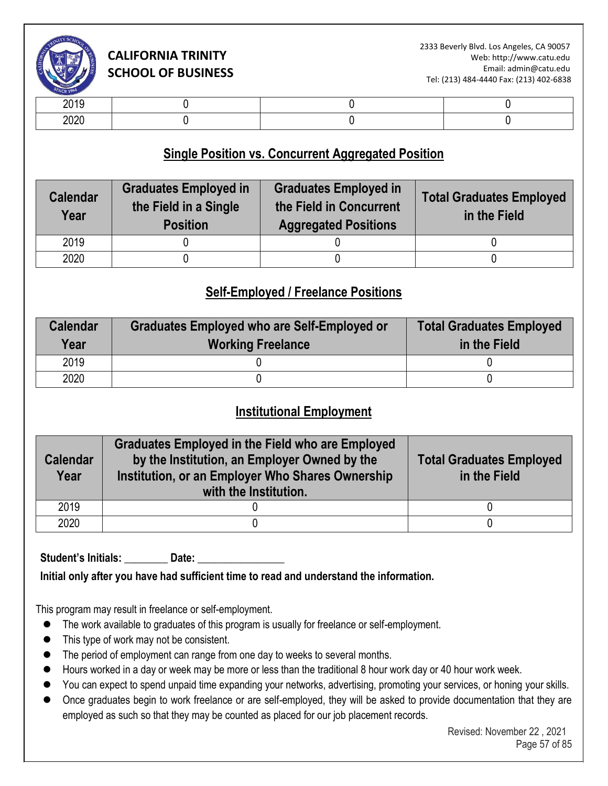

| -- - -       |  |  |
|--------------|--|--|
| nnnr<br>$-0$ |  |  |

### **Single Position vs. Concurrent Aggregated Position**

| <b>Calendar</b><br>Year | <b>Graduates Employed in</b><br>the Field in a Single<br><b>Position</b> | <b>Graduates Employed in</b><br>the Field in Concurrent<br><b>Aggregated Positions</b> | <b>Total Graduates Employed</b><br>in the Field |
|-------------------------|--------------------------------------------------------------------------|----------------------------------------------------------------------------------------|-------------------------------------------------|
| 2019                    |                                                                          |                                                                                        |                                                 |
| 2020                    |                                                                          |                                                                                        |                                                 |

### **Self-Employed / Freelance Positions**

| <b>Calendar</b><br>Year | Graduates Employed who are Self-Employed or<br><b>Working Freelance</b> | <b>Total Graduates Employed</b><br>in the Field |
|-------------------------|-------------------------------------------------------------------------|-------------------------------------------------|
| 2019                    |                                                                         |                                                 |
| 2020                    |                                                                         |                                                 |

### **Institutional Employment**

| <b>Calendar</b><br>Year | <b>Graduates Employed in the Field who are Employed</b><br>by the Institution, an Employer Owned by the<br>Institution, or an Employer Who Shares Ownership<br>with the Institution. | <b>Total Graduates Employed</b><br>in the Field |
|-------------------------|--------------------------------------------------------------------------------------------------------------------------------------------------------------------------------------|-------------------------------------------------|
| 2019                    |                                                                                                                                                                                      |                                                 |
| 2020                    |                                                                                                                                                                                      |                                                 |

Student's Initials: **Date:** Date:

**Initial only after you have had sufficient time to read and understand the information.** 

This program may result in freelance or self-employment.

- ⚫ The work available to graduates of this program is usually for freelance or self-employment.
- ⚫ This type of work may not be consistent.
- The period of employment can range from one day to weeks to several months.
- Hours worked in a day or week may be more or less than the traditional 8 hour work day or 40 hour work week.
- You can expect to spend unpaid time expanding your networks, advertising, promoting your services, or honing your skills.
- Once graduates begin to work freelance or are self-employed, they will be asked to provide documentation that they are employed as such so that they may be counted as placed for our job placement records.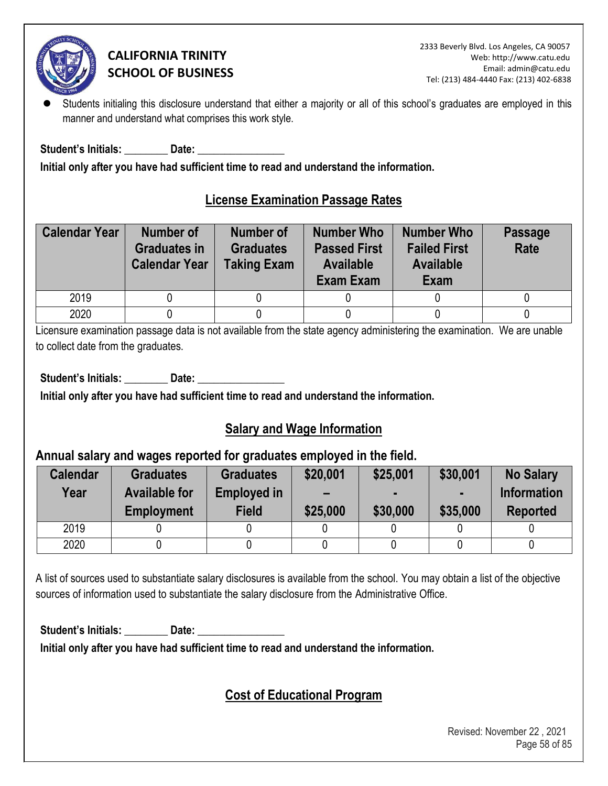

Students initialing this disclosure understand that either a majority or all of this school's graduates are employed in this manner and understand what comprises this work style.

Student's Initials: **Example 10 Date:**  $\overline{\phantom{a}}$ 

**Initial only after you have had sufficient time to read and understand the information.** 

### **License Examination Passage Rates**

| <b>Calendar Year</b> | <b>Number of</b><br><b>Graduates in</b><br><b>Calendar Year</b> | <b>Number of</b><br><b>Graduates</b><br><b>Taking Exam</b> | <b>Number Who</b><br><b>Passed First</b><br><b>Available</b><br>Exam Exam | <b>Number Who</b><br><b>Failed First</b><br><b>Available</b><br>Exam | <b>Passage</b><br>Rate |
|----------------------|-----------------------------------------------------------------|------------------------------------------------------------|---------------------------------------------------------------------------|----------------------------------------------------------------------|------------------------|
| 2019                 |                                                                 |                                                            |                                                                           |                                                                      |                        |
| 2020                 |                                                                 |                                                            |                                                                           |                                                                      |                        |

Licensure examination passage data is not available from the state agency administering the examination. We are unable to collect date from the graduates.

Student's Initials: **Date: Date: Date: Date: Propriet: Propriet: Propriet: Propriet: Propriet: Propriet: Propriet: Propriet: Propriet: Propriet: Propriet: Propriet: Propriet: Propriet: P** 

**Initial only after you have had sufficient time to read and understand the information.** 

# **Salary and Wage Information**

### **Annual salary and wages reported for graduates employed in the field.**

| <b>Calendar</b><br>Year | <b>Graduates</b><br><b>Available for</b><br><b>Employment</b> | <b>Graduates</b><br><b>Employed in</b><br><b>Field</b> | \$20,001<br>$\overline{\phantom{0}}$<br>\$25,000 | \$25,001<br>\$30,000 | \$30,001<br>\$35,000 | <b>No Salary</b><br><b>Information</b><br><b>Reported</b> |
|-------------------------|---------------------------------------------------------------|--------------------------------------------------------|--------------------------------------------------|----------------------|----------------------|-----------------------------------------------------------|
| 2019                    |                                                               |                                                        |                                                  |                      |                      |                                                           |
| 2020                    |                                                               |                                                        |                                                  |                      |                      |                                                           |

A list of sources used to substantiate salary disclosures is available from the school. You may obtain a list of the objective sources of information used to substantiate the salary disclosure from the Administrative Office.

Student's Initials: **Date: Date: Date: Date: Propriet: Propriet: Propriet: Propriet: Propriet: Propriet: Propriet: Propriet: Propriet: Propriet: Propriet: Propriet: Propriet: Propriet: P** 

**Initial only after you have had sufficient time to read and understand the information.** 

# **Cost of Educational Program**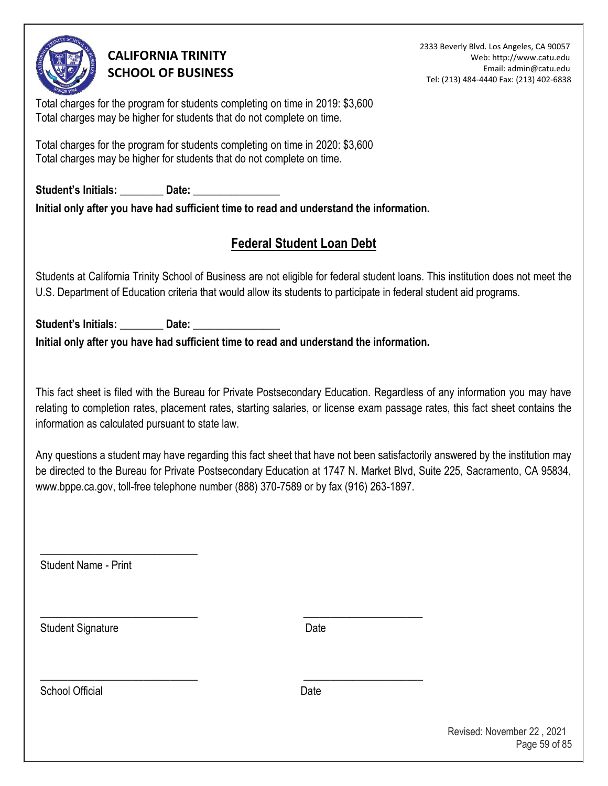

2333 Beverly Blvd. Los Angeles, CA 90057 Web: http://www.catu.edu Email: admin@catu.edu Tel: (213) 484-4440 Fax: (213) 402-6838

Total charges for the program for students completing on time in 2019: \$3,600 Total charges may be higher for students that do not complete on time.

Total charges for the program for students completing on time in 2020: \$3,600 Total charges may be higher for students that do not complete on time.

Student's Initials: **Date: Date:**  $\frac{1}{2}$ **Initial only after you have had sufficient time to read and understand the information.** 

# **Federal Student Loan Debt**

Students at California Trinity School of Business are not eligible for federal student loans. This institution does not meet the U.S. Department of Education criteria that would allow its students to participate in federal student aid programs.

Student's Initials: \_\_\_\_\_\_\_\_\_\_ Date: **Initial only after you have had sufficient time to read and understand the information.** 

\_\_\_\_\_\_\_\_\_\_\_\_\_\_\_\_\_\_\_\_\_\_\_\_\_\_\_\_\_ \_\_\_\_\_\_\_\_\_\_\_\_\_\_\_\_\_\_\_\_\_\_

\_\_\_\_\_\_\_\_\_\_\_\_\_\_\_\_\_\_\_\_\_\_\_\_\_\_\_\_\_ \_\_\_\_\_\_\_\_\_\_\_\_\_\_\_\_\_\_\_\_\_\_

This fact sheet is filed with the Bureau for Private Postsecondary Education. Regardless of any information you may have relating to completion rates, placement rates, starting salaries, or license exam passage rates, this fact sheet contains the information as calculated pursuant to state law.

Any questions a student may have regarding this fact sheet that have not been satisfactorily answered by the institution may be directed to the Bureau for Private Postsecondary Education at 1747 N. Market Blvd, Suite 225, Sacramento, CA 95834, www.bppe.ca.gov, toll-free telephone number (888) 370-7589 or by fax (916) 263-1897[.](http://www.bppe.ca.gov/)

Student Name - Print

\_\_\_\_\_\_\_\_\_\_\_\_\_\_\_\_\_\_\_\_\_\_\_\_\_\_\_\_\_

Student Signature Date

School Official **Date**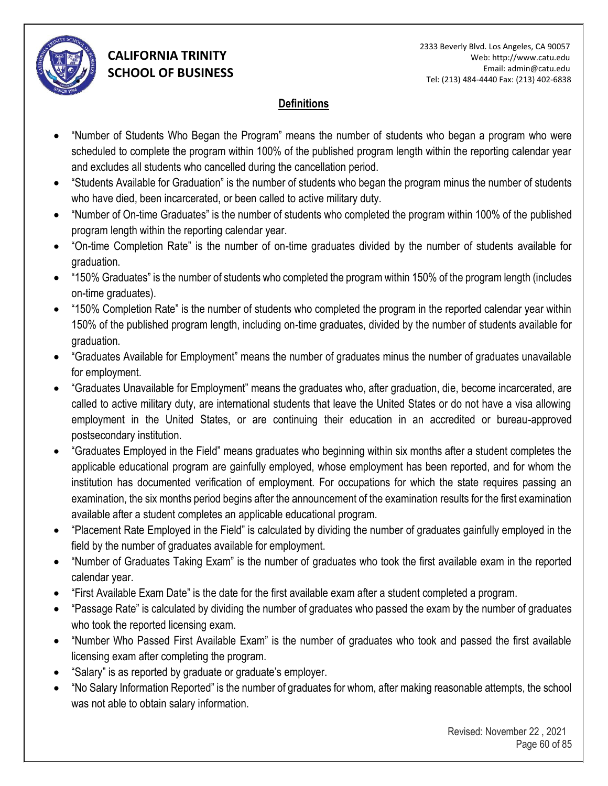

#### **Definitions**

- "Number of Students Who Began the Program" means the number of students who began a program who were scheduled to complete the program within 100% of the published program length within the reporting calendar year and excludes all students who cancelled during the cancellation period.
- "Students Available for Graduation" is the number of students who began the program minus the number of students who have died, been incarcerated, or been called to active military duty.
- "Number of On-time Graduates" is the number of students who completed the program within 100% of the published program length within the reporting calendar year.
- "On-time Completion Rate" is the number of on-time graduates divided by the number of students available for graduation.
- "150% Graduates" is the number of students who completed the program within 150% of the program length (includes on-time graduates).
- "150% Completion Rate" is the number of students who completed the program in the reported calendar year within 150% of the published program length, including on-time graduates, divided by the number of students available for graduation.
- "Graduates Available for Employment" means the number of graduates minus the number of graduates unavailable for employment.
- "Graduates Unavailable for Employment" means the graduates who, after graduation, die, become incarcerated, are called to active military duty, are international students that leave the United States or do not have a visa allowing employment in the United States, or are continuing their education in an accredited or bureau-approved postsecondary institution.
- "Graduates Employed in the Field" means graduates who beginning within six months after a student completes the applicable educational program are gainfully employed, whose employment has been reported, and for whom the institution has documented verification of employment. For occupations for which the state requires passing an examination, the six months period begins after the announcement of the examination results for the first examination available after a student completes an applicable educational program.
- "Placement Rate Employed in the Field" is calculated by dividing the number of graduates gainfully employed in the field by the number of graduates available for employment.
- "Number of Graduates Taking Exam" is the number of graduates who took the first available exam in the reported calendar year.
- "First Available Exam Date" is the date for the first available exam after a student completed a program.
- "Passage Rate" is calculated by dividing the number of graduates who passed the exam by the number of graduates who took the reported licensing exam.
- "Number Who Passed First Available Exam" is the number of graduates who took and passed the first available licensing exam after completing the program.
- "Salary" is as reported by graduate or graduate's employer.
- "No Salary Information Reported" is the number of graduates for whom, after making reasonable attempts, the school was not able to obtain salary information.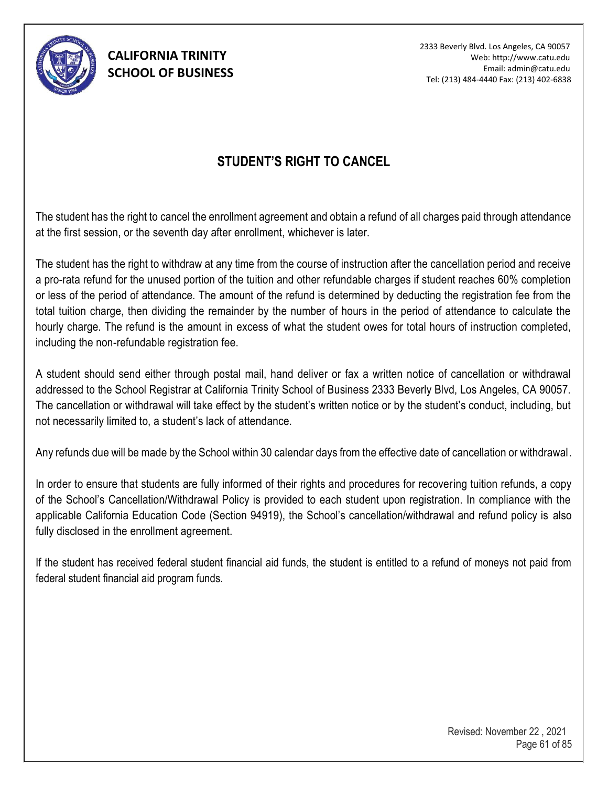

2333 Beverly Blvd. Los Angeles, CA 90057 Web: http://www.catu.edu Email: admin@catu.edu Tel: (213) 484-4440 Fax: (213) 402-6838

### **STUDENT'S RIGHT TO CANCEL**

The student has the right to cancel the enrollment agreement and obtain a refund of all charges paid through attendance at the first session, or the seventh day after enrollment, whichever is later.

The student has the right to withdraw at any time from the course of instruction after the cancellation period and receive a pro-rata refund for the unused portion of the tuition and other refundable charges if student reaches 60% completion or less of the period of attendance. The amount of the refund is determined by deducting the registration fee from the total tuition charge, then dividing the remainder by the number of hours in the period of attendance to calculate the hourly charge. The refund is the amount in excess of what the student owes for total hours of instruction completed, including the non-refundable registration fee.

A student should send either through postal mail, hand deliver or fax a written notice of cancellation or withdrawal addressed to the School Registrar at California Trinity School of Business 2333 Beverly Blvd, Los Angeles, CA 90057. The cancellation or withdrawal will take effect by the student's written notice or by the student's conduct, including, but not necessarily limited to, a student's lack of attendance.

Any refunds due will be made by the School within 30 calendar days from the effective date of cancellation or withdrawal.

In order to ensure that students are fully informed of their rights and procedures for recovering tuition refunds, a copy of the School's Cancellation/Withdrawal Policy is provided to each student upon registration. In compliance with the applicable California Education Code (Section 94919), the School's cancellation/withdrawal and refund policy is also fully disclosed in the enrollment agreement.

If the student has received federal student financial aid funds, the student is entitled to a refund of moneys not paid from federal student financial aid program funds.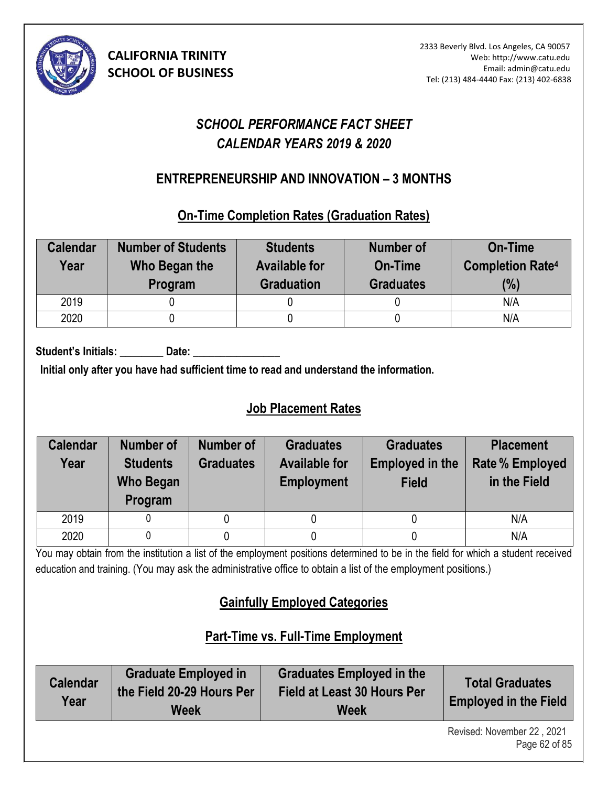

# *SCHOOL PERFORMANCE FACT SHEET CALENDAR YEARS 2019 & 2020*

## **ENTREPRENEURSHIP AND INNOVATION – 3 MONTHS (10)**

**On-Time Completion Rates (Graduation Rates)**

| <b>Calendar</b><br>Year | <b>Number of Students</b><br>Who Began the<br>Program | <b>Students</b><br><b>Available for</b><br><b>Graduation</b> | Number of<br>On-Time<br><b>Graduates</b> | <b>On-Time</b><br><b>Completion Rate4</b><br>(%) |
|-------------------------|-------------------------------------------------------|--------------------------------------------------------------|------------------------------------------|--------------------------------------------------|
| 2019                    |                                                       |                                                              |                                          | N/A                                              |
| 2020                    |                                                       |                                                              |                                          | N/A                                              |

Student's Initials: Date:

**Initial only after you have had sufficient time to read and understand the information.** 

# **Job Placement Rates**

| <b>Calendar</b><br>Year | Number of<br><b>Students</b><br><b>Who Began</b><br>Program | Number of<br><b>Graduates</b> | <b>Graduates</b><br><b>Available for</b><br><b>Employment</b> | <b>Graduates</b><br><b>Employed in the</b><br><b>Field</b> | <b>Placement</b><br><b>Rate % Employed</b><br>in the Field |
|-------------------------|-------------------------------------------------------------|-------------------------------|---------------------------------------------------------------|------------------------------------------------------------|------------------------------------------------------------|
| 2019                    |                                                             |                               |                                                               |                                                            | N/A                                                        |
| 2020                    |                                                             |                               |                                                               |                                                            | N/A                                                        |

You may obtain from the institution a list of the employment positions determined to be in the field for which a student received education and training. (You may ask the administrative office to obtain a list of the employment positions.)

# **Gainfully Employed Categories**

# **Part-Time vs. Full-Time Employment**

| <b>Calendar</b><br>Year | <b>Graduate Employed in</b><br>the Field 20-29 Hours Per<br><b>Week</b> | <b>Graduates Employed in the</b><br><b>Field at Least 30 Hours Per</b><br><b>Week</b> | <b>Total Graduates</b><br><b>Employed in the Field</b> |
|-------------------------|-------------------------------------------------------------------------|---------------------------------------------------------------------------------------|--------------------------------------------------------|
|                         |                                                                         |                                                                                       | Revised: November 22 2021                              |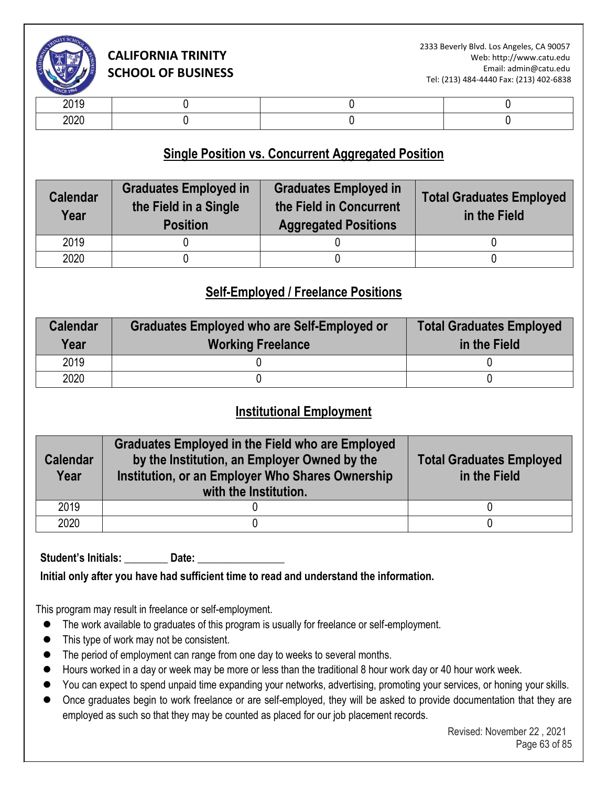

| -- - -           |  |  |
|------------------|--|--|
| $\cdots$<br>$-0$ |  |  |

### **Single Position vs. Concurrent Aggregated Position**

| <b>Calendar</b><br>Year | <b>Graduates Employed in</b><br>the Field in a Single<br><b>Position</b> | <b>Graduates Employed in</b><br>the Field in Concurrent<br><b>Aggregated Positions</b> | <b>Total Graduates Employed</b><br>in the Field |
|-------------------------|--------------------------------------------------------------------------|----------------------------------------------------------------------------------------|-------------------------------------------------|
| 2019                    |                                                                          |                                                                                        |                                                 |
| 2020                    |                                                                          |                                                                                        |                                                 |

### **Self-Employed / Freelance Positions**

| <b>Calendar</b><br>Year | <b>Graduates Employed who are Self-Employed or</b><br><b>Working Freelance</b> | <b>Total Graduates Employed</b><br>in the Field |
|-------------------------|--------------------------------------------------------------------------------|-------------------------------------------------|
| 2019                    |                                                                                |                                                 |
| 2020                    |                                                                                |                                                 |

#### **Institutional Employment**

| <b>Calendar</b><br>Year | <b>Graduates Employed in the Field who are Employed</b><br>by the Institution, an Employer Owned by the<br>Institution, or an Employer Who Shares Ownership<br>with the Institution. | <b>Total Graduates Employed</b><br>in the Field |
|-------------------------|--------------------------------------------------------------------------------------------------------------------------------------------------------------------------------------|-------------------------------------------------|
| 2019                    |                                                                                                                                                                                      |                                                 |
| 2020                    |                                                                                                                                                                                      |                                                 |

Student's Initials: **Date:** Date:

**Initial only after you have had sufficient time to read and understand the information.** 

This program may result in freelance or self-employment.

- ⚫ The work available to graduates of this program is usually for freelance or self-employment.
- ⚫ This type of work may not be consistent.
- The period of employment can range from one day to weeks to several months.
- Hours worked in a day or week may be more or less than the traditional 8 hour work day or 40 hour work week.
- You can expect to spend unpaid time expanding your networks, advertising, promoting your services, or honing your skills.
- Once graduates begin to work freelance or are self-employed, they will be asked to provide documentation that they are employed as such so that they may be counted as placed for our job placement records.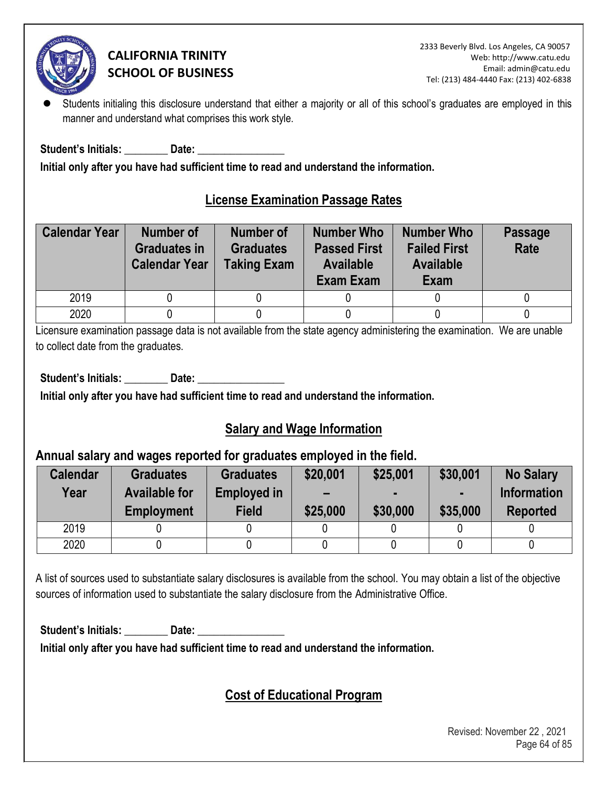

Students initialing this disclosure understand that either a majority or all of this school's graduates are employed in this manner and understand what comprises this work style.

Student's Initials: **Example 10 Date:**  $\overline{\phantom{a}}$ 

**Initial only after you have had sufficient time to read and understand the information.** 

### **License Examination Passage Rates**

| <b>Calendar Year</b> | <b>Number of</b><br><b>Graduates in</b><br><b>Calendar Year</b> | <b>Number of</b><br><b>Graduates</b><br><b>Taking Exam</b> | <b>Number Who</b><br><b>Passed First</b><br><b>Available</b><br>Exam Exam | <b>Number Who</b><br><b>Failed First</b><br><b>Available</b><br>Exam | <b>Passage</b><br>Rate |
|----------------------|-----------------------------------------------------------------|------------------------------------------------------------|---------------------------------------------------------------------------|----------------------------------------------------------------------|------------------------|
| 2019                 |                                                                 |                                                            |                                                                           |                                                                      |                        |
| 2020                 |                                                                 |                                                            |                                                                           |                                                                      |                        |

Licensure examination passage data is not available from the state agency administering the examination. We are unable to collect date from the graduates.

Student's Initials: **Date: Date: Date: Date: Propriet: Propriet: Propriet: Propriet: Propriet: Propriet: Propriet: Propriet: Propriet: Propriet: Propriet: Propriet: Propriet: Propriet: P** 

**Initial only after you have had sufficient time to read and understand the information.** 

# **Salary and Wage Information**

### **Annual salary and wages reported for graduates employed in the field.**

| <b>Calendar</b><br>Year | <b>Graduates</b><br><b>Available for</b><br><b>Employment</b> | <b>Graduates</b><br><b>Employed in</b><br><b>Field</b> | \$20,001<br>$\overline{\phantom{0}}$<br>\$25,000 | \$25,001<br>\$30,000 | \$30,001<br>\$35,000 | <b>No Salary</b><br><b>Information</b><br><b>Reported</b> |
|-------------------------|---------------------------------------------------------------|--------------------------------------------------------|--------------------------------------------------|----------------------|----------------------|-----------------------------------------------------------|
| 2019                    |                                                               |                                                        |                                                  |                      |                      |                                                           |
| 2020                    |                                                               |                                                        |                                                  |                      |                      |                                                           |

A list of sources used to substantiate salary disclosures is available from the school. You may obtain a list of the objective sources of information used to substantiate the salary disclosure from the Administrative Office.

Student's Initials: **Date: Date: Date: Date: Propriet: Propriet: Propriet: Propriet: Propriet: Propriet: Propriet: Propriet: Propriet: Propriet: Propriet: Propriet: Propriet: Propriet: P** 

**Initial only after you have had sufficient time to read and understand the information.** 

# **Cost of Educational Program**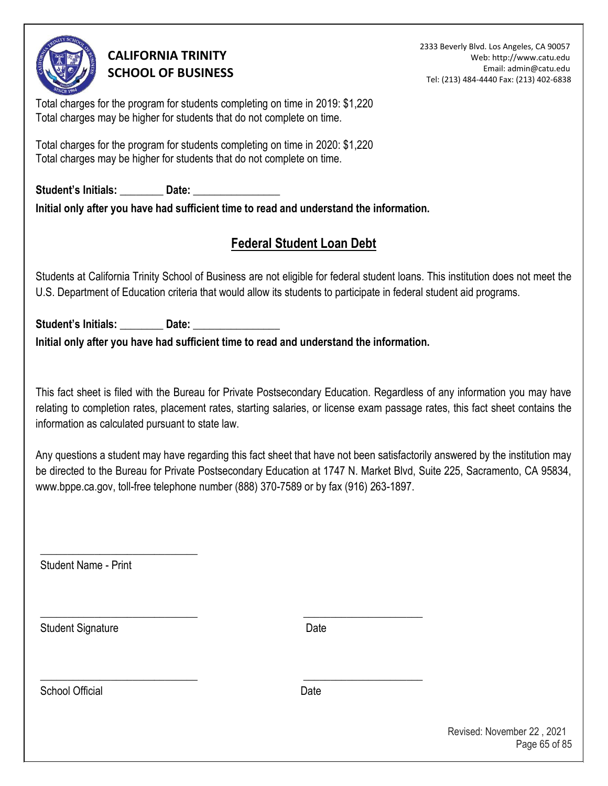

2333 Beverly Blvd. Los Angeles, CA 90057 Web: http://www.catu.edu Email: admin@catu.edu Tel: (213) 484-4440 Fax: (213) 402-6838

Total charges for the program for students completing on time in 2019: \$1,220 Total charges may be higher for students that do not complete on time.

Total charges for the program for students completing on time in 2020: \$1,220 Total charges may be higher for students that do not complete on time.

Student's Initials: **Date: Date:**  $\frac{1}{2}$ **Initial only after you have had sufficient time to read and understand the information.** 

# **Federal Student Loan Debt**

Students at California Trinity School of Business are not eligible for federal student loans. This institution does not meet the U.S. Department of Education criteria that would allow its students to participate in federal student aid programs.

Student's Initials: \_\_\_\_\_\_\_\_\_\_ Date: **Initial only after you have had sufficient time to read and understand the information.** 

\_\_\_\_\_\_\_\_\_\_\_\_\_\_\_\_\_\_\_\_\_\_\_\_\_\_\_\_\_ \_\_\_\_\_\_\_\_\_\_\_\_\_\_\_\_\_\_\_\_\_\_

\_\_\_\_\_\_\_\_\_\_\_\_\_\_\_\_\_\_\_\_\_\_\_\_\_\_\_\_\_ \_\_\_\_\_\_\_\_\_\_\_\_\_\_\_\_\_\_\_\_\_\_

This fact sheet is filed with the Bureau for Private Postsecondary Education. Regardless of any information you may have relating to completion rates, placement rates, starting salaries, or license exam passage rates, this fact sheet contains the information as calculated pursuant to state law.

Any questions a student may have regarding this fact sheet that have not been satisfactorily answered by the institution may be directed to the Bureau for Private Postsecondary Education at 1747 N. Market Blvd, Suite 225, Sacramento, CA 95834, www.bppe.ca.gov, toll-free telephone number (888) 370-7589 or by fax (916) 263-1897[.](http://www.bppe.ca.gov/)

Student Name - Print

\_\_\_\_\_\_\_\_\_\_\_\_\_\_\_\_\_\_\_\_\_\_\_\_\_\_\_\_\_

Student Signature Date

School Official **Date**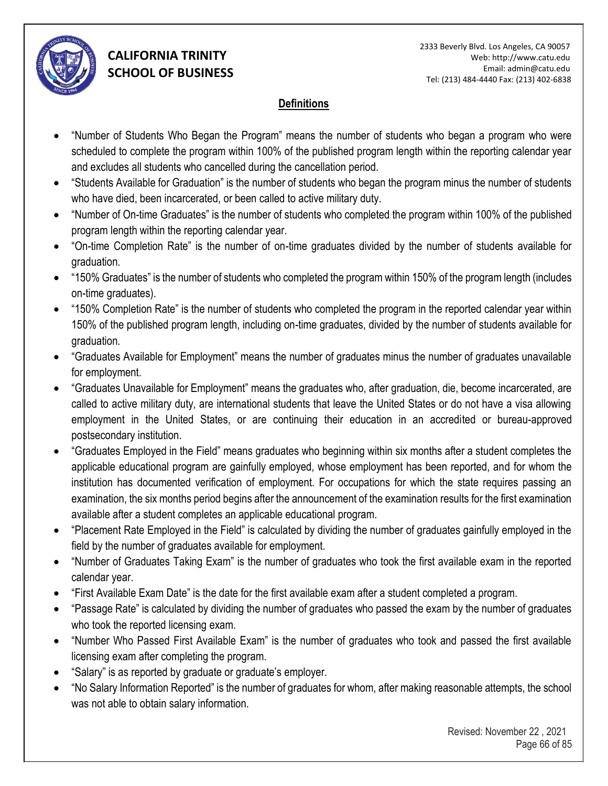

#### **Definitions**

- "Number of Students Who Began the Program" means the number of students who began a program who were scheduled to complete the program within 100% of the published program length within the reporting calendar year and excludes all students who cancelled during the cancellation period.
- "Students Available for Graduation" is the number of students who began the program minus the number of students who have died, been incarcerated, or been called to active military duty.
- "Number of On-time Graduates" is the number of students who completed the program within 100% of the published program length within the reporting calendar year.
- "On-time Completion Rate" is the number of on-time graduates divided by the number of students available for graduation.
- "150% Graduates" is the number of students who completed the program within 150% of the program length (includes on-time graduates).
- "150% Completion Rate" is the number of students who completed the program in the reported calendar year within 150% of the published program length, including on-time graduates, divided by the number of students available for graduation.
- "Graduates Available for Employment" means the number of graduates minus the number of graduates unavailable for employment.
- "Graduates Unavailable for Employment" means the graduates who, after graduation, die, become incarcerated, are called to active military duty, are international students that leave the United States or do not have a visa allowing employment in the United States, or are continuing their education in an accredited or bureau-approved postsecondary institution.
- "Graduates Employed in the Field" means graduates who beginning within six months after a student completes the applicable educational program are gainfully employed, whose employment has been reported, and for whom the institution has documented verification of employment. For occupations for which the state requires passing an examination, the six months period begins after the announcement of the examination results for the first examination available after a student completes an applicable educational program.
- "Placement Rate Employed in the Field" is calculated by dividing the number of graduates gainfully employed in the field by the number of graduates available for employment.
- "Number of Graduates Taking Exam" is the number of graduates who took the first available exam in the reported calendar year.
- "First Available Exam Date" is the date for the first available exam after a student completed a program.
- "Passage Rate" is calculated by dividing the number of graduates who passed the exam by the number of graduates who took the reported licensing exam.
- "Number Who Passed First Available Exam" is the number of graduates who took and passed the first available licensing exam after completing the program.
- "Salary" is as reported by graduate or graduate's employer.
- "No Salary Information Reported" is the number of graduates for whom, after making reasonable attempts, the school was not able to obtain salary information.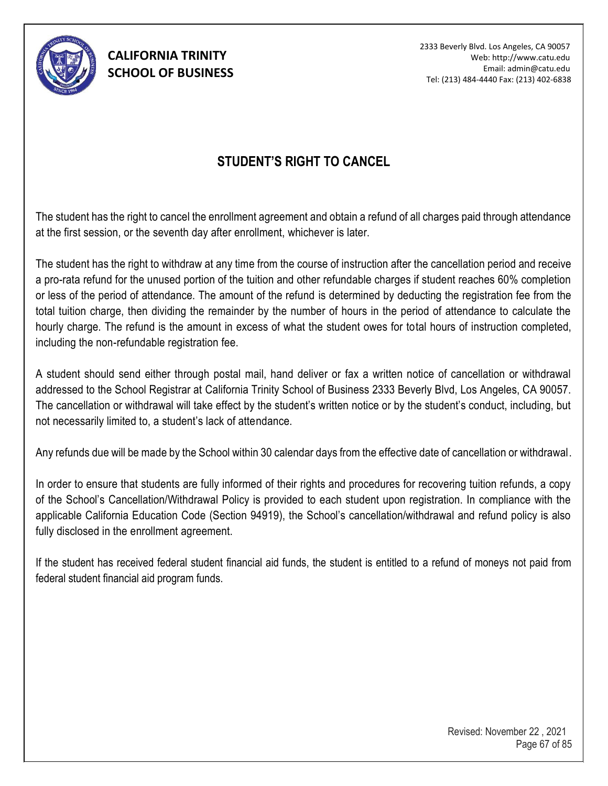

# **STUDENT'S RIGHT TO CANCEL**

The student has the right to cancel the enrollment agreement and obtain a refund of all charges paid through attendance at the first session, or the seventh day after enrollment, whichever is later.

The student has the right to withdraw at any time from the course of instruction after the cancellation period and receive a pro-rata refund for the unused portion of the tuition and other refundable charges if student reaches 60% completion or less of the period of attendance. The amount of the refund is determined by deducting the registration fee from the total tuition charge, then dividing the remainder by the number of hours in the period of attendance to calculate the hourly charge. The refund is the amount in excess of what the student owes for total hours of instruction completed, including the non-refundable registration fee.

A student should send either through postal mail, hand deliver or fax a written notice of cancellation or withdrawal addressed to the School Registrar at California Trinity School of Business 2333 Beverly Blvd, Los Angeles, CA 90057. The cancellation or withdrawal will take effect by the student's written notice or by the student's conduct, including, but not necessarily limited to, a student's lack of attendance.

Any refunds due will be made by the School within 30 calendar days from the effective date of cancellation or withdrawal.

In order to ensure that students are fully informed of their rights and procedures for recovering tuition refunds, a copy of the School's Cancellation/Withdrawal Policy is provided to each student upon registration. In compliance with the applicable California Education Code (Section 94919), the School's cancellation/withdrawal and refund policy is also fully disclosed in the enrollment agreement.

If the student has received federal student financial aid funds, the student is entitled to a refund of moneys not paid from federal student financial aid program funds.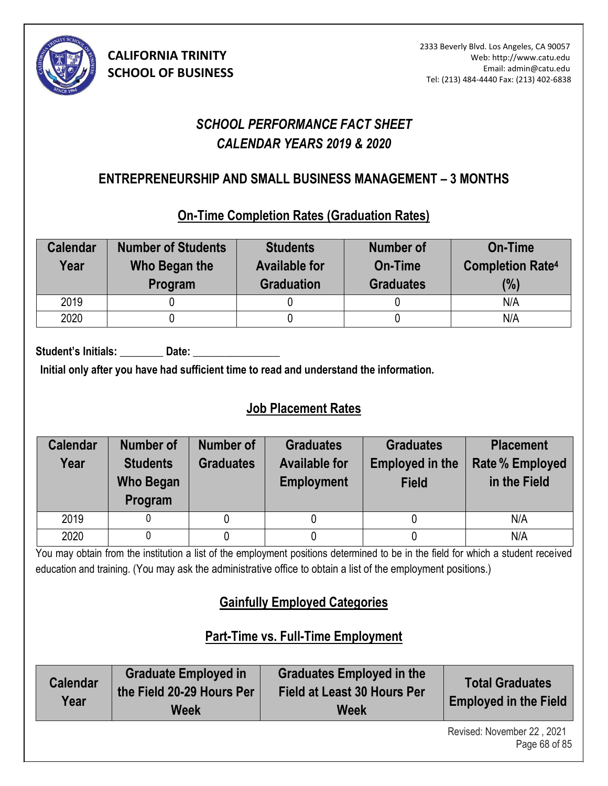

# *SCHOOL PERFORMANCE FACT SHEET CALENDAR YEARS 2019 & 2020*

## **ENTREPRENEURSHIP AND SMALL BUSINESS MANAGEMENT – 3 MONTHS (10)**

### **On-Time Completion Rates (Graduation Rates)**

| <b>Calendar</b><br>Year | <b>Number of Students</b><br>Who Began the<br>Program | <b>Students</b><br><b>Available for</b><br><b>Graduation</b> | <b>Number of</b><br>On-Time<br><b>Graduates</b> | <b>On-Time</b><br><b>Completion Rate4</b><br>(%) |
|-------------------------|-------------------------------------------------------|--------------------------------------------------------------|-------------------------------------------------|--------------------------------------------------|
| 2019                    |                                                       |                                                              |                                                 | N/A                                              |
| 2020                    |                                                       |                                                              |                                                 | N/A                                              |

Student's Initials: Date:

**Initial only after you have had sufficient time to read and understand the information.** 

# **Job Placement Rates**

| <b>Calendar</b><br>Year | <b>Number of</b><br><b>Students</b><br><b>Who Began</b><br>Program | <b>Number of</b><br><b>Graduates</b> | <b>Graduates</b><br><b>Available for</b><br><b>Employment</b> | <b>Graduates</b><br><b>Employed in the</b><br><b>Field</b> | <b>Placement</b><br><b>Rate % Employed</b><br>in the Field |
|-------------------------|--------------------------------------------------------------------|--------------------------------------|---------------------------------------------------------------|------------------------------------------------------------|------------------------------------------------------------|
| 2019                    |                                                                    |                                      |                                                               |                                                            | N/A                                                        |
| 2020                    |                                                                    |                                      |                                                               |                                                            | N/A                                                        |

You may obtain from the institution a list of the employment positions determined to be in the field for which a student received education and training. (You may ask the administrative office to obtain a list of the employment positions.)

# **Gainfully Employed Categories**

# **Part-Time vs. Full-Time Employment**

| <b>Calendar</b><br>Year | <b>Graduate Employed in</b><br>the Field 20-29 Hours Per<br><b>Week</b> | <b>Graduates Employed in the</b><br><b>Field at Least 30 Hours Per</b><br><b>Week</b> | <b>Total Graduates</b><br><b>Employed in the Field</b> |
|-------------------------|-------------------------------------------------------------------------|---------------------------------------------------------------------------------------|--------------------------------------------------------|
|                         |                                                                         |                                                                                       | Revised: November 22 2021                              |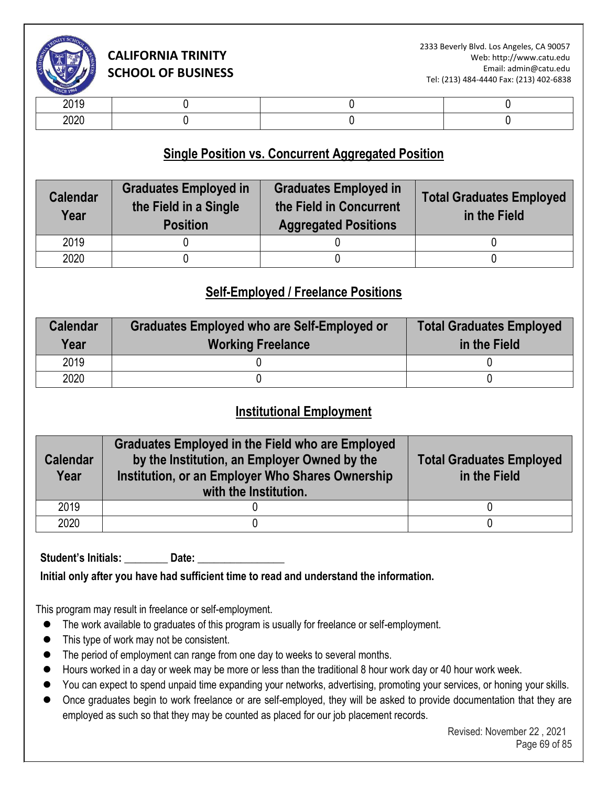

| $ -$ |  |  |
|------|--|--|

### **Single Position vs. Concurrent Aggregated Position**

| <b>Calendar</b><br>Year | <b>Graduates Employed in</b><br>the Field in a Single<br><b>Position</b> | <b>Graduates Employed in</b><br>the Field in Concurrent<br><b>Aggregated Positions</b> | <b>Total Graduates Employed</b><br>in the Field |  |
|-------------------------|--------------------------------------------------------------------------|----------------------------------------------------------------------------------------|-------------------------------------------------|--|
| 2019                    |                                                                          |                                                                                        |                                                 |  |
| 2020                    |                                                                          |                                                                                        |                                                 |  |

### **Self-Employed / Freelance Positions**

| <b>Calendar</b><br>Year | <b>Graduates Employed who are Self-Employed or</b><br><b>Working Freelance</b> | <b>Total Graduates Employed</b><br>in the Field |  |
|-------------------------|--------------------------------------------------------------------------------|-------------------------------------------------|--|
| 2019                    |                                                                                |                                                 |  |
| 2020                    |                                                                                |                                                 |  |

#### **Institutional Employment**

| <b>Calendar</b><br>Year | <b>Graduates Employed in the Field who are Employed</b><br>by the Institution, an Employer Owned by the<br>Institution, or an Employer Who Shares Ownership<br>with the Institution. | <b>Total Graduates Employed</b><br>in the Field |  |
|-------------------------|--------------------------------------------------------------------------------------------------------------------------------------------------------------------------------------|-------------------------------------------------|--|
| 2019                    |                                                                                                                                                                                      |                                                 |  |
| 2020                    |                                                                                                                                                                                      |                                                 |  |

Student's Initials: **Date:** 

**Initial only after you have had sufficient time to read and understand the information.** 

This program may result in freelance or self-employment.

- ⚫ The work available to graduates of this program is usually for freelance or self-employment.
- ⚫ This type of work may not be consistent.
- The period of employment can range from one day to weeks to several months.
- Hours worked in a day or week may be more or less than the traditional 8 hour work day or 40 hour work week.
- You can expect to spend unpaid time expanding your networks, advertising, promoting your services, or honing your skills.
- Once graduates begin to work freelance or are self-employed, they will be asked to provide documentation that they are employed as such so that they may be counted as placed for our job placement records.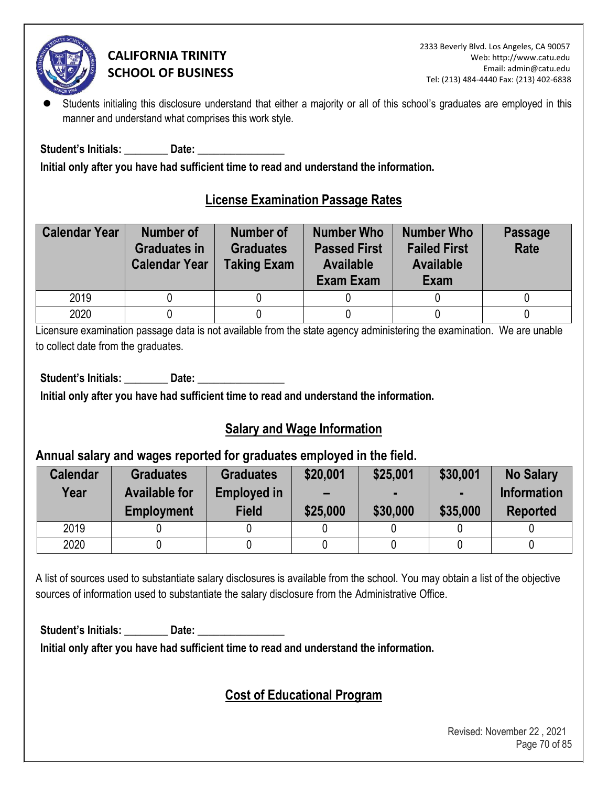

Students initialing this disclosure understand that either a majority or all of this school's graduates are employed in this manner and understand what comprises this work style.

Student's Initials: **Example 10 Date:**  $\overline{\phantom{a}}$ 

**Initial only after you have had sufficient time to read and understand the information.** 

### **License Examination Passage Rates**

| <b>Calendar Year</b> | <b>Number of</b><br><b>Graduates in</b><br><b>Calendar Year</b> | <b>Number of</b><br><b>Graduates</b><br><b>Taking Exam</b> | <b>Number Who</b><br><b>Passed First</b><br><b>Available</b><br>Exam Exam | <b>Number Who</b><br><b>Failed First</b><br><b>Available</b><br>Exam | <b>Passage</b><br>Rate |
|----------------------|-----------------------------------------------------------------|------------------------------------------------------------|---------------------------------------------------------------------------|----------------------------------------------------------------------|------------------------|
| 2019                 |                                                                 |                                                            |                                                                           |                                                                      |                        |
| 2020                 |                                                                 |                                                            |                                                                           |                                                                      |                        |

Licensure examination passage data is not available from the state agency administering the examination. We are unable to collect date from the graduates.

Student's Initials: **Date: Date: Date: Date: Propriet: Propriet: Propriet: Propriet: Propriet: Propriet: Propriet: Propriet: Propriet: Propriet: Propriet: Propriet: Propriet: Propriet: P** 

**Initial only after you have had sufficient time to read and understand the information.** 

### **Salary and Wage Information**

### **Annual salary and wages reported for graduates employed in the field.**

| <b>Calendar</b><br>Year | <b>Graduates</b><br><b>Available for</b><br><b>Employment</b> | <b>Graduates</b><br><b>Employed in</b><br><b>Field</b> | \$20,001<br>$\overline{\phantom{0}}$<br>\$25,000 | \$25,001<br>\$30,000 | \$30,001<br>\$35,000 | <b>No Salary</b><br><b>Information</b><br><b>Reported</b> |
|-------------------------|---------------------------------------------------------------|--------------------------------------------------------|--------------------------------------------------|----------------------|----------------------|-----------------------------------------------------------|
| 2019                    |                                                               |                                                        |                                                  |                      |                      |                                                           |
| 2020                    |                                                               |                                                        |                                                  |                      |                      |                                                           |

A list of sources used to substantiate salary disclosures is available from the school. You may obtain a list of the objective sources of information used to substantiate the salary disclosure from the Administrative Office.

Student's Initials: **Date: Date: Date: Date: Propriet: Propriet: Propriet: Propriet: Propriet: Propriet: Propriet: Propriet: Propriet: Propriet: Propriet: Propriet: Propriet: Propriet: P** 

**Initial only after you have had sufficient time to read and understand the information.** 

# **Cost of Educational Program**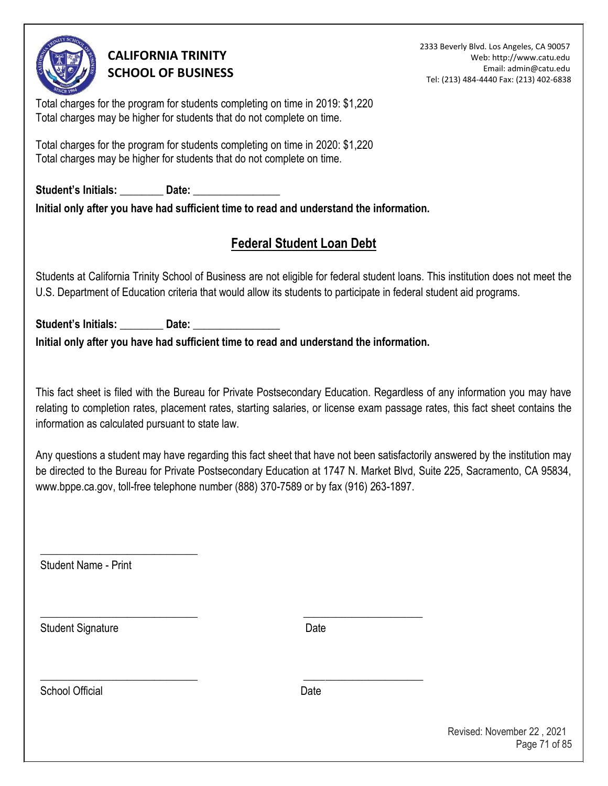

2333 Beverly Blvd. Los Angeles, CA 90057 Web: http://www.catu.edu Email: admin@catu.edu Tel: (213) 484-4440 Fax: (213) 402-6838

Total charges for the program for students completing on time in 2019: \$1,220 Total charges may be higher for students that do not complete on time.

Total charges for the program for students completing on time in 2020: \$1,220 Total charges may be higher for students that do not complete on time.

Student's Initials: **Date: Date:**  $\frac{1}{2}$ **Initial only after you have had sufficient time to read and understand the information.** 

# **Federal Student Loan Debt**

Students at California Trinity School of Business are not eligible for federal student loans. This institution does not meet the U.S. Department of Education criteria that would allow its students to participate in federal student aid programs.

Student's Initials: \_\_\_\_\_\_\_\_\_\_ Date: **Initial only after you have had sufficient time to read and understand the information.** 

\_\_\_\_\_\_\_\_\_\_\_\_\_\_\_\_\_\_\_\_\_\_\_\_\_\_\_\_\_ \_\_\_\_\_\_\_\_\_\_\_\_\_\_\_\_\_\_\_\_\_\_

\_\_\_\_\_\_\_\_\_\_\_\_\_\_\_\_\_\_\_\_\_\_\_\_\_\_\_\_\_ \_\_\_\_\_\_\_\_\_\_\_\_\_\_\_\_\_\_\_\_\_\_

This fact sheet is filed with the Bureau for Private Postsecondary Education. Regardless of any information you may have relating to completion rates, placement rates, starting salaries, or license exam passage rates, this fact sheet contains the information as calculated pursuant to state law.

Any questions a student may have regarding this fact sheet that have not been satisfactorily answered by the institution may be directed to the Bureau for Private Postsecondary Education at 1747 N. Market Blvd, Suite 225, Sacramento, CA 95834, www.bppe.ca.gov, toll-free telephone number (888) 370-7589 or by fax (916) 263-1897.

Student Name - Print

\_\_\_\_\_\_\_\_\_\_\_\_\_\_\_\_\_\_\_\_\_\_\_\_\_\_\_\_\_

Student Signature Date

School Official **Date**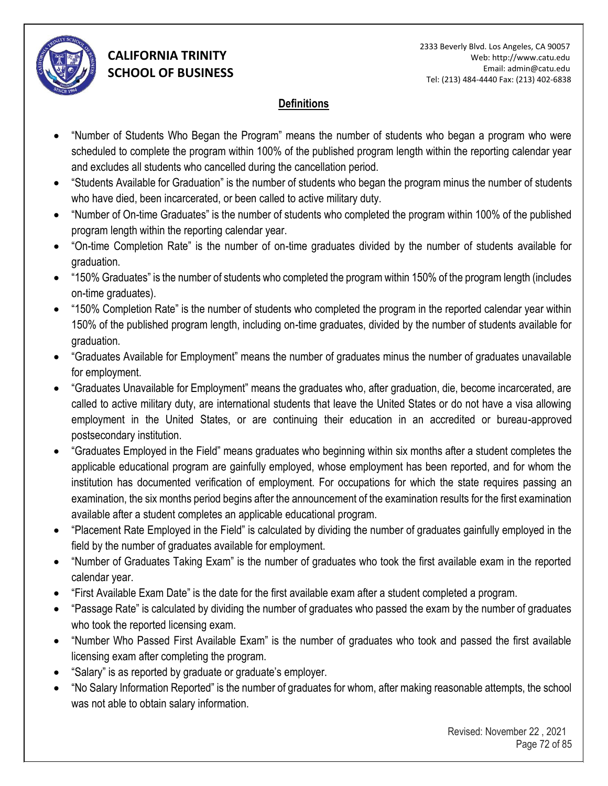

#### **Definitions**

- "Number of Students Who Began the Program" means the number of students who began a program who were scheduled to complete the program within 100% of the published program length within the reporting calendar year and excludes all students who cancelled during the cancellation period.
- "Students Available for Graduation" is the number of students who began the program minus the number of students who have died, been incarcerated, or been called to active military duty.
- "Number of On-time Graduates" is the number of students who completed the program within 100% of the published program length within the reporting calendar year.
- "On-time Completion Rate" is the number of on-time graduates divided by the number of students available for graduation.
- "150% Graduates" is the number of students who completed the program within 150% of the program length (includes on-time graduates).
- "150% Completion Rate" is the number of students who completed the program in the reported calendar year within 150% of the published program length, including on-time graduates, divided by the number of students available for graduation.
- "Graduates Available for Employment" means the number of graduates minus the number of graduates unavailable for employment.
- "Graduates Unavailable for Employment" means the graduates who, after graduation, die, become incarcerated, are called to active military duty, are international students that leave the United States or do not have a visa allowing employment in the United States, or are continuing their education in an accredited or bureau-approved postsecondary institution.
- "Graduates Employed in the Field" means graduates who beginning within six months after a student completes the applicable educational program are gainfully employed, whose employment has been reported, and for whom the institution has documented verification of employment. For occupations for which the state requires passing an examination, the six months period begins after the announcement of the examination results for the first examination available after a student completes an applicable educational program.
- "Placement Rate Employed in the Field" is calculated by dividing the number of graduates gainfully employed in the field by the number of graduates available for employment.
- "Number of Graduates Taking Exam" is the number of graduates who took the first available exam in the reported calendar year.
- "First Available Exam Date" is the date for the first available exam after a student completed a program.
- "Passage Rate" is calculated by dividing the number of graduates who passed the exam by the number of graduates who took the reported licensing exam.
- "Number Who Passed First Available Exam" is the number of graduates who took and passed the first available licensing exam after completing the program.
- "Salary" is as reported by graduate or graduate's employer.
- "No Salary Information Reported" is the number of graduates for whom, after making reasonable attempts, the school was not able to obtain salary information.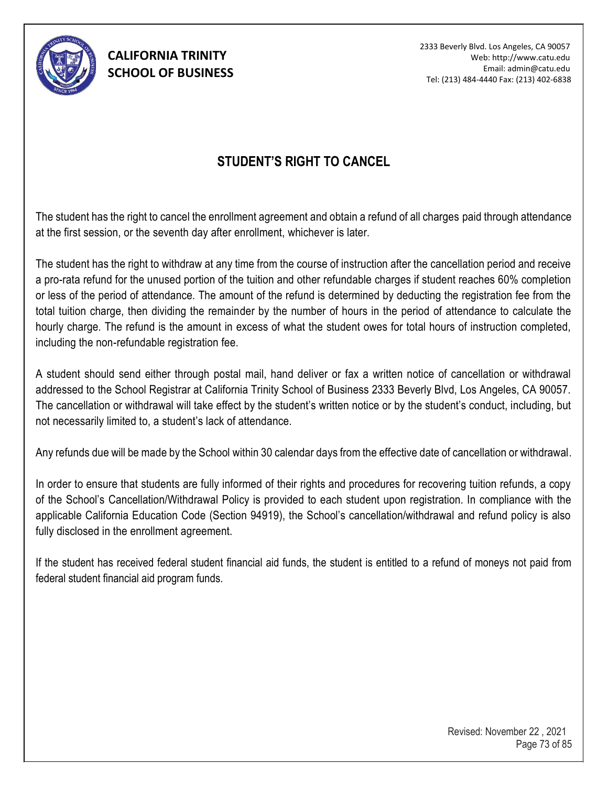

2333 Beverly Blvd. Los Angeles, CA 90057 Web: http://www.catu.edu Email: admin@catu.edu Tel: (213) 484-4440 Fax: (213) 402-6838

## **STUDENT'S RIGHT TO CANCEL**

The student has the right to cancel the enrollment agreement and obtain a refund of all charges paid through attendance at the first session, or the seventh day after enrollment, whichever is later.

The student has the right to withdraw at any time from the course of instruction after the cancellation period and receive a pro-rata refund for the unused portion of the tuition and other refundable charges if student reaches 60% completion or less of the period of attendance. The amount of the refund is determined by deducting the registration fee from the total tuition charge, then dividing the remainder by the number of hours in the period of attendance to calculate the hourly charge. The refund is the amount in excess of what the student owes for total hours of instruction completed, including the non-refundable registration fee.

A student should send either through postal mail, hand deliver or fax a written notice of cancellation or withdrawal addressed to the School Registrar at California Trinity School of Business 2333 Beverly Blvd, Los Angeles, CA 90057. The cancellation or withdrawal will take effect by the student's written notice or by the student's conduct, including, but not necessarily limited to, a student's lack of attendance.

Any refunds due will be made by the School within 30 calendar days from the effective date of cancellation or withdrawal.

In order to ensure that students are fully informed of their rights and procedures for recovering tuition refunds, a copy of the School's Cancellation/Withdrawal Policy is provided to each student upon registration. In compliance with the applicable California Education Code (Section 94919), the School's cancellation/withdrawal and refund policy is also fully disclosed in the enrollment agreement.

If the student has received federal student financial aid funds, the student is entitled to a refund of moneys not paid from federal student financial aid program funds.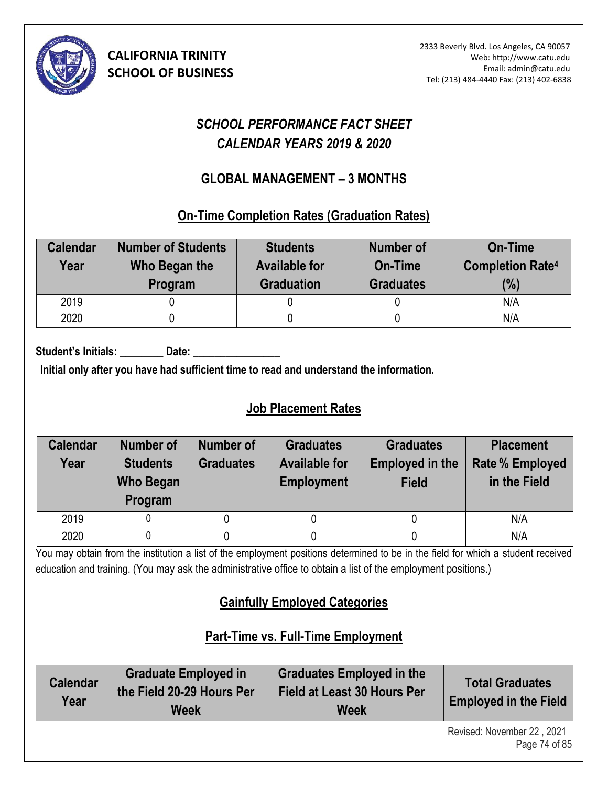

# *SCHOOL PERFORMANCE FACT SHEET CALENDAR YEARS 2019 & 2020*

## **GLOBAL MANAGEMENT – 3 MONTHS (10)**

#### **On-Time Completion Rates (Graduation Rates)**

| <b>Calendar</b><br>Year | <b>Number of Students</b><br>Who Began the<br>Program | <b>Students</b><br><b>Available for</b><br><b>Graduation</b> | Number of<br>On-Time<br><b>Graduates</b> | <b>On-Time</b><br><b>Completion Rate4</b><br>(%) |
|-------------------------|-------------------------------------------------------|--------------------------------------------------------------|------------------------------------------|--------------------------------------------------|
| 2019                    |                                                       |                                                              |                                          | N/A                                              |
| 2020                    |                                                       |                                                              |                                          | N/A                                              |

Student's Initials: Date:

**Initial only after you have had sufficient time to read and understand the information.** 

## **Job Placement Rates**

| <b>Calendar</b><br>Year | <b>Number of</b><br><b>Students</b><br><b>Who Began</b><br>Program | Number of<br><b>Graduates</b> | <b>Graduates</b><br><b>Available for</b><br><b>Employment</b> | <b>Graduates</b><br><b>Employed in the</b><br><b>Field</b> | <b>Placement</b><br><b>Rate % Employed</b><br>in the Field |
|-------------------------|--------------------------------------------------------------------|-------------------------------|---------------------------------------------------------------|------------------------------------------------------------|------------------------------------------------------------|
| 2019                    |                                                                    |                               |                                                               |                                                            | N/A                                                        |
| 2020                    |                                                                    |                               |                                                               |                                                            | N/A                                                        |

You may obtain from the institution a list of the employment positions determined to be in the field for which a student received education and training. (You may ask the administrative office to obtain a list of the employment positions.)

# **Gainfully Employed Categories**

# **Part-Time vs. Full-Time Employment**

| <b>Calendar</b><br>Year | <b>Graduate Employed in</b><br>the Field 20-29 Hours Per<br>Week | <b>Graduates Employed in the</b><br><b>Field at Least 30 Hours Per</b><br>Week | <b>Total Graduates</b><br><b>Employed in the Field</b> |
|-------------------------|------------------------------------------------------------------|--------------------------------------------------------------------------------|--------------------------------------------------------|
|                         |                                                                  |                                                                                | Revised: November 22 2021                              |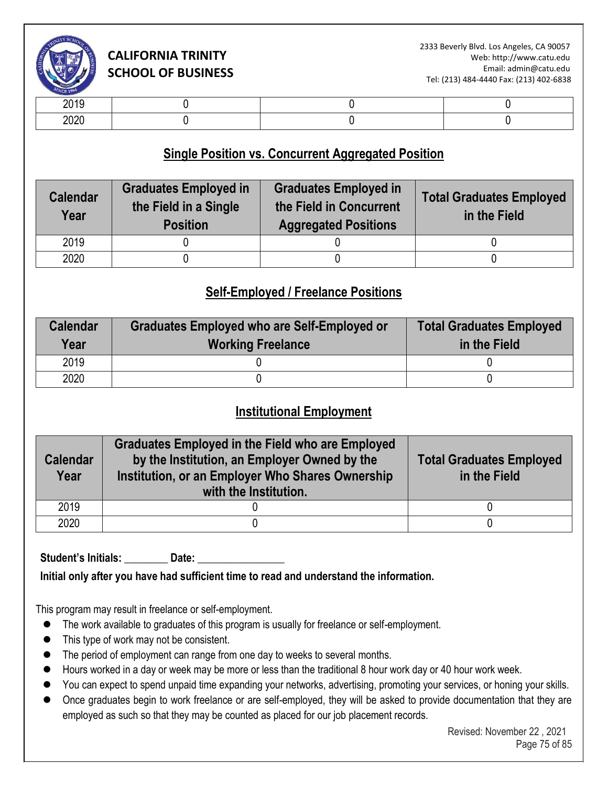

| -- - -       |  |  |
|--------------|--|--|
| nnnr<br>$-0$ |  |  |

### **Single Position vs. Concurrent Aggregated Position**

| <b>Calendar</b><br>Year | <b>Graduates Employed in</b><br>the Field in a Single<br><b>Position</b> | <b>Graduates Employed in</b><br>the Field in Concurrent<br><b>Aggregated Positions</b> | <b>Total Graduates Employed</b><br>in the Field |
|-------------------------|--------------------------------------------------------------------------|----------------------------------------------------------------------------------------|-------------------------------------------------|
| 2019                    |                                                                          |                                                                                        |                                                 |
| 2020                    |                                                                          |                                                                                        |                                                 |

## **Self-Employed / Freelance Positions**

| <b>Calendar</b><br>Year | Graduates Employed who are Self-Employed or<br><b>Working Freelance</b> | <b>Total Graduates Employed</b><br>in the Field |
|-------------------------|-------------------------------------------------------------------------|-------------------------------------------------|
| 2019                    |                                                                         |                                                 |
| 2020                    |                                                                         |                                                 |

### **Institutional Employment**

| <b>Calendar</b><br>Year | <b>Graduates Employed in the Field who are Employed</b><br>by the Institution, an Employer Owned by the<br>Institution, or an Employer Who Shares Ownership<br>with the Institution. | <b>Total Graduates Employed</b><br>in the Field |
|-------------------------|--------------------------------------------------------------------------------------------------------------------------------------------------------------------------------------|-------------------------------------------------|
| 2019                    |                                                                                                                                                                                      |                                                 |
| 2020                    |                                                                                                                                                                                      |                                                 |

Student's Initials: **Date:** Date:

**Initial only after you have had sufficient time to read and understand the information.** 

This program may result in freelance or self-employment.

- ⚫ The work available to graduates of this program is usually for freelance or self-employment.
- ⚫ This type of work may not be consistent.
- The period of employment can range from one day to weeks to several months.
- Hours worked in a day or week may be more or less than the traditional 8 hour work day or 40 hour work week.
- You can expect to spend unpaid time expanding your networks, advertising, promoting your services, or honing your skills.
- Once graduates begin to work freelance or are self-employed, they will be asked to provide documentation that they are employed as such so that they may be counted as placed for our job placement records.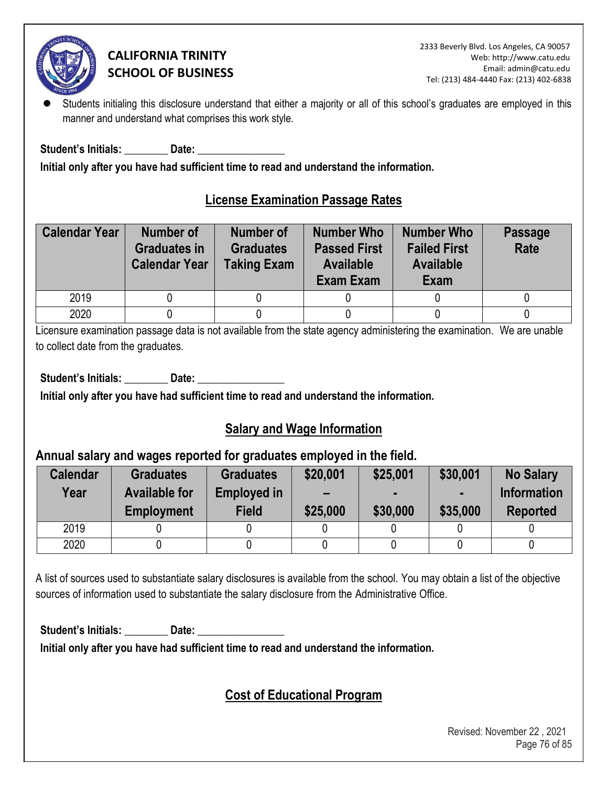

Students initialing this disclosure understand that either a majority or all of this school's graduates are employed in this manner and understand what comprises this work style.

**Student's Initials: \_\_\_\_\_\_\_\_ Date: \_\_\_\_\_\_\_\_\_\_\_\_\_\_\_\_** 

**Initial only after you have had sufficient time to read and understand the information.** 

## **License Examination Passage Rates**

| <b>Calendar Year</b> | <b>Number of</b><br><b>Graduates in</b><br><b>Calendar Year</b> | <b>Number of</b><br><b>Graduates</b><br><b>Taking Exam</b> | <b>Number Who</b><br><b>Passed First</b><br><b>Available</b><br><b>Exam Exam</b> | <b>Number Who</b><br><b>Failed First</b><br><b>Available</b><br>Exam | <b>Passage</b><br>Rate |
|----------------------|-----------------------------------------------------------------|------------------------------------------------------------|----------------------------------------------------------------------------------|----------------------------------------------------------------------|------------------------|
| 2019                 |                                                                 |                                                            |                                                                                  |                                                                      |                        |
| 2020                 |                                                                 |                                                            |                                                                                  |                                                                      |                        |

Licensure examination passage data is not available from the state agency administering the examination. We are unable to collect date from the graduates.

Student's Initials: **Date: Date: Date: Date: Propriet: Propriet: Propriet: Propriet: Propriet: Propriet: Propriet: Propriet: Propriet: Propriet: Propriet: Propriet: Propriet: Propriet: P** 

**Initial only after you have had sufficient time to read and understand the information.** 

## **Salary and Wage Information**

#### **Annual salary and wages reported for graduates employed in the field.**

| <b>Calendar</b><br>Year | <b>Graduates</b><br><b>Available for</b><br><b>Employment</b> | <b>Graduates</b><br><b>Employed in</b><br><b>Field</b> | \$20,001<br>$\overline{\phantom{0}}$<br>\$25,000 | \$25,001<br>\$30,000 | \$30,001<br>\$35,000 | <b>No Salary</b><br><b>Information</b><br><b>Reported</b> |
|-------------------------|---------------------------------------------------------------|--------------------------------------------------------|--------------------------------------------------|----------------------|----------------------|-----------------------------------------------------------|
| 2019                    |                                                               |                                                        |                                                  |                      |                      |                                                           |
| 2020                    |                                                               |                                                        |                                                  |                      |                      |                                                           |

A list of sources used to substantiate salary disclosures is available from the school. You may obtain a list of the objective sources of information used to substantiate the salary disclosure from the Administrative Office.

Student's Initials: **Date: Date: Date: Date: Propriet: Propriet: Propriet: Propriet: Propriet: Propriet: Propriet: Propriet: Propriet: Propriet: Propriet: Propriet: Propriet: Propriet: P** 

**Initial only after you have had sufficient time to read and understand the information.** 

## **Cost of Educational Program**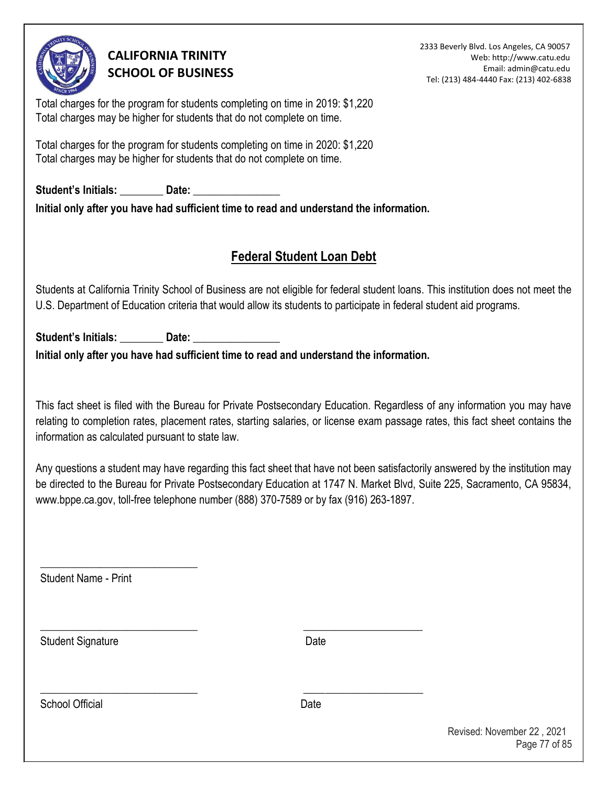

2333 Beverly Blvd. Los Angeles, CA 90057 Web: http://www.catu.edu Email: admin@catu.edu Tel: (213) 484-4440 Fax: (213) 402-6838

Total charges for the program for students completing on time in 2019: \$1,220 Total charges may be higher for students that do not complete on time.

Total charges for the program for students completing on time in 2020: \$1,220 Total charges may be higher for students that do not complete on time.

Student's Initials: **Date: Date: Initial only after you have had sufficient time to read and understand the information.** 

## **Federal Student Loan Debt**

Students at California Trinity School of Business are not eligible for federal student loans. This institution does not meet the U.S. Department of Education criteria that would allow its students to participate in federal student aid programs.

Student's Initials: **Date:** Date:

**Initial only after you have had sufficient time to read and understand the information.** 

\_\_\_\_\_\_\_\_\_\_\_\_\_\_\_\_\_\_\_\_\_\_\_\_\_\_\_\_\_ \_\_\_\_\_\_\_\_\_\_\_\_\_\_\_\_\_\_\_\_\_\_

\_\_\_\_\_\_\_\_\_\_\_\_\_\_\_\_\_\_\_\_\_\_\_\_\_\_\_\_\_ \_\_\_\_\_\_\_\_\_\_\_\_\_\_\_\_\_\_\_\_\_\_

This fact sheet is filed with the Bureau for Private Postsecondary Education. Regardless of any information you may have relating to completion rates, placement rates, starting salaries, or license exam passage rates, this fact sheet contains the information as calculated pursuant to state law.

Any questions a student may have regarding this fact sheet that have not been satisfactorily answered by the institution may be directed to the Bureau for Private Postsecondary Education at 1747 N. Market Blvd, Suite 225, Sacramento, CA 95834, www.bppe.ca.gov, toll-free telephone number (888) 370-7589 or by fax (916) 263-1897.

Student Name - Print

\_\_\_\_\_\_\_\_\_\_\_\_\_\_\_\_\_\_\_\_\_\_\_\_\_\_\_\_\_

Student Signature Date

School Official **Date** 

Revised: November 22 , 2021 Page 77 of 85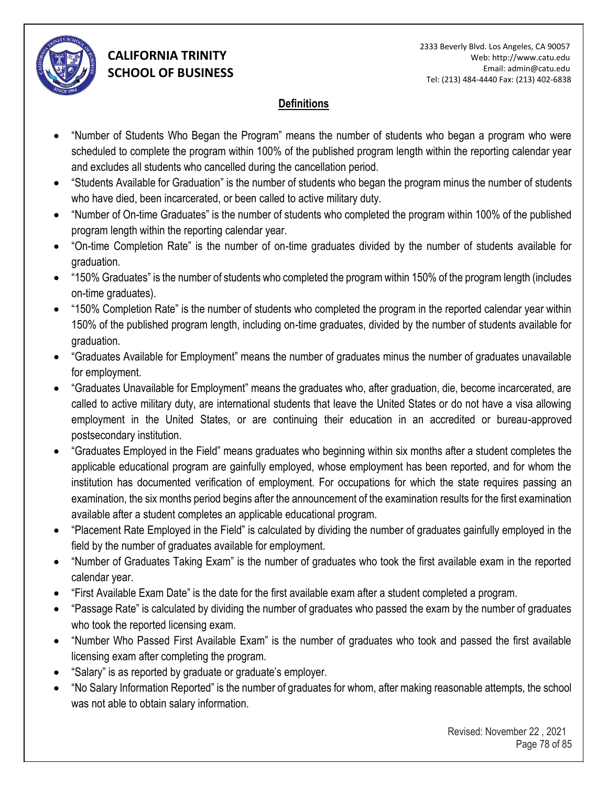

#### **Definitions**

- "Number of Students Who Began the Program" means the number of students who began a program who were scheduled to complete the program within 100% of the published program length within the reporting calendar year and excludes all students who cancelled during the cancellation period.
- "Students Available for Graduation" is the number of students who began the program minus the number of students who have died, been incarcerated, or been called to active military duty.
- "Number of On-time Graduates" is the number of students who completed the program within 100% of the published program length within the reporting calendar year.
- "On-time Completion Rate" is the number of on-time graduates divided by the number of students available for graduation.
- "150% Graduates" is the number of students who completed the program within 150% of the program length (includes on-time graduates).
- "150% Completion Rate" is the number of students who completed the program in the reported calendar year within 150% of the published program length, including on-time graduates, divided by the number of students available for graduation.
- "Graduates Available for Employment" means the number of graduates minus the number of graduates unavailable for employment.
- "Graduates Unavailable for Employment" means the graduates who, after graduation, die, become incarcerated, are called to active military duty, are international students that leave the United States or do not have a visa allowing employment in the United States, or are continuing their education in an accredited or bureau-approved postsecondary institution.
- "Graduates Employed in the Field" means graduates who beginning within six months after a student completes the applicable educational program are gainfully employed, whose employment has been reported, and for whom the institution has documented verification of employment. For occupations for which the state requires passing an examination, the six months period begins after the announcement of the examination results for the first examination available after a student completes an applicable educational program.
- "Placement Rate Employed in the Field" is calculated by dividing the number of graduates gainfully employed in the field by the number of graduates available for employment.
- "Number of Graduates Taking Exam" is the number of graduates who took the first available exam in the reported calendar year.
- "First Available Exam Date" is the date for the first available exam after a student completed a program.
- "Passage Rate" is calculated by dividing the number of graduates who passed the exam by the number of graduates who took the reported licensing exam.
- "Number Who Passed First Available Exam" is the number of graduates who took and passed the first available licensing exam after completing the program.
- "Salary" is as reported by graduate or graduate's employer.
- "No Salary Information Reported" is the number of graduates for whom, after making reasonable attempts, the school was not able to obtain salary information.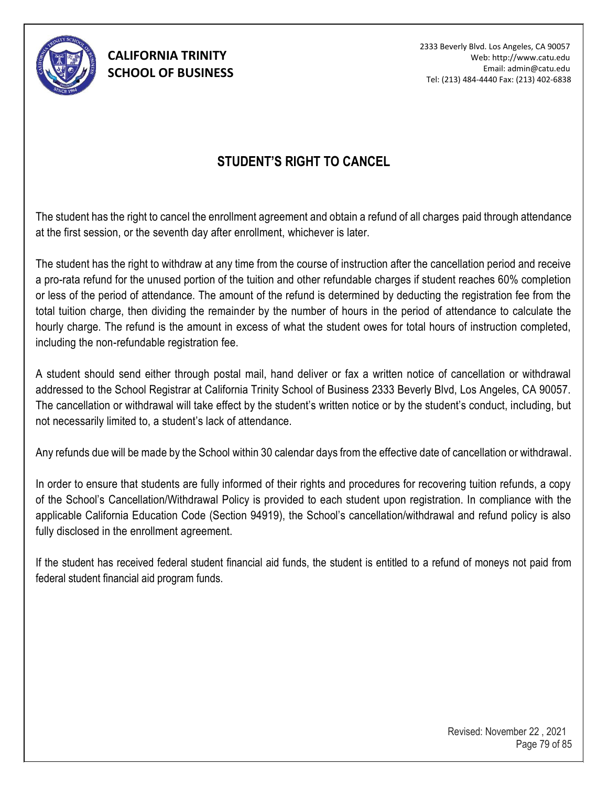

2333 Beverly Blvd. Los Angeles, CA 90057 Web: http://www.catu.edu Email: admin@catu.edu Tel: (213) 484-4440 Fax: (213) 402-6838

## **STUDENT'S RIGHT TO CANCEL**

The student has the right to cancel the enrollment agreement and obtain a refund of all charges paid through attendance at the first session, or the seventh day after enrollment, whichever is later.

The student has the right to withdraw at any time from the course of instruction after the cancellation period and receive a pro-rata refund for the unused portion of the tuition and other refundable charges if student reaches 60% completion or less of the period of attendance. The amount of the refund is determined by deducting the registration fee from the total tuition charge, then dividing the remainder by the number of hours in the period of attendance to calculate the hourly charge. The refund is the amount in excess of what the student owes for total hours of instruction completed, including the non-refundable registration fee.

A student should send either through postal mail, hand deliver or fax a written notice of cancellation or withdrawal addressed to the School Registrar at California Trinity School of Business 2333 Beverly Blvd, Los Angeles, CA 90057. The cancellation or withdrawal will take effect by the student's written notice or by the student's conduct, including, but not necessarily limited to, a student's lack of attendance.

Any refunds due will be made by the School within 30 calendar days from the effective date of cancellation or withdrawal.

In order to ensure that students are fully informed of their rights and procedures for recovering tuition refunds, a copy of the School's Cancellation/Withdrawal Policy is provided to each student upon registration. In compliance with the applicable California Education Code (Section 94919), the School's cancellation/withdrawal and refund policy is also fully disclosed in the enrollment agreement.

If the student has received federal student financial aid funds, the student is entitled to a refund of moneys not paid from federal student financial aid program funds.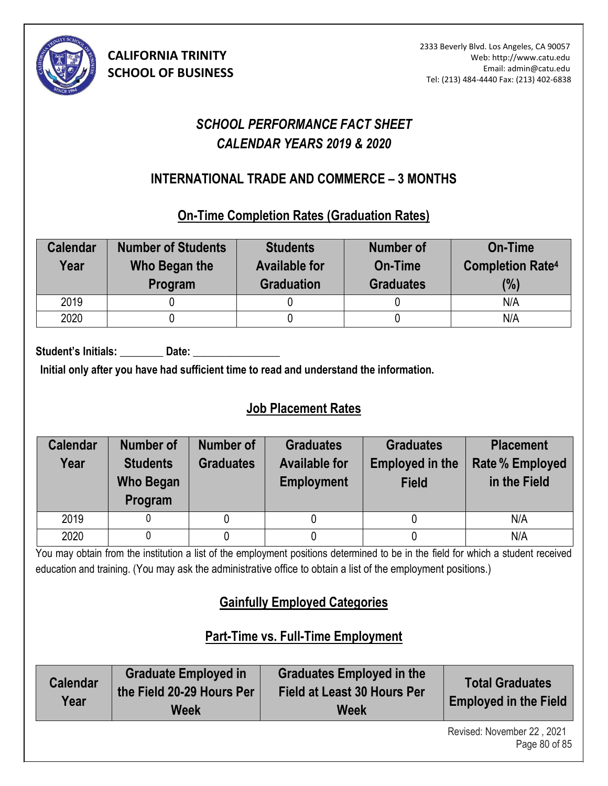

# *SCHOOL PERFORMANCE FACT SHEET CALENDAR YEARS 2019 & 2020*

## **INTERNATIONAL TRADE AND COMMERCE – 3 MONTHS (10)**

### **On-Time Completion Rates (Graduation Rates)**

| <b>Calendar</b><br>Year | <b>Number of Students</b><br>Who Began the<br>Program | <b>Students</b><br><b>Available for</b><br><b>Graduation</b> | <b>Number of</b><br><b>On-Time</b><br><b>Graduates</b> | <b>On-Time</b><br><b>Completion Rate4</b><br>(%) |
|-------------------------|-------------------------------------------------------|--------------------------------------------------------------|--------------------------------------------------------|--------------------------------------------------|
| 2019                    |                                                       |                                                              |                                                        | N/A                                              |
| 2020                    |                                                       |                                                              |                                                        | N/A                                              |

Student's Initials: Date:

**Initial only after you have had sufficient time to read and understand the information.** 

# **Job Placement Rates**

| <b>Calendar</b><br>Year | Number of<br><b>Students</b><br><b>Who Began</b><br>Program | Number of<br><b>Graduates</b> | <b>Graduates</b><br><b>Available for</b><br><b>Employment</b> | <b>Graduates</b><br><b>Employed in the</b><br><b>Field</b> | <b>Placement</b><br><b>Rate % Employed</b><br>in the Field |
|-------------------------|-------------------------------------------------------------|-------------------------------|---------------------------------------------------------------|------------------------------------------------------------|------------------------------------------------------------|
| 2019                    |                                                             |                               |                                                               |                                                            | N/A                                                        |
| 2020                    |                                                             |                               |                                                               |                                                            | N/A                                                        |

You may obtain from the institution a list of the employment positions determined to be in the field for which a student received education and training. (You may ask the administrative office to obtain a list of the employment positions.)

# **Gainfully Employed Categories**

# **Part-Time vs. Full-Time Employment**

| <b>Calendar</b><br>Year | <b>Graduate Employed in</b><br>the Field 20-29 Hours Per<br><b>Week</b> | <b>Graduates Employed in the</b><br><b>Field at Least 30 Hours Per</b><br><b>Week</b> | <b>Total Graduates</b><br><b>Employed in the Field</b> |
|-------------------------|-------------------------------------------------------------------------|---------------------------------------------------------------------------------------|--------------------------------------------------------|
|                         |                                                                         |                                                                                       | Revised: November 22 2021                              |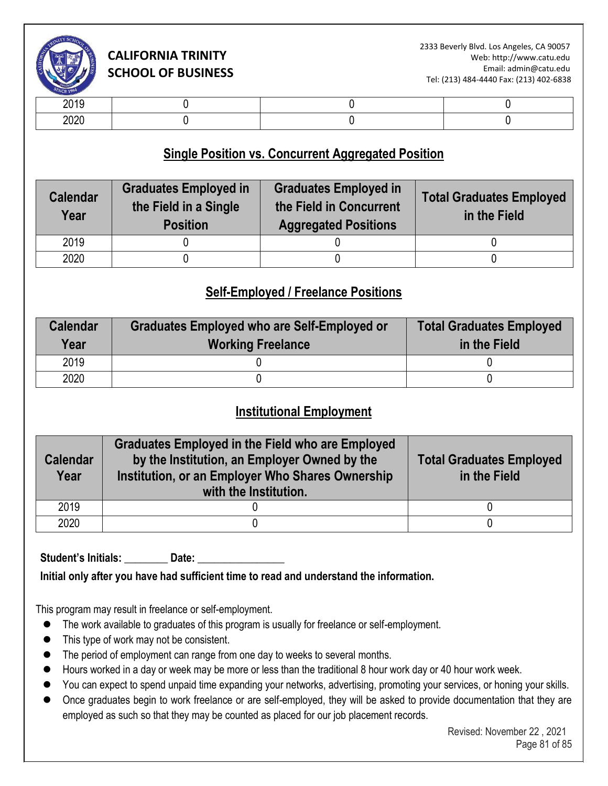

| -- - -           |  |  |
|------------------|--|--|
| $\cdots$<br>$-0$ |  |  |

### **Single Position vs. Concurrent Aggregated Position**

| <b>Graduates Employed in</b><br><b>Calendar</b><br>the Field in a Single<br>Year<br><b>Position</b> |  | <b>Graduates Employed in</b><br>the Field in Concurrent<br><b>Aggregated Positions</b> | <b>Total Graduates Employed</b><br>in the Field |  |
|-----------------------------------------------------------------------------------------------------|--|----------------------------------------------------------------------------------------|-------------------------------------------------|--|
| 2019                                                                                                |  |                                                                                        |                                                 |  |
| 2020                                                                                                |  |                                                                                        |                                                 |  |

#### **Self-Employed / Freelance Positions**

| <b>Calendar</b><br>Year | <b>Graduates Employed who are Self-Employed or</b><br><b>Working Freelance</b> | <b>Total Graduates Employed</b><br>in the Field |  |
|-------------------------|--------------------------------------------------------------------------------|-------------------------------------------------|--|
| 2019                    |                                                                                |                                                 |  |
| 2020                    |                                                                                |                                                 |  |

#### **Institutional Employment**

| <b>Calendar</b><br>Year | <b>Graduates Employed in the Field who are Employed</b><br>by the Institution, an Employer Owned by the<br>Institution, or an Employer Who Shares Ownership<br>with the Institution. | <b>Total Graduates Employed</b><br>in the Field |  |
|-------------------------|--------------------------------------------------------------------------------------------------------------------------------------------------------------------------------------|-------------------------------------------------|--|
| 2019                    |                                                                                                                                                                                      |                                                 |  |
| 2020                    |                                                                                                                                                                                      |                                                 |  |

Student's Initials: **Date:** 

**Initial only after you have had sufficient time to read and understand the information.** 

This program may result in freelance or self-employment.

- ⚫ The work available to graduates of this program is usually for freelance or self-employment.
- ⚫ This type of work may not be consistent.
- The period of employment can range from one day to weeks to several months.
- Hours worked in a day or week may be more or less than the traditional 8 hour work day or 40 hour work week.
- You can expect to spend unpaid time expanding your networks, advertising, promoting your services, or honing your skills.
- Once graduates begin to work freelance or are self-employed, they will be asked to provide documentation that they are employed as such so that they may be counted as placed for our job placement records.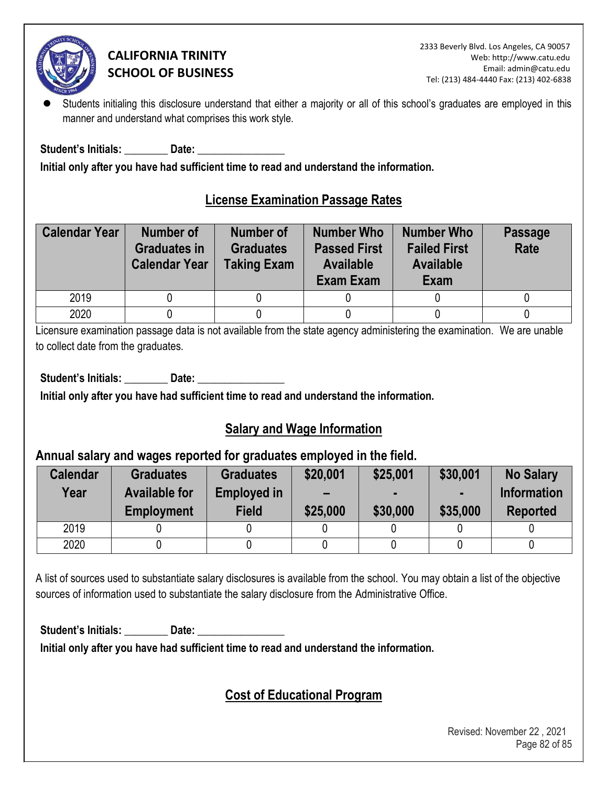

Students initialing this disclosure understand that either a majority or all of this school's graduates are employed in this manner and understand what comprises this work style.

**Student's Initials: \_\_\_\_\_\_\_\_ Date: \_\_\_\_\_\_\_\_\_\_\_\_\_\_\_\_** 

**Initial only after you have had sufficient time to read and understand the information.** 

## **License Examination Passage Rates**

| <b>Calendar Year</b> | <b>Number of</b><br><b>Graduates in</b><br><b>Calendar Year</b> | <b>Number of</b><br><b>Graduates</b><br><b>Taking Exam</b> | <b>Number Who</b><br><b>Passed First</b><br><b>Available</b><br><b>Exam Exam</b> | <b>Number Who</b><br><b>Failed First</b><br><b>Available</b><br>Exam | <b>Passage</b><br>Rate |
|----------------------|-----------------------------------------------------------------|------------------------------------------------------------|----------------------------------------------------------------------------------|----------------------------------------------------------------------|------------------------|
| 2019                 |                                                                 |                                                            |                                                                                  |                                                                      |                        |
| 2020                 |                                                                 |                                                            |                                                                                  |                                                                      |                        |

Licensure examination passage data is not available from the state agency administering the examination. We are unable to collect date from the graduates.

Student's Initials: **Date: Date: Date: Date: Propriet: Propriet: Propriet: Propriet: Propriet: Propriet: Propriet: Propriet: Propriet: Propriet: Propriet: Propriet: Propriet: Propriet: P** 

**Initial only after you have had sufficient time to read and understand the information.** 

## **Salary and Wage Information**

#### **Annual salary and wages reported for graduates employed in the field.**

| <b>Calendar</b><br>Year | <b>Graduates</b><br><b>Available for</b><br><b>Employment</b> | <b>Graduates</b><br><b>Employed in</b><br><b>Field</b> | \$20,001<br>$\overline{\phantom{0}}$<br>\$25,000 | \$25,001<br>\$30,000 | \$30,001<br>\$35,000 | <b>No Salary</b><br><b>Information</b><br><b>Reported</b> |
|-------------------------|---------------------------------------------------------------|--------------------------------------------------------|--------------------------------------------------|----------------------|----------------------|-----------------------------------------------------------|
| 2019                    |                                                               |                                                        |                                                  |                      |                      |                                                           |
| 2020                    |                                                               |                                                        |                                                  |                      |                      |                                                           |

A list of sources used to substantiate salary disclosures is available from the school. You may obtain a list of the objective sources of information used to substantiate the salary disclosure from the Administrative Office.

Student's Initials: **Date: Date: Date: Date: Propriet: Propriet: Propriet: Propriet: Propriet: Propriet: Propriet: Propriet: Propriet: Propriet: Propriet: Propriet: Propriet: Propriet: P** 

**Initial only after you have had sufficient time to read and understand the information.** 

## **Cost of Educational Program**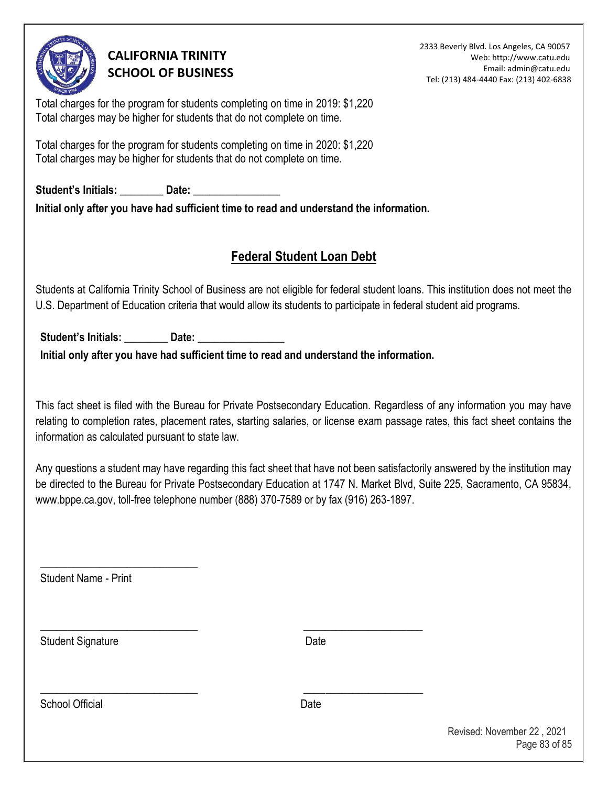

2333 Beverly Blvd. Los Angeles, CA 90057 Web: http://www.catu.edu Email: admin@catu.edu Tel: (213) 484-4440 Fax: (213) 402-6838

Total charges for the program for students completing on time in 2019: \$1,220 Total charges may be higher for students that do not complete on time.

Total charges for the program for students completing on time in 2020: \$1,220 Total charges may be higher for students that do not complete on time.

Student's Initials: **Date:** Date: **Initial only after you have had sufficient time to read and understand the information.** 

## **Federal Student Loan Debt**

Students at California Trinity School of Business are not eligible for federal student loans. This institution does not meet the U.S. Department of Education criteria that would allow its students to participate in federal student aid programs.

Student's Initials: **Date:** Date:

**Initial only after you have had sufficient time to read and understand the information.** 

\_\_\_\_\_\_\_\_\_\_\_\_\_\_\_\_\_\_\_\_\_\_\_\_\_\_\_\_\_ \_\_\_\_\_\_\_\_\_\_\_\_\_\_\_\_\_\_\_\_\_\_

\_\_\_\_\_\_\_\_\_\_\_\_\_\_\_\_\_\_\_\_\_\_\_\_\_\_\_\_\_ \_\_\_\_\_\_\_\_\_\_\_\_\_\_\_\_\_\_\_\_\_\_

This fact sheet is filed with the Bureau for Private Postsecondary Education. Regardless of any information you may have relating to completion rates, placement rates, starting salaries, or license exam passage rates, this fact sheet contains the information as calculated pursuant to state law.

Any questions a student may have regarding this fact sheet that have not been satisfactorily answered by the institution may be directed to the Bureau for Private Postsecondary Education at 1747 N. Market Blvd, Suite 225, Sacramento, CA 95834, www.bppe.ca.gov, toll-free telephone number (888) 370-7589 or by fax (916) 263-1897.

Student Name - Print

\_\_\_\_\_\_\_\_\_\_\_\_\_\_\_\_\_\_\_\_\_\_\_\_\_\_\_\_\_

Student Signature Date

School Official **Date**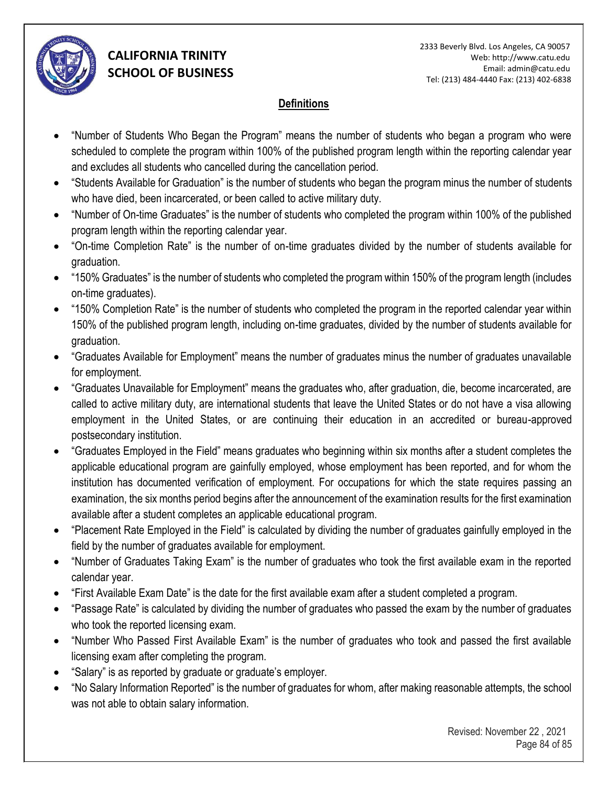

#### **Definitions**

- "Number of Students Who Began the Program" means the number of students who began a program who were scheduled to complete the program within 100% of the published program length within the reporting calendar year and excludes all students who cancelled during the cancellation period.
- "Students Available for Graduation" is the number of students who began the program minus the number of students who have died, been incarcerated, or been called to active military duty.
- "Number of On-time Graduates" is the number of students who completed the program within 100% of the published program length within the reporting calendar year.
- "On-time Completion Rate" is the number of on-time graduates divided by the number of students available for graduation.
- "150% Graduates" is the number of students who completed the program within 150% of the program length (includes on-time graduates).
- "150% Completion Rate" is the number of students who completed the program in the reported calendar year within 150% of the published program length, including on-time graduates, divided by the number of students available for graduation.
- "Graduates Available for Employment" means the number of graduates minus the number of graduates unavailable for employment.
- "Graduates Unavailable for Employment" means the graduates who, after graduation, die, become incarcerated, are called to active military duty, are international students that leave the United States or do not have a visa allowing employment in the United States, or are continuing their education in an accredited or bureau-approved postsecondary institution.
- "Graduates Employed in the Field" means graduates who beginning within six months after a student completes the applicable educational program are gainfully employed, whose employment has been reported, and for whom the institution has documented verification of employment. For occupations for which the state requires passing an examination, the six months period begins after the announcement of the examination results for the first examination available after a student completes an applicable educational program.
- "Placement Rate Employed in the Field" is calculated by dividing the number of graduates gainfully employed in the field by the number of graduates available for employment.
- "Number of Graduates Taking Exam" is the number of graduates who took the first available exam in the reported calendar year.
- "First Available Exam Date" is the date for the first available exam after a student completed a program.
- "Passage Rate" is calculated by dividing the number of graduates who passed the exam by the number of graduates who took the reported licensing exam.
- "Number Who Passed First Available Exam" is the number of graduates who took and passed the first available licensing exam after completing the program.
- "Salary" is as reported by graduate or graduate's employer.
- "No Salary Information Reported" is the number of graduates for whom, after making reasonable attempts, the school was not able to obtain salary information.